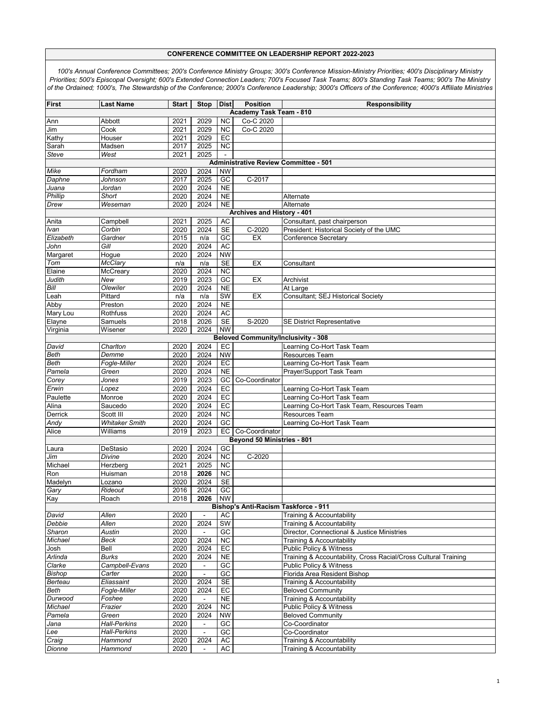| <b>First</b>      | <b>Last Name</b>                  | <b>Start</b> | Stop           | <b>Dist</b>                  | <b>Position</b>                             | <b>Responsibility</b>                                                                                 |
|-------------------|-----------------------------------|--------------|----------------|------------------------------|---------------------------------------------|-------------------------------------------------------------------------------------------------------|
|                   |                                   |              |                |                              | <b>Academy Task Team - 810</b>              |                                                                                                       |
| Ann               | Abbott                            | 2021         | 2029           | <b>NC</b>                    | Co-C 2020                                   |                                                                                                       |
| Jim               | Cook                              | 2021         | 2029           | <b>NC</b>                    | Co-C 2020                                   |                                                                                                       |
| Kathy             | Houser                            | 2021         | 2029           | EC                           |                                             |                                                                                                       |
| Sarah             | Madsen                            | 2017         | 2025           | <b>NC</b>                    |                                             |                                                                                                       |
| Steve             | West                              | 2021         | 2025           |                              |                                             |                                                                                                       |
|                   |                                   |              |                |                              |                                             | <b>Administrative Review Committee - 501</b>                                                          |
| Mike<br>Daphne    | Fordham<br>Johnson                | 2020<br>2017 | 2024<br>2025   | <b>NW</b><br>GC              | C-2017                                      |                                                                                                       |
| Juana             | Jordan                            | 2020         | 2024           | <b>NE</b>                    |                                             |                                                                                                       |
| Phillip           | Short                             | 2020         | 2024           | N <sub>E</sub>               |                                             | Alternate                                                                                             |
| Drew              | Weseman                           | 2020         | 2024           | <b>NE</b>                    |                                             | Alternate                                                                                             |
|                   |                                   |              |                |                              | Archives and History - 401                  |                                                                                                       |
| Anita             | Campbell                          | 2021         | 2025           | AC                           |                                             | Consultant, past chairperson                                                                          |
| Ivan              | Corbin                            | 2020         | 2024           | <b>SE</b>                    | C-2020                                      | President: Historical Society of the UMC                                                              |
| Elizabeth         | Gardner                           | 2015         | n/a            | $G$ C                        | EX                                          | Conference Secretary                                                                                  |
| John              | Gill                              | 2020         | 2024           | <b>AC</b>                    |                                             |                                                                                                       |
| Margaret          | Hogue                             | 2020         | 2024           | <b>NW</b>                    |                                             |                                                                                                       |
| Tom               | McClary                           | n/a          | n/a            | <b>SE</b>                    | EX                                          | Consultant                                                                                            |
| Elaine            | McCreary                          | 2020         | 2024           | $\overline{NC}$              |                                             |                                                                                                       |
| Judith            | New                               | 2019         | 2023           | $\overline{GC}$              | EX                                          | Archivist                                                                                             |
| Bill              | <b>Olewiler</b>                   | 2020         | 2024           | <b>NE</b><br><b>SW</b>       |                                             | At Large                                                                                              |
| Leah<br>Abby      | Pittard<br>Preston                | n/a<br>2020  | n/a<br>2024    | $\overline{NE}$              | EX                                          | Consultant; SEJ Historical Society                                                                    |
| Mary Lou          | Rothfuss                          | 2020         | 2024           | <b>AC</b>                    |                                             |                                                                                                       |
| Elayne            | Samuels                           | 2018         | 2026           | <b>SE</b>                    | S-2020                                      | <b>SE District Representative</b>                                                                     |
| Virginia          | Wisener                           | 2020         | 2024           | <b>NW</b>                    |                                             |                                                                                                       |
|                   |                                   |              |                |                              | <b>Beloved Community/Inclusivity - 308</b>  |                                                                                                       |
| David             | Charlton                          | 2020         | 2024           | EC                           |                                             | Learning Co-Hort Task Team                                                                            |
| <b>Beth</b>       | Demme                             | 2020         | 2024           | <b>NW</b>                    |                                             | <b>Resources Team</b>                                                                                 |
| Beth              | Fogle-Miller                      | 2020         | 2024           | EC                           |                                             | Learning Co-Hort Task Team                                                                            |
| Pamela            | Green                             | 2020         | 2024           | <b>NE</b>                    |                                             | Prayer/Support Task Team                                                                              |
| Corey             | Jones                             | 2019         | 2023           | GC                           | Co-Coordinator                              |                                                                                                       |
| Erwin             | Lopez                             | 2020         | 2024           | EC                           |                                             | Learning Co-Hort Task Team                                                                            |
| Paulette          | Monroe                            | 2020         | 2024           | EC                           |                                             | Learning Co-Hort Task Team                                                                            |
| Alina             | Saucedo                           | 2020         | 2024           | EC                           |                                             | Learning Co-Hort Task Team, Resources Team                                                            |
| Derrick           | Scott III                         | 2020         | 2024<br>2024   | NC<br>$\overline{GC}$        |                                             | Resources Team                                                                                        |
| Andy<br>Alice     | <b>Whitaker Smith</b><br>Williams | 2020<br>2019 | 2023           | EC                           | Co-Coordinator                              | Learning Co-Hort Task Team                                                                            |
|                   |                                   |              |                |                              | Beyond 50 Ministries - 801                  |                                                                                                       |
| Laura             | DeStasio                          | 2020         | 2024           | GC                           |                                             |                                                                                                       |
| Jim               | Divine                            | 2020         | 2024           | <b>NC</b>                    | C-2020                                      |                                                                                                       |
| Michael           | Herzberg                          | 2021         | 2025           | $\overline{NC}$              |                                             |                                                                                                       |
| Ron               | Huisman                           | 2018         | 2026           | $\overline{NC}$              |                                             |                                                                                                       |
| Madelyn           | Lozano                            | 2020         | 2024           | <b>SE</b>                    |                                             |                                                                                                       |
| Gary              | Rideout                           | 2016         | 2024           | GC                           |                                             |                                                                                                       |
| Kay               | Roach                             | 2018         | 2026   NW      |                              |                                             |                                                                                                       |
|                   |                                   |              |                |                              | <b>Bishop's Anti-Racism Taskforce - 911</b> |                                                                                                       |
| David             | Allen                             | 2020         |                | AC                           |                                             | Training & Accountability                                                                             |
| Debbie            | Allen                             | 2020         | 2024           | SW                           |                                             | Training & Accountability                                                                             |
| Sharon            | Austin                            | 2020         | $\blacksquare$ | GC                           |                                             | Director, Connectional & Justice Ministries                                                           |
| Michael           | Beck                              | 2020         | 2024           | $\overline{NC}$              |                                             | Training & Accountability                                                                             |
| Josh              | Bell                              | 2020<br>2020 | 2024<br>2024   | EC                           |                                             | <b>Public Policy &amp; Witness</b><br>Training & Accountability, Cross Racial/Cross Cultural Training |
| Arlinda<br>Clarke | Burks<br>Campbell-Evans           | 2020         | $\blacksquare$ | <b>NE</b><br>$\overline{GC}$ |                                             | Public Policy & Witness                                                                               |
| <b>Bishop</b>     | Carter                            | 2020         | $\overline{a}$ | $G$ C                        |                                             | Florida Area Resident Bishop                                                                          |
| Berteau           | Eliassaint                        | 2020         | 2024           | <b>SE</b>                    |                                             | Training & Accountability                                                                             |
| Beth              | Fogle-Miller                      | 2020         | 2024           | EC                           |                                             | <b>Beloved Community</b>                                                                              |
| Durwood           | Foshee                            | 2020         |                | N <sub>E</sub>               |                                             | Training & Accountability                                                                             |
| Michael           | Frazier                           | 2020         | 2024           | <b>NC</b>                    |                                             | <b>Public Policy &amp; Witness</b>                                                                    |
| Pamela            | Green                             | 2020         | 2024           | <b>NW</b>                    |                                             | <b>Beloved Community</b>                                                                              |
| Jana              | <b>Hall-Perkins</b>               | 2020         | $\blacksquare$ | GC                           |                                             | Co-Coordinator                                                                                        |
| Lee               | Hall-Perkins                      | 2020         | $\blacksquare$ | GC                           |                                             | Co-Coordinator                                                                                        |
| Craig             | Hammond                           | 2020         | 2024           | AC                           |                                             | Training & Accountability                                                                             |
| Dionne            | Hammond                           | 2020         | $\blacksquare$ | AC                           |                                             | Training & Accountability                                                                             |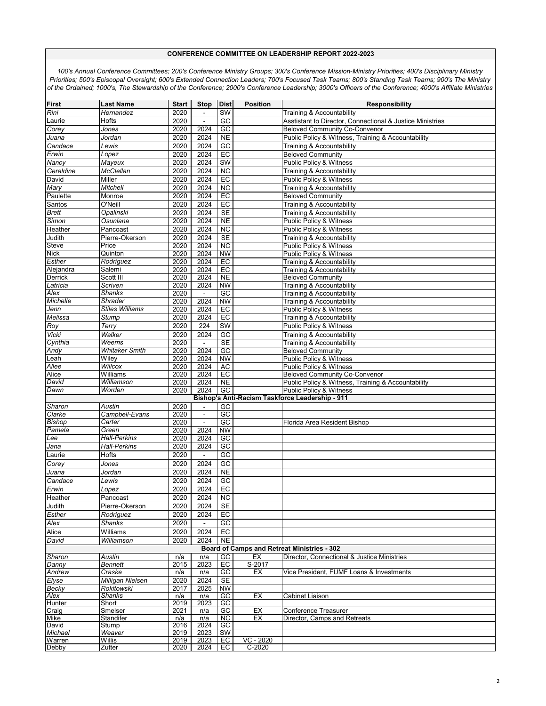| First          | <b>Last Name</b>      | <b>Start</b> | <b>Stop</b>    | <b>Dist</b>     | <b>Position</b> | <b>Responsibility</b>                                     |
|----------------|-----------------------|--------------|----------------|-----------------|-----------------|-----------------------------------------------------------|
| Rini           | Hernandez             | 2020         |                | SW              |                 | Training & Accountability                                 |
|                | Hofts                 | 2020         | $\blacksquare$ | GC              |                 | Asstistant to Director, Connectional & Justice Ministries |
| Laurie         |                       | 2020         | 2024           | $\overline{GC}$ |                 | <b>Beloved Community Co-Convenor</b>                      |
| Corey          | Jones                 | 2020         | 2024           |                 |                 |                                                           |
| Juana          | Jordan                |              |                | <b>NE</b>       |                 | Public Policy & Witness, Training & Accountability        |
| Candace        | Lewis                 | 2020         | 2024           | GC              |                 | Training & Accountability                                 |
| Erwin          | Lopez                 | 2020         | 2024           | EC              |                 | <b>Beloved Community</b>                                  |
| Nancy          | Mayeux                | 2020         | 2024           | SW              |                 | Public Policy & Witness                                   |
| Geraldine      | McClellan             | 2020         | 2024           | <b>NC</b>       |                 | Training & Accountability                                 |
| David          | Miller                | 2020         | 2024           | EC              |                 | Public Policy & Witness                                   |
| Mary           | Mitchell              | 2020         | 2024           | <b>NC</b>       |                 | Training & Accountability                                 |
| Paulette       | Monroe                | 2020         | 2024           | EC              |                 | <b>Beloved Community</b>                                  |
| Santos         | O'Neill               | 2020         | 2024           | EC              |                 | Training & Accountability                                 |
| <b>Brett</b>   | Opalinski             | 2020         | 2024           | <b>SE</b>       |                 | Training & Accountability                                 |
| Simon          | Osunlana              | 2020         | 2024           | <b>NE</b>       |                 | Public Policy & Witness                                   |
| Heather        | Pancoast              | 2020         | 2024           | <b>NC</b>       |                 | Public Policy & Witness                                   |
| Judith         | Pierre-Okerson        | 2020         | 2024           | <b>SE</b>       |                 | Training & Accountability                                 |
| Steve          | Price                 | 2020         | 2024           | <b>NC</b>       |                 | <b>Public Policy &amp; Witness</b>                        |
| <b>Nick</b>    | Quinton               | 2020         | 2024           | <b>NW</b>       |                 | <b>Public Policy &amp; Witness</b>                        |
| Esther         | Rodriguez             | 2020         | 2024           | EC              |                 | Training & Accountability                                 |
| Alejandra      | Salemi                | 2020         | 2024           | $E$ C           |                 | Training & Accountability                                 |
| <b>Derrick</b> | Scott III             | 2020         | 2024           | N <sub>E</sub>  |                 | <b>Beloved Community</b>                                  |
| Latricia       | Scriven               | 2020         | 2024           | <b>NW</b>       |                 | Training & Accountability                                 |
| Alex           | Shanks                | 2020         | $\blacksquare$ | GC              |                 | Training & Accountability                                 |
| Michelle       | Shrader               | 2020         | 2024           | <b>NW</b>       |                 | Training & Accountability                                 |
| Jenn           | Stiles Williams       | 2020         | 2024           | EC              |                 | <b>Public Policy &amp; Witness</b>                        |
| Melissa        | Stump                 | 2020         | 2024           | EC              |                 | Training & Accountability                                 |
| Roy            | Terry                 | 2020         | 224            | SW              |                 | Public Policy & Witness                                   |
| Vicki          | Walker                | 2020         | 2024           | GC              |                 | Training & Accountability                                 |
| Cynthia        | Weems                 | 2020         | ÷,             | SE              |                 | Training & Accountability                                 |
| Andy           | <b>Whitaker Smith</b> | 2020         | 2024           | GC              |                 | <b>Beloved Community</b>                                  |
| _eah           | Wiley                 | 2020         | 2024           | <b>NW</b>       |                 | <b>Public Policy &amp; Witness</b>                        |
| Allee          | Willcox               | 2020         | 2024           | <b>AC</b>       |                 | Public Policy & Witness                                   |
| Alice          | Williams              | 2020         | 2024           | $E$ C           |                 | <b>Beloved Community Co-Convenor</b>                      |
| David          | Williamson            | 2020         | 2024           | <b>NE</b>       |                 | Public Policy & Witness, Training & Accountability        |
| Dawn           | Worden                | 2020         | 2024           | GC              |                 | Public Policy & Witness                                   |
|                |                       |              |                |                 |                 | Bishop's Anti-Racism Taskforce Leadership - 911           |
| Sharon         | Austin                | 2020         | $\blacksquare$ | GC              |                 |                                                           |
| Clarke         | Campbell-Evans        | 2020         | $\Box$         | GC              |                 |                                                           |
| Bishop         | Carter                | 2020         | $\Box$         | $\overline{GC}$ |                 | Florida Area Resident Bishop                              |
| Pamela         | Green                 | 2020         | 2024           | <b>NW</b>       |                 |                                                           |
| Lee            | Hall-Perkins          | 2020         | 2024           | GC              |                 |                                                           |
| Jana           | <b>Hall-Perkins</b>   | 2020         | 2024           | GC              |                 |                                                           |
| Laurie         | Hofts                 | 2020         |                | GC              |                 |                                                           |
| Corey          | Jones                 | 2020         | 2024           | GC              |                 |                                                           |
| Juana          | Jordan                | 2020         | 2024           | <b>NE</b>       |                 |                                                           |
| Candace        | Lewis                 | 2020         | 2024           | GC              |                 |                                                           |
| Erwin          | Lopez                 | 2020         | 2024           | EC              |                 |                                                           |
| Heather        | Pancoast              | 2020         | 2024           | NC              |                 |                                                           |
| Judith         | Pierre-Okerson        | 2020         | 2024           | <b>SE</b>       |                 |                                                           |
| Esther         | Rodriguez             | 2020         | 2024           | EC              |                 |                                                           |
| Alex           | <b>Shanks</b>         | 2020         | ÷,             | GC              |                 |                                                           |
| Alice          | Williams              | 2020         | 2024           | EC              |                 |                                                           |
| David          | Williamson            | 2020         | 2024           | <b>NE</b>       |                 |                                                           |
|                |                       |              |                |                 |                 | <b>Board of Camps and Retreat Ministries - 302</b>        |
| Sharon         | Austin                | n/a          | n/a            | GC              | EX              | Director, Connectional & Justice Ministries               |
| Danny          | <b>Bennett</b>        | 2015         | 2023           | EC              | S-2017          |                                                           |
| Andrew         | Craske                | n/a          | n/a            | GC              | EX              | Vice President, FUMF Loans & Investments                  |
| Elyse          | Milligan Nielsen      | 2020         | 2024           | <b>SE</b>       |                 |                                                           |
| Becky          | Rokitowski            | 2017         | 2025           | <b>NW</b>       |                 |                                                           |
| Alex           | Shanks                | n/a          | n/a            | $\overline{GC}$ | EX              | Cabinet Liaison                                           |
| Hunter         | Short                 | 2019         | 2023           | $\overline{GC}$ |                 |                                                           |
| Craig          | Smelser               | 2021         | n/a            | GC              | EX              | Conference Treasurer                                      |
| Mike           | Standifer             | n/a          | n/a            | $\overline{NC}$ | EX              | Director, Camps and Retreats                              |
| David          | Stump                 | 2016         | 2024           | $\overline{GC}$ |                 |                                                           |
| Michael        | Weaver                | 2019         | 2023           | SW              |                 |                                                           |
| Warren         | Willis                | 2019         | 2023           | EC              | $VC - 2020$     |                                                           |
| Debby          | Zutter                | 2020         | 2024           | EC              | $C - 2020$      |                                                           |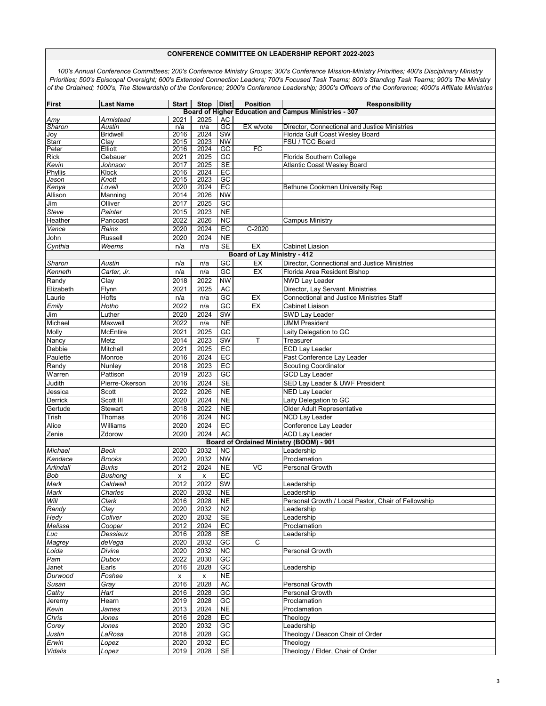| First        | <b>Last Name</b>          | <b>Start</b>       | Stop               | <b>Dist</b>            | <b>Position</b>             | Responsibility                                                                   |
|--------------|---------------------------|--------------------|--------------------|------------------------|-----------------------------|----------------------------------------------------------------------------------|
|              |                           |                    |                    |                        |                             | <b>Board of Higher Education and Campus Ministries - 307</b>                     |
| Amy          | Armistead                 | 2021               | 2025               | AC                     |                             |                                                                                  |
| Sharon       | Austin<br><b>Bridwell</b> | n/a<br>2016        | n/a<br>2024        | $\overline{GC}$<br>SW  | EX w/vote                   | Director, Connectional and Justice Ministries<br>Florida Gulf Coast Wesley Board |
| Joy<br>Starr | Clay                      | 2015               | 2023               | <b>NW</b>              |                             | FSU / TCC Board                                                                  |
| Peter        | Elliott                   | 2016               | 2024               | $\overline{GC}$        | E                           |                                                                                  |
| <b>Rick</b>  | Gebauer                   | 2021               | 2025               | GC                     |                             | Florida Southern College                                                         |
| Kevin        | Johnson                   | 2017               | 2025               | <b>SE</b>              |                             | <b>Atlantic Coast Weslev Board</b>                                               |
| Phyllis      | Klock                     | 2016               | 2024               | EC                     |                             |                                                                                  |
| Jason        | Knott                     | 2015               | 2023               | $G$ C                  |                             |                                                                                  |
| Kenya        | Lovell                    | 2020               | 2024               | EC                     |                             | Bethune Cookman University Rep                                                   |
| Allison      | Manning                   | 2014               | 2026               | <b>NW</b>              |                             |                                                                                  |
| Jim          | Olliver                   | 2017               | 2025               | GC                     |                             |                                                                                  |
| Steve        | Painter                   | 2015               | 2023               | <b>NE</b>              |                             |                                                                                  |
| Heather      | Pancoast                  | 2022               | 2026               | <b>NC</b>              |                             | <b>Campus Ministry</b>                                                           |
| Vance        | Rains                     | 2020               | 2024               | EC                     | $C-2020$                    |                                                                                  |
| John         | Russell                   | 2020               | 2024               | N <sub>E</sub>         |                             |                                                                                  |
| Cynthia      | Weems                     | n/a                | n/a                | SE                     | EX                          | <b>Cabinet Liasion</b>                                                           |
|              |                           |                    |                    |                        | Board of Lay Ministry - 412 |                                                                                  |
| Sharon       | Austin                    | n/a                | n/a                | GC                     | EX                          | Director, Connectional and Justice Ministries                                    |
| Kenneth      | Carter, Jr.               | n/a                | n/a                | $\overline{GC}$        | EX                          | Florida Area Resident Bishop                                                     |
| Randy        | Clay                      | 2018               | 2022               | <b>NW</b>              |                             | <b>NWD Lay Leader</b>                                                            |
| Elizabeth    | Flynn                     | 2021               | 2025               | AC                     |                             | Director, Lay Servant Ministries                                                 |
| Laurie       | Hofts                     | n/a                | n/a                | GC                     | EX                          | <b>Connectional and Justice Ministries Staff</b>                                 |
| Emily        | Hotho                     | 2022               | n/a                | GC                     | EX                          | Cabinet Liaison                                                                  |
| Jim          | Luther                    | 2020               | 2024               | SW                     |                             | SWD Lay Leader                                                                   |
| Michael      | Maxwell                   | 2022               | n/a                | <b>NE</b>              |                             | <b>UMM President</b>                                                             |
| Molly        | <b>McEntire</b>           | 2021               | 2025               | GC                     |                             | Laity Delegation to GC                                                           |
| Nancy        | Metz                      | 2014               | 2023               | <b>SW</b>              | T                           | Treasurer                                                                        |
| Debbie       | Mitchell                  | 2021               | 2025               | EC                     |                             | <b>ECD Lay Leader</b>                                                            |
| Paulette     | Monroe                    | 2016               | 2024               | EC                     |                             | Past Conference Lay Leader                                                       |
| Randy        | Nunley                    | 2018               | 2023               | EC                     |                             | <b>Scouting Coordinator</b>                                                      |
| Warren       | Pattison                  | 2019               | 2023               | GC                     |                             | <b>GCD Lay Leader</b>                                                            |
| Judith       | Pierre-Okerson            | 2016               | 2024               | <b>SE</b>              |                             | SED Lay Leader & UWF President                                                   |
| Jessica      | Scott                     | 2022               | 2026               | <b>NE</b>              |                             | <b>NED Lay Leader</b>                                                            |
| Derrick      | Scott III                 | 2020               | 2024               | <b>NE</b>              |                             | Laity Delegation to GC                                                           |
| Gertude      | Stewart                   | 2018               | 2022               | <b>NE</b>              |                             | Older Adult Representative                                                       |
| Trish        | Thomas                    | 2016               | 2024               | <b>NC</b>              |                             | <b>NCD Lay Leader</b>                                                            |
| Alice        | Williams                  | 2020               | 2024               | $E$ C                  |                             | Conference Lay Leader                                                            |
| Zenie        | Zdorow                    | 2020               | 2024               | AC                     |                             | <b>ACD Lay Leader</b>                                                            |
| Michael      |                           |                    | 2032               | <b>NC</b>              |                             | Board of Ordained Ministry (BOOM) - 901                                          |
| Kandace      | Beck<br><b>Brooks</b>     | 2020<br>2020       | 2032               | <b>NW</b>              |                             | Leadership<br>Proclamation                                                       |
| Arlindall    | <b>Burks</b>              | 2012               | 2024               | $\overline{NE}$        | VC                          | Personal Growth                                                                  |
| Bob          | <b>Bushong</b>            | $\pmb{\mathsf{x}}$ | $\pmb{\mathsf{x}}$ | EC                     |                             |                                                                                  |
| Mark         | Caldwell                  | 2012               | 2022               | $\overline{\text{SW}}$ |                             | Leadership                                                                       |
| Mark         | Charles                   | 2020               | 2032               | N <sub>E</sub>         |                             | Leadership                                                                       |
| Will         | Clark                     | 2016               | 2028               | NE                     |                             | Personal Growth / Local Pastor, Chair of Fellowship                              |
| Randy        | $\overline{C}$ lay        | 2020               | 2032               | N <sub>2</sub>         |                             | Leadership                                                                       |
| Hedy         | Collver                   | 2020               | 2032               | <b>SE</b>              |                             | Leadership                                                                       |
| Melissa      | Cooper                    | 2012               | 2024               | EC                     |                             | Proclamation                                                                     |
| Luc          | Dessieux                  | 2016               | 2028               | SE                     |                             | Leadership                                                                       |
| Magrey       | deVega                    | 2020               | 2032               | GC                     | С                           |                                                                                  |
| Loida        | Divine                    | 2020               | 2032               | <b>NC</b>              |                             | Personal Growth                                                                  |
| Pam          | Dubov                     | 2022               | 2030               | GC                     |                             |                                                                                  |
| Janet        | Earls                     | 2016               | 2028               | GC                     |                             | Leadership                                                                       |
| Durwood      | Foshee                    | х                  | x                  | <b>NE</b>              |                             |                                                                                  |
| Susan        | Gray                      | 2016               | 2028               | <b>AC</b>              |                             | Personal Growth                                                                  |
| Cathy        | Hart                      | 2016               | 2028               | GC                     |                             | Personal Growth                                                                  |
| Jeremy       | Hearn                     | 2019               | 2028               | GC                     |                             | Proclamation                                                                     |
| Kevin        | James                     | 2013               | 2024               | <b>NE</b>              |                             | Proclamation                                                                     |
| Chris        | Jones                     | 2016               | 2028               | EC                     |                             | Theology                                                                         |
| Corey        | Jones                     | 2020               | 2032               | GC                     |                             | Leadership                                                                       |
| Justin       | LaRosa                    | 2018               | 2028               | GC                     |                             | Theology / Deacon Chair of Order                                                 |
| Erwin        | Lopez                     | 2020               | 2032               | EC                     |                             | Theology                                                                         |
| Vidalis      | Lopez                     | 2019               | 2028               | <b>SE</b>              |                             | Theology / Elder, Chair of Order                                                 |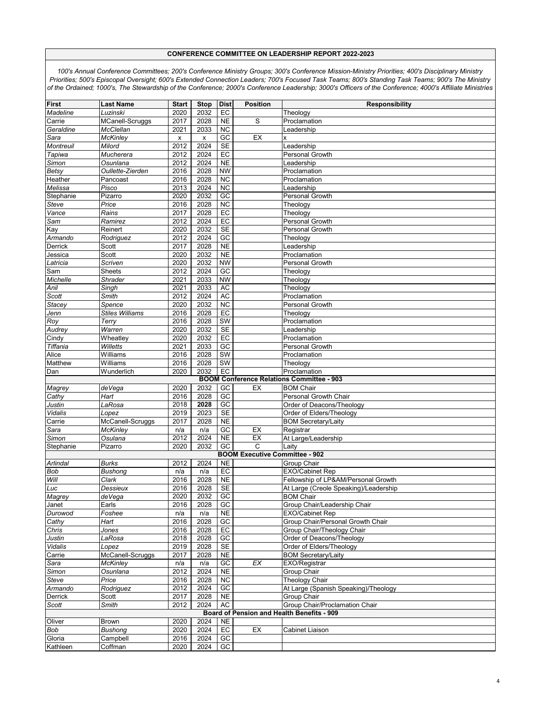| <b>First</b>                                     | <b>Last Name</b>       | <b>Start</b> | <b>Stop</b>    | <b>Dist</b>            | <b>Position</b>                       | <b>Responsibility</b>                      |  |  |  |
|--------------------------------------------------|------------------------|--------------|----------------|------------------------|---------------------------------------|--------------------------------------------|--|--|--|
| Madeline                                         | Luzinski               | 2020         | 2032           | EC                     |                                       | Theology                                   |  |  |  |
| Carrie                                           | MCanell-Scruggs        | 2017         | 2028           | <b>NE</b>              | S                                     | Proclamation                               |  |  |  |
| Geraldine                                        | <b>McClellan</b>       | 2021         | 2033           | $\overline{NC}$        |                                       | Leadership                                 |  |  |  |
| Sara                                             | <b>McKinley</b>        |              | $\pmb{\times}$ | $\overline{GC}$        | EX                                    | x                                          |  |  |  |
|                                                  |                        | X            | 2024           |                        |                                       |                                            |  |  |  |
| Montreuil                                        | Milord                 | 2012         |                | <b>SE</b>              |                                       | Leadership                                 |  |  |  |
| Tapiwa                                           | Mucherera              | 2012         | 2024           | EC                     |                                       | Personal Growth                            |  |  |  |
| Simon                                            | Osunlana               | 2012         | 2024           | $\overline{NE}$        |                                       | Leadership                                 |  |  |  |
| Betsy                                            | Oullette-Zierden       | 2016         | 2028           | <b>NW</b>              |                                       | Proclamation                               |  |  |  |
| Heather                                          | Pancoast               | 2016         | 2028           | <b>NC</b>              |                                       | Proclamation                               |  |  |  |
| Melissa                                          | Pisco                  | 2013         | 2024           | <b>NC</b>              |                                       | Leadership                                 |  |  |  |
| Stephanie                                        | Pizarro                | 2020         | 2032           | GC                     |                                       | Personal Growth                            |  |  |  |
| Steve                                            | Price                  | 2016         | 2028           | <b>NC</b>              |                                       | Theology                                   |  |  |  |
| Vance                                            | Rains                  | 2017         | 2028           | EC                     |                                       | Theology                                   |  |  |  |
| Sam                                              | Ramirez                | 2012         | 2024           | EC                     |                                       | Personal Growth                            |  |  |  |
| Kay                                              | Reinert                | 2020         | 2032           | <b>SE</b>              |                                       | Personal Growth                            |  |  |  |
| Armando                                          | Rodriquez              | 2012         | 2024           | GC                     |                                       | Theology                                   |  |  |  |
| Derrick                                          | Scott                  | 2017         | 2028           | <b>NE</b>              |                                       | Leadership                                 |  |  |  |
| Jessica                                          | Scott                  | 2020         | 2032           | <b>NE</b>              |                                       | Proclamation                               |  |  |  |
| Latricia                                         | Scriven                | 2020         | 2032           | <b>NW</b>              |                                       | Personal Growth                            |  |  |  |
| Sam                                              | Sheets                 | 2012         | 2024           | GC                     |                                       | Theology                                   |  |  |  |
| Michelle                                         | Shrader                | 2021         | 2033           | <b>NW</b>              |                                       | Theology                                   |  |  |  |
| Anil                                             | Singh                  | 2021         | 2033           | <b>AC</b>              |                                       | Theology                                   |  |  |  |
| Scott                                            | Smith                  | 2012         | 2024           | <b>AC</b>              |                                       | Proclamation                               |  |  |  |
| <b>Stacev</b>                                    | Spence                 | 2020         | 2032           | $\overline{NC}$        |                                       | Personal Growth                            |  |  |  |
| Jenn                                             | <b>Stiles Williams</b> | 2016         | 2028           | EC                     |                                       | Theology                                   |  |  |  |
| Roy                                              | $\overline{T}$ erry    | 2016         | 2028           | SW                     |                                       | Proclamation                               |  |  |  |
| Audrey                                           | Warren                 | 2020         | 2032           | <b>SE</b>              |                                       | Leadership                                 |  |  |  |
| Cindy                                            | Wheatley               | 2020         | 2032           | EC                     |                                       | Proclamation                               |  |  |  |
| Tiffania                                         | <b>Willetts</b>        | 2021         | 2033           | $\overline{GC}$        |                                       | Personal Growth                            |  |  |  |
| Alice                                            | Williams               | 2016         | 2028           | SW                     |                                       | Proclamation                               |  |  |  |
| Matthew                                          | Williams               | 2016         | 2028           | SW                     |                                       | Theology                                   |  |  |  |
| Dan                                              | Wunderlich             | 2020         | 2032           | EC                     |                                       | Proclamation                               |  |  |  |
| <b>BOOM Conference Relations Committee - 903</b> |                        |              |                |                        |                                       |                                            |  |  |  |
| Magrey                                           | deVega                 | 2020         | 2032           | GC                     | EX                                    | <b>BOM Chair</b>                           |  |  |  |
| Cathy                                            | Hart                   | 2016         | 2028           | GC                     |                                       | Personal Growth Chair                      |  |  |  |
| Justin                                           | LaRosa                 | 2018         | 2028           | GC                     |                                       | Order of Deacons/Theology                  |  |  |  |
| Vidalis                                          | Lopez                  | 2019         | 2023           | <b>SE</b>              |                                       | Order of Elders/Theology                   |  |  |  |
| Carrie                                           | McCanell-Scruggs       | 2017         | 2028           | <b>NE</b>              |                                       | <b>BOM Secretary/Laity</b>                 |  |  |  |
| Sara                                             | <b>McKinley</b>        | n/a          | n/a            | GC                     | EX                                    | Registrar                                  |  |  |  |
| Simon                                            | Osulana                | 2012         | 2024           | <b>NE</b>              | EX                                    | At Large/Leadership                        |  |  |  |
| Stephanie                                        | Pizarro                | 2020         | 2032           | GC                     | C                                     | Laity                                      |  |  |  |
|                                                  |                        |              |                |                        | <b>BOOM Executive Committee - 902</b> |                                            |  |  |  |
| Arlindal                                         | Burks                  | 2012         | 2024           | <b>NE</b>              |                                       | Group Chair                                |  |  |  |
| <b>Bob</b>                                       | <b>Bushong</b>         | n/a          | n/a            | $E$ C                  |                                       | EXO/Cabinet Rep                            |  |  |  |
| Will                                             | Clark                  | 2016         | 2028           | $\overline{NE}$        |                                       | Fellowship of LP&AM/Personal Growth        |  |  |  |
| Luc                                              | Dessieux               | 2016         | 2028           | $\overline{\text{SE}}$ |                                       | At Large (Creole Speaking)/Leadership      |  |  |  |
| Magrey                                           | deVega                 | 2020         | 2032           | GC                     |                                       | <b>BOM Chair</b>                           |  |  |  |
| Janet                                            | Earls                  | 2016         | 2028           | GC                     |                                       | Group Chair/Leadership Chair               |  |  |  |
| Durowod                                          | Foshee                 | n/a          | n/a            | N <sub>E</sub>         |                                       | <b>EXO/Cabinet Rep</b>                     |  |  |  |
| Cathy                                            | Hart                   | 2016         | 2028           | GC                     |                                       | Group Chair/Personal Growth Chair          |  |  |  |
| Chris                                            | Jones                  | 2016         | 2028           | EC                     |                                       | Group Chair/Theology Chair                 |  |  |  |
| Justin                                           | LaRosa                 | 2018         | 2028           | GC                     |                                       | Order of Deacons/Theology                  |  |  |  |
| Vidalis                                          | Lopez                  | 2019         | 2028           | <b>SE</b>              |                                       | Order of Elders/Theology                   |  |  |  |
| Carrie                                           | McCanell-Scruggs       | 2017         | 2028           | NE                     |                                       | <b>BOM Secretary/Laity</b>                 |  |  |  |
| Sara                                             | <b>McKinley</b>        | n/a          | n/a            | GC                     | EX                                    | EXO/Registrar                              |  |  |  |
| Simon                                            | Osunlana               | 2012         | 2024           | <b>NE</b>              |                                       | Group Chair                                |  |  |  |
| Steve                                            | Price                  | 2016         | 2028           | <b>NC</b>              |                                       | <b>Theology Chair</b>                      |  |  |  |
| Armando                                          | Rodriguez              | 2012         | 2024           | GC                     |                                       | At Large (Spanish Speaking)/Theology       |  |  |  |
| Derrick                                          | Scott                  | 2017         | 2028           | <b>NE</b>              |                                       | Group Chair                                |  |  |  |
| Scott                                            | Smith                  | 2012         | 2024           | AC                     |                                       | Group Chair/Proclamation Chair             |  |  |  |
|                                                  |                        |              |                |                        |                                       | Board of Pension and Health Benefits - 909 |  |  |  |
| Oliver                                           | Brown                  | 2020         | 2024           | <b>NE</b>              |                                       |                                            |  |  |  |
| Bob                                              | Bushong                | 2020         | 2024           | EC                     | EX                                    | Cabinet Liaison                            |  |  |  |
|                                                  |                        |              |                |                        |                                       |                                            |  |  |  |
| Gloria                                           | Campbell               | 2016         | 2024           | GC                     |                                       |                                            |  |  |  |
| Kathleen                                         | Coffman                | 2020         | 2024           | GC                     |                                       |                                            |  |  |  |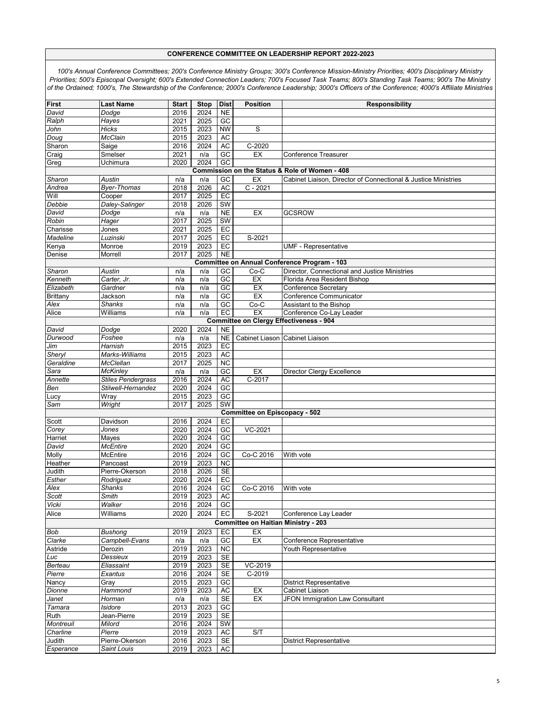| <b>First</b>                                        | <b>Last Name</b>   | <b>Start</b> | <b>Stop</b> | <b>Dist</b>     | <b>Position</b>                            | <b>Responsibility</b>                                          |  |  |  |  |
|-----------------------------------------------------|--------------------|--------------|-------------|-----------------|--------------------------------------------|----------------------------------------------------------------|--|--|--|--|
| David                                               | Dodge              | 2016         | 2024        | <b>NE</b>       |                                            |                                                                |  |  |  |  |
| Ralph                                               | Hayes              | 2021         | 2025        | $G$ C           |                                            |                                                                |  |  |  |  |
|                                                     | Hicks              | 2015         | 2023        | <b>NW</b>       | S                                          |                                                                |  |  |  |  |
| John<br>Doug                                        | McClain            | 2015         | 2023        | <b>AC</b>       |                                            |                                                                |  |  |  |  |
|                                                     |                    |              |             |                 | $C-2020$                                   |                                                                |  |  |  |  |
| Sharon                                              | Saige              | 2016         | 2024        | <b>AC</b>       |                                            |                                                                |  |  |  |  |
| Craig                                               | Smelser            | 2021         | n/a         | GC              | EX                                         | <b>Conference Treasurer</b>                                    |  |  |  |  |
| Greg                                                | Uchimura           | 2020         | 2024        | $\overline{GC}$ |                                            |                                                                |  |  |  |  |
|                                                     |                    |              |             |                 |                                            | Commission on the Status & Role of Women - 408                 |  |  |  |  |
| Sharon                                              | Austin             | n/a          | n/a         | GC              | EX                                         | Cabinet Liaison, Director of Connectional & Justice Ministries |  |  |  |  |
| Andrea                                              | <b>Byer-Thomas</b> | 2018         | 2026        | AC              | $C - 2021$                                 |                                                                |  |  |  |  |
| Will                                                | Cooper             | 2017         | 2025        | EC              |                                            |                                                                |  |  |  |  |
| Debbie                                              | Daley-Salinger     | 2018         | 2026        | SW              |                                            |                                                                |  |  |  |  |
| David                                               | Dodge              | n/a          | n/a         | <b>NE</b>       | EX                                         | <b>GCSROW</b>                                                  |  |  |  |  |
| Robin                                               | Hager              | 2017         | 2025        | SW              |                                            |                                                                |  |  |  |  |
| Charisse                                            | Jones              | 2021         | 2025        | EC              |                                            |                                                                |  |  |  |  |
| Madeline                                            | Luzinski           | 2017         | 2025        | EC              | S-2021                                     |                                                                |  |  |  |  |
| Kenya                                               | Monroe             | 2019         | 2023        | EC              |                                            | <b>UMF - Representative</b>                                    |  |  |  |  |
| Denise                                              | Morrell            | 2017         | 2025        | <b>NE</b>       |                                            |                                                                |  |  |  |  |
| <b>Committee on Annual Conference Program - 103</b> |                    |              |             |                 |                                            |                                                                |  |  |  |  |
| Sharon                                              | Austin             | n/a          | n/a         | GC              | $Co-C$                                     | Director, Connectional and Justice Ministries                  |  |  |  |  |
| Kenneth                                             | Carter, Jr.        | n/a          | n/a         | $\overline{GC}$ | EX                                         | Florida Area Resident Bishop                                   |  |  |  |  |
| Elizabeth                                           | Gardner            | n/a          | n/a         | $\overline{GC}$ | EX                                         | <b>Conference Secretary</b>                                    |  |  |  |  |
| <b>Brittany</b>                                     | Jackson            | n/a          | n/a         | $G$ C           | EX                                         | Conference Communicator                                        |  |  |  |  |
| Alex                                                | <b>Shanks</b>      | n/a          | n/a         | $\overline{GC}$ | $Co-C$                                     | Assistant to the Bishop                                        |  |  |  |  |
| Alice                                               | Williams           | n/a          | n/a         | $E$ C           | EX                                         | Conference Co-Lay Leader                                       |  |  |  |  |
|                                                     |                    |              |             |                 |                                            | <b>Committee on Clergy Effectiveness - 904</b>                 |  |  |  |  |
| David                                               | Dodge              | 2020         | 2024        | <b>NE</b>       |                                            |                                                                |  |  |  |  |
| Durwood                                             | Foshee             | n/a          | n/a         | <b>NE</b>       |                                            | Cabinet Liason Cabinet Liaison                                 |  |  |  |  |
| Jim                                                 | Harnish            | 2015         | 2023        | E               |                                            |                                                                |  |  |  |  |
| Sheryl                                              | Marks-Williams     | 2015         | 2023        | <b>AC</b>       |                                            |                                                                |  |  |  |  |
| Geraldine                                           | McClellan          | 2017         | 2025        | $\overline{NC}$ |                                            |                                                                |  |  |  |  |
| Sara                                                | <b>McKinley</b>    | n/a          | n/a         | $\overline{GC}$ | EX                                         | Director Clergy Excellence                                     |  |  |  |  |
| Annette                                             | Stiles Pendergrass | 2016         | 2024        | <b>AC</b>       | C-2017                                     |                                                                |  |  |  |  |
| Ben                                                 | Stilwell-Hernandez | 2020         | 2024        | $G$ C           |                                            |                                                                |  |  |  |  |
| Lucy                                                | Wray               | 2015         | 2023        | GC              |                                            |                                                                |  |  |  |  |
| Sam                                                 | Wright             | 2017         | 2025        | SW              |                                            |                                                                |  |  |  |  |
|                                                     |                    |              |             |                 | <b>Committee on Episcopacy - 502</b>       |                                                                |  |  |  |  |
| Scott                                               | Davidson           | 2016         | 2024        | EC              |                                            |                                                                |  |  |  |  |
| Corey                                               | Jones              | 2020         | 2024        | GC              | VC-2021                                    |                                                                |  |  |  |  |
| Harriet                                             | Mayes              | 2020         | 2024        | GC              |                                            |                                                                |  |  |  |  |
| David                                               | <b>McEntire</b>    | 2020         | 2024        | GC              |                                            |                                                                |  |  |  |  |
| Molly                                               | McEntire           | 2016         | 2024        | GC              | Co-C 2016                                  | With vote                                                      |  |  |  |  |
| Heather                                             | Pancoast           | 2019         | 2023        | NC              |                                            |                                                                |  |  |  |  |
| Judith                                              | Pierre-Okerson     | 2018         | 2026        | <b>SE</b>       |                                            |                                                                |  |  |  |  |
| Esther                                              | Rodriguez          | 2020         | 2024        | $E$ C           |                                            |                                                                |  |  |  |  |
| Alex                                                | <b>Shanks</b>      | 2016         | 2024        | $G$ C           | Co-C 2016                                  | With vote                                                      |  |  |  |  |
| Scott                                               | Smith              | 2019         | 2023        | <b>AC</b>       |                                            |                                                                |  |  |  |  |
| Vicki                                               | Walker             | 2016         | 2024        | GC              |                                            |                                                                |  |  |  |  |
| Alice                                               | Williams           | 2020         | 2024        | EC              | S-2021                                     | Conference Lay Leader                                          |  |  |  |  |
|                                                     |                    |              |             |                 | <b>Committee on Haitian Ministry - 203</b> |                                                                |  |  |  |  |
| <b>Bob</b>                                          | Bushong            | 2019         | 2023        | EC              | EX                                         |                                                                |  |  |  |  |
| Clarke                                              | Campbell-Evans     | n/a          | n/a         | $G$ C           | EX                                         | Conference Representative                                      |  |  |  |  |
| Astride                                             | Derozin            | 2019         | 2023        | NC              |                                            | Youth Representative                                           |  |  |  |  |
| Luc                                                 | Dessieux           | 2019         | 2023        | <b>SE</b>       |                                            |                                                                |  |  |  |  |
| Berteau                                             | Eliassaint         | 2019         | 2023        | <b>SE</b>       | VC-2019                                    |                                                                |  |  |  |  |
| Pierre                                              | Exantus            | 2016         | 2024        | SE              | $C-2019$                                   |                                                                |  |  |  |  |
| Nancy                                               | Gray               | 2015         | 2023        | $G$ C           |                                            | <b>District Representative</b>                                 |  |  |  |  |
| Dionne                                              | Hammond            | 2019         | 2023        | <b>AC</b>       | EX                                         | Cabinet Liaison                                                |  |  |  |  |
| Janet                                               | Horman             | n/a          | n/a         | <b>SE</b>       | EX                                         | <b>JFON Immigration Law Consultant</b>                         |  |  |  |  |
| Tamara                                              | Isidore            | 2013         | 2023        | GC              |                                            |                                                                |  |  |  |  |
| Ruth                                                | Jean-Pierre        | 2019         | 2023        | <b>SE</b>       |                                            |                                                                |  |  |  |  |
| Montreuil                                           | Milord             | 2016         | 2024        | SW              |                                            |                                                                |  |  |  |  |
| Charline                                            | Pierre             | 2019         | 2023        | AC              | S/T                                        |                                                                |  |  |  |  |
| Judith                                              | Pierre-Okerson     | 2016         | 2023        | <b>SE</b>       |                                            | District Representative                                        |  |  |  |  |
| Esperance                                           | Saint Louis        | 2019         | 2023        | AC              |                                            |                                                                |  |  |  |  |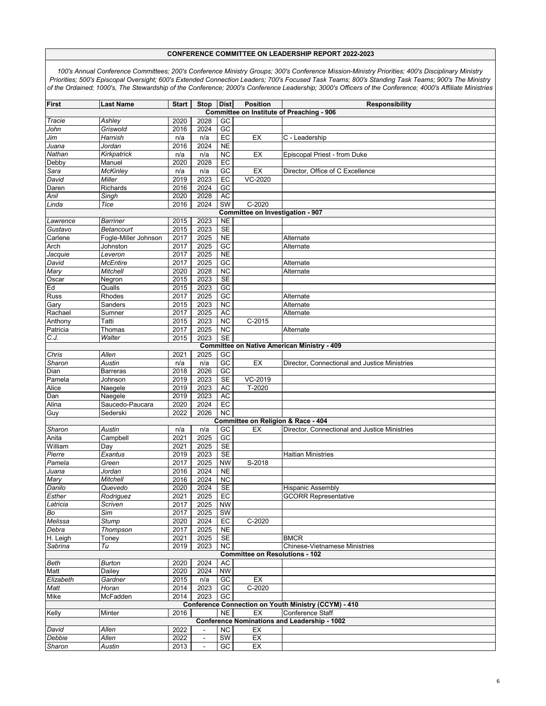| <b>First</b>                                       | <b>Last Name</b>      | <b>Start</b> | <b>Stop</b>    | <b>Dist</b>     | <b>Position</b>                              | Responsibility<br><b>Committee on Institute of Preaching - 906</b> |  |  |  |  |
|----------------------------------------------------|-----------------------|--------------|----------------|-----------------|----------------------------------------------|--------------------------------------------------------------------|--|--|--|--|
|                                                    |                       | 2020         | 2028           | GC              |                                              |                                                                    |  |  |  |  |
| Tracie                                             | Ashley<br>Griswold    | 2016         | 2024           | GC              |                                              |                                                                    |  |  |  |  |
| John                                               | Harnish               | n/a          |                | $E$ C           | EX                                           |                                                                    |  |  |  |  |
| Jim                                                |                       | 2016         | n/a<br>2024    | N <sub>E</sub>  |                                              | C - Leadership                                                     |  |  |  |  |
| Juana<br>Nathan                                    | Jordan<br>Kirkpatrick | n/a          | n/a            | $\overline{NC}$ | EX                                           | Episcopal Priest - from Duke                                       |  |  |  |  |
| Debby                                              | Manuel                | 2020         | 2028           | EC              |                                              |                                                                    |  |  |  |  |
|                                                    | McKinley              | n/a          | n/a            | $\overline{GC}$ | EX                                           | Director, Office of C Excellence                                   |  |  |  |  |
| Sara<br>David                                      | Miller                | 2019         | 2023           | EC              | VC-2020                                      |                                                                    |  |  |  |  |
|                                                    |                       |              | 2024           | GC              |                                              |                                                                    |  |  |  |  |
| Daren                                              | Richards              | 2016<br>2020 |                |                 |                                              |                                                                    |  |  |  |  |
| Anil                                               | Singh<br>Tice         |              | 2028           | AC<br>SW        |                                              |                                                                    |  |  |  |  |
| Linda                                              |                       | 2016         | 2024           |                 | $C-2020$<br>Committee on Investigation - 907 |                                                                    |  |  |  |  |
| Lawrence                                           | Barriner              | 2015         | 2023           | <b>NE</b>       |                                              |                                                                    |  |  |  |  |
| Gustavo                                            | Betancourt            | 2015         | 2023           | <b>SE</b>       |                                              |                                                                    |  |  |  |  |
| Carlene                                            | Fogle-Miller Johnson  | 2017         | 2025           | <b>NE</b>       |                                              | Alternate                                                          |  |  |  |  |
| Arch                                               | Johnston              | 2017         | 2025           | GC              |                                              | Alternate                                                          |  |  |  |  |
| Jacquie                                            | Leveron               | 2017         | 2025           | <b>NE</b>       |                                              |                                                                    |  |  |  |  |
| David                                              | McEntire              | 2017         | 2025           | $G$ C           |                                              | Alternate                                                          |  |  |  |  |
| Mary                                               | Mitchell              | 2020         | 2028           | $\overline{NC}$ |                                              | Alternate                                                          |  |  |  |  |
| Oscar                                              | Negron                | 2015         | 2023           | SE              |                                              |                                                                    |  |  |  |  |
| Ed                                                 | Qualls                | 2015         | 2023           | $\overline{GC}$ |                                              |                                                                    |  |  |  |  |
| Russ                                               | Rhodes                | 2017         | 2025           | $G$ C           |                                              | Alternate                                                          |  |  |  |  |
| Gary                                               | Sanders               | 2015         | 2023           | $\overline{NC}$ |                                              | Alternate                                                          |  |  |  |  |
| Rachael                                            | Sumner                | 2017         | 2025           | AC              |                                              | Alternate                                                          |  |  |  |  |
| Anthony                                            | Tatti                 | 2015         | 2023           | $\overline{NC}$ | $C-2015$                                     |                                                                    |  |  |  |  |
| Patricia                                           | Thomas                | 2017         | 2025           | $\overline{NC}$ |                                              | Alternate                                                          |  |  |  |  |
| C.J.                                               | Walter                | 2015         | 2023           | SE              |                                              |                                                                    |  |  |  |  |
| <b>Committee on Native American Ministry - 409</b> |                       |              |                |                 |                                              |                                                                    |  |  |  |  |
| Chris                                              | Allen                 | 2021         | 2025           | GC              |                                              |                                                                    |  |  |  |  |
| Sharon                                             | Austin                | n/a          | n/a            | $\overline{GC}$ | EX                                           | Director, Connectional and Justice Ministries                      |  |  |  |  |
| Dian                                               | Barreras              | 2018         | 2026           | $\overline{GC}$ |                                              |                                                                    |  |  |  |  |
| Pamela                                             | Johnson               | 2019         | 2023           | SE              | VC-2019                                      |                                                                    |  |  |  |  |
| Alice                                              | Naegele               | 2019         | 2023           | <b>AC</b>       | $T-2020$                                     |                                                                    |  |  |  |  |
| Dan                                                | Naegele               | 2019         | 2023           | <b>AC</b>       |                                              |                                                                    |  |  |  |  |
| Alina                                              | Saucedo-Paucara       | 2020         | 2024           | EC              |                                              |                                                                    |  |  |  |  |
| Guy                                                | Sederski              | 2022         | 2026           | $\overline{NC}$ |                                              |                                                                    |  |  |  |  |
|                                                    |                       |              |                |                 | Committee on Religion & Race - 404           |                                                                    |  |  |  |  |
| Sharon                                             | Austin                | n/a          | n/a            | GC              | EX                                           | Director, Connectional and Justice Ministries                      |  |  |  |  |
| Anita                                              | Campbell              | 2021         | 2025           | GC              |                                              |                                                                    |  |  |  |  |
| William                                            | Day                   | 2021         | 2025           | SE              |                                              |                                                                    |  |  |  |  |
| Pierre                                             | Exantus               | 2019         | 2023           | SE              |                                              | <b>Haitian Ministries</b>                                          |  |  |  |  |
| Pamela                                             | Green                 | 2017         | 2025           | <b>NW</b>       | S-2018                                       |                                                                    |  |  |  |  |
| Juana                                              | Jordan                | 2016         | 2024           | N <sub>E</sub>  |                                              |                                                                    |  |  |  |  |
| Mary                                               | <b>Mitchell</b>       | 2016         | 2024           | <b>NC</b>       |                                              |                                                                    |  |  |  |  |
| Danilo                                             | Quevedo               | 2020         | 2024           | <b>SE</b>       |                                              | <b>Hispanic Assembly</b>                                           |  |  |  |  |
| Esther                                             | Rodriguez             | 2021         | 2025           | EC              |                                              | <b>GCORR Representative</b>                                        |  |  |  |  |
| Latricia                                           | Scriven               | 2017         | 2025           | <b>NW</b>       |                                              |                                                                    |  |  |  |  |
| Bo                                                 | Sim                   | 2017         | 2025           | SW              |                                              |                                                                    |  |  |  |  |
| Melissa                                            | <b>Stump</b>          | 2020         | 2024           | EC              | $C-2020$                                     |                                                                    |  |  |  |  |
| Debra                                              | Thompson              | 2017         | 2025           | $N\mathsf{E}$   |                                              |                                                                    |  |  |  |  |
| H. Leigh                                           | Toney                 | 2021         | 2025           | SE              |                                              | <b>BMCR</b>                                                        |  |  |  |  |
| Sabrina                                            | Tu                    | 2019         | 2023           | $\overline{NC}$ |                                              | <b>Chinese-Vietnamese Ministries</b>                               |  |  |  |  |
|                                                    |                       |              |                |                 | <b>Committee on Resolutions - 102</b>        |                                                                    |  |  |  |  |
| Beth                                               | Burton                | 2020         | 2024           | AC              |                                              |                                                                    |  |  |  |  |
| Matt                                               | Dailey                | 2020         | 2024           | <b>NW</b>       |                                              |                                                                    |  |  |  |  |
| Elizabeth                                          | Gardner               | 2015         | n/a            | GC              | EX                                           |                                                                    |  |  |  |  |
| Matt                                               | Horan                 | 2014         | 2023           | GC              | $C-2020$                                     |                                                                    |  |  |  |  |
| Mike                                               | McFadden              | 2014         | 2023           | GC              |                                              |                                                                    |  |  |  |  |
|                                                    |                       |              |                |                 |                                              | Conference Connection on Youth Ministry (CCYM) - 410               |  |  |  |  |
| Kelly                                              | Minter                | 2016         |                | <b>NE</b>       | EX                                           | Conference Staff                                                   |  |  |  |  |
|                                                    |                       |              |                |                 |                                              | <b>Conference Nominations and Leadership - 1002</b>                |  |  |  |  |
| David                                              | Allen                 | 2022         | $\blacksquare$ | <b>NC</b>       | EX                                           |                                                                    |  |  |  |  |
| Debbie                                             | Allen                 | 2022         | $\blacksquare$ | <b>SW</b>       | EX                                           |                                                                    |  |  |  |  |
| Sharon                                             | Austin                | 2013         |                | $\overline{GC}$ | EX                                           |                                                                    |  |  |  |  |
|                                                    |                       |              |                |                 |                                              |                                                                    |  |  |  |  |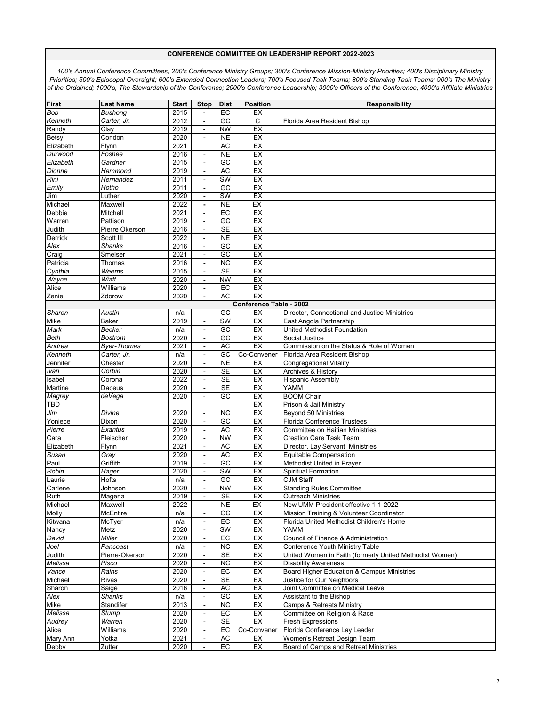| <b>First</b> | <b>Last Name</b>   | <b>Start</b> | <b>Stop</b>              | <b>Dist</b>            | <b>Position</b>                | <b>Responsibility</b>                                   |
|--------------|--------------------|--------------|--------------------------|------------------------|--------------------------------|---------------------------------------------------------|
| <b>Bob</b>   | Bushong            | 2015         | $\overline{\phantom{a}}$ | $E$ C                  | EX                             |                                                         |
| Kenneth      | Carter, Jr.        | 2012         | $\blacksquare$           | GC                     | C                              | Florida Area Resident Bishop                            |
| Randv        | Clay               | 2019         | $\blacksquare$           | <b>NW</b>              | EX                             |                                                         |
| Betsy        | Condon             | 2020         |                          | <b>NE</b>              | EX                             |                                                         |
| Elizabeth    | Flynn              | 2021         |                          | <b>AC</b>              | EX                             |                                                         |
| Durwood      | Foshee             | 2016         | $\blacksquare$           | <b>NE</b>              | EX                             |                                                         |
| Elizabeth    | Gardner            | 2015         | $\blacksquare$           | $\overline{GC}$        | EX                             |                                                         |
| Dionne       | Hammond            | 2019         | $\sim$                   | <b>AC</b>              | EX                             |                                                         |
| Rini         | Hernandez          | 2011         | $\blacksquare$           | <b>SW</b>              | EX                             |                                                         |
| Emily        | Hotho              | 2011         | $\sim$                   | GC                     | EX                             |                                                         |
| Jim          | Luther             | 2020         | $\overline{\phantom{a}}$ | SW                     | EX                             |                                                         |
| Michael      | Maxwell            | 2022         | $\overline{\phantom{a}}$ | <b>NE</b>              | EX                             |                                                         |
| Debbie       | Mitchell           | 2021         | $\blacksquare$           | EC                     | EX                             |                                                         |
| Warren       | Pattison           | 2019         | $\blacksquare$           | GC                     | EX                             |                                                         |
| Judith       | Pierre Okerson     | 2016         | $\blacksquare$           | <b>SE</b>              | EX                             |                                                         |
| Derrick      | Scott III          | 2022         | $\sim$                   | <b>NE</b>              | EX                             |                                                         |
| Alex         | <b>Shanks</b>      | 2016         | $\blacksquare$           | GC                     | EX                             |                                                         |
| Craig        | Smelser            | 2021         | $\blacksquare$           | GC                     | EX                             |                                                         |
| Patricia     | Thomas             | 2016         | $\blacksquare$           | $\overline{NC}$        | EX                             |                                                         |
| Cynthia      | Weems              | 2015         | $\blacksquare$           | $\overline{\text{SE}}$ | EX                             |                                                         |
| Wayne        | Wiatt              | 2020         | $\overline{a}$           | <b>NW</b>              | EX                             |                                                         |
| Alice        | Williams           | 2020         | $\blacksquare$           | EC                     | EX                             |                                                         |
| Zenie        | Zdorow             | 2020         | $\sim$                   | <b>AC</b>              | EX                             |                                                         |
|              |                    |              |                          |                        | <b>Conference Table - 2002</b> |                                                         |
| Sharon       | Austin             | n/a          | $\overline{\phantom{a}}$ | GC                     | EX                             | Director, Connectional and Justice Ministries           |
| Mike         | <b>Baker</b>       | 2019         | $\blacksquare$           | SW                     | EX                             | East Angola Partnership                                 |
| Mark         | Becker             | n/a          | $\sim$                   | GC                     | EX                             | United Methodist Foundation                             |
| <b>Beth</b>  | <b>Bostrom</b>     | 2020         |                          | GC                     | EX                             | Social Justice                                          |
| Andrea       | <b>Byer-Thomas</b> | 2021         | $\blacksquare$           | AC                     | EX                             | Commission on the Status & Role of Women                |
| Kenneth      | Carter, Jr.        | n/a          | $\blacksquare$           | $\overline{GC}$        | Co-Convener                    | Florida Area Resident Bishop                            |
| Jennifer     | Chester            | 2020         | $\blacksquare$           | <b>NE</b>              | EX                             | <b>Congregational Vitality</b>                          |
| Ivan         | Corbin             | 2020         | $\blacksquare$           | <b>SE</b>              | EX                             | Archives & History                                      |
| Isabel       | Corona             | 2022         | $\sim$                   | <b>SE</b>              | EX                             | <b>Hispanic Assembly</b>                                |
| Martine      | Daceus             | 2020         | $\blacksquare$           | $\overline{\text{SE}}$ | EX                             | <b>YAMM</b>                                             |
| Magrey       | deVega             | 2020         | $\mathbf{r}$             | GC                     | EX                             | <b>BOOM Chair</b>                                       |
| <b>TBD</b>   |                    |              |                          |                        | EX                             | Prison & Jail Ministry                                  |
| Jim          | Divine             | 2020         |                          | <b>NC</b>              | EX                             | <b>Beyond 50 Ministries</b>                             |
| Yoniece      | Dixon              | 2020         | $\blacksquare$           | GC                     | EX                             | <b>Florida Conference Trustees</b>                      |
| Pierre       | Exantus            | 2019         | $\sim$                   | AC                     | EX                             | Committee on Haitian Ministries                         |
| Cara         | Fleischer          | 2020         | $\mathbf{r}$             | <b>NW</b>              | EX                             | <b>Creation Care Task Team</b>                          |
| Elizabeth    | Flynn              | 2021         | $\blacksquare$           | <b>AC</b>              | EX                             | Director, Lay Servant Ministries                        |
| Susan        | Gray               | 2020         | $\blacksquare$           | AC                     | EX                             | Equitable Compensation                                  |
| Paul         | Griffith           | 2019         | $\blacksquare$           | GC                     | EX                             | <b>Methodist United in Praver</b>                       |
| Robin        | Hager              | 2020         | $\blacksquare$           | <b>SW</b>              | EX                             | <b>Spiritual Formation</b>                              |
| Laurie       | Hofts              | n/a          |                          | GC                     | EX                             | <b>CJM Staff</b>                                        |
| Carlene      | Johnson            | 2020         | $\blacksquare$           | <b>NW</b>              | EX                             | <b>Standing Rules Committee</b>                         |
| Ruth         | Mageria            | 2019         |                          | SE                     | EX                             | <b>Outreach Ministries</b>                              |
| Michael      | Maxwell            | 2022         | $\blacksquare$           | <b>NE</b>              | EX                             | New UMM President effective 1-1-2022                    |
| Molly        | McEntire           | n/a          | $\blacksquare$           | $G$ C                  | EX                             | Mission Training & Volunteer Coordinator                |
| Kitwana      | McTyer             | n/a          | $\overline{\phantom{a}}$ | EC                     | EX                             | Florida United Methodist Children's Home                |
| Nancy        | Metz               | 2020         | $\blacksquare$           | <b>SW</b>              | EX                             | YAMM                                                    |
| David        | Miller             | 2020         | $\blacksquare$           | EC                     | EX                             | Council of Finance & Administration                     |
| Joel         | Pancoast           | n/a          | $\blacksquare$           | $\overline{NC}$        | EX                             | Conference Youth Ministry Table                         |
| Judith       | Pierre-Okerson     | 2020         | $\frac{1}{2}$            | <b>SE</b>              | EX                             | United Women in Faith (formerly United Methodist Women) |
| Melissa      | Pisco              | 2020         | $\blacksquare$           | $\overline{NC}$        | EX                             | <b>Disability Awareness</b>                             |
| Vance        | Rains              | 2020         | $\blacksquare$           | EC                     | EX                             | Board Higher Education & Campus Ministries              |
| Michael      | Rivas              | 2020         | $\blacksquare$           | <b>SE</b>              | EX                             | Justice for Our Neighbors                               |
| Sharon       | Saige              | 2016         | $\blacksquare$           | <b>AC</b>              | EX                             | Joint Committee on Medical Leave                        |
| Alex         | <b>Shanks</b>      | n/a          | $\blacksquare$           | $\overline{GC}$        | EX                             | Assistant to the Bishop                                 |
| Mike         | Standifer          | 2013         | $\blacksquare$           | <b>NC</b>              | EX                             | <b>Camps &amp; Retreats Ministry</b>                    |
| Melissa      | Stump              | 2020         | $\blacksquare$           | EC                     | EX                             | Committee on Religion & Race                            |
| Audrey       | Warren             | 2020         | $\blacksquare$           | <b>SE</b>              | EX                             | Fresh Expressions                                       |
| Alice        | Williams           | 2020         | $\blacksquare$           | EC                     | Co-Convener                    | Florida Conference Lay Leader                           |
| Mary Ann     | Yotka              | 2021         | $\blacksquare$           | AC                     | EX                             | Women's Retreat Design Team                             |
| Debby        | Zutter             | 2020         | $\overline{\phantom{a}}$ | EC                     | EX                             | Board of Camps and Retreat Ministries                   |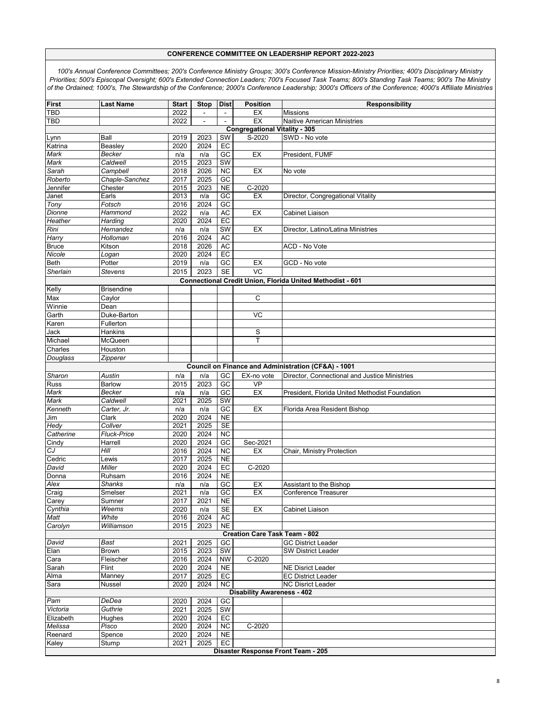| <b>First</b>                                                                            | <b>Last Name</b>       | <b>Start</b>             | <b>Stop</b>  | <b>Dist</b>              | <b>Position</b>                      | <b>Responsibility</b>                          |  |  |  |  |
|-----------------------------------------------------------------------------------------|------------------------|--------------------------|--------------|--------------------------|--------------------------------------|------------------------------------------------|--|--|--|--|
| <b>TBD</b>                                                                              |                        | 2022                     |              | $\blacksquare$           | EX                                   | <b>Missions</b>                                |  |  |  |  |
| <b>TBD</b>                                                                              |                        | 2022                     |              |                          | EX                                   | Naitive American Ministries                    |  |  |  |  |
|                                                                                         |                        |                          |              |                          | <b>Congregational Vitality - 305</b> |                                                |  |  |  |  |
| Lynn                                                                                    | Ball                   | 2019                     | 2023         | SW                       | $S-2020$                             | SWD - No vote                                  |  |  |  |  |
| Katrina                                                                                 | Beasley                | 2020                     | 2024         | $E$ C<br>$\overline{GC}$ | EX                                   |                                                |  |  |  |  |
| Mark<br>Mark                                                                            | Becker<br>Caldwell     | n/a<br>$\overline{20}15$ | n/a<br>2023  | <b>SW</b>                |                                      | President, FUMF                                |  |  |  |  |
| Sarah                                                                                   | Campbell               | 2018                     | 2026         | $\overline{NC}$          | EX                                   | No vote                                        |  |  |  |  |
| Roberto                                                                                 | Chaple-Sanchez         | 2017                     | 2025         | $\overline{GC}$          |                                      |                                                |  |  |  |  |
| Jennifer                                                                                | Chester                | 2015                     | 2023         | <b>NE</b>                | C-2020                               |                                                |  |  |  |  |
| Janet                                                                                   | Earls                  | 2013                     | n/a          | GC                       | EX                                   | Director, Congregational Vitality              |  |  |  |  |
| Tony                                                                                    | Fotsch                 | 2016                     | 2024         | GC                       |                                      |                                                |  |  |  |  |
| Dionne                                                                                  | Hammond                | 2022                     | n/a          | <b>AC</b>                | EX                                   | Cabinet Liaison                                |  |  |  |  |
| Heather                                                                                 | Harding                | 2020                     | 2024         | EC                       |                                      |                                                |  |  |  |  |
| Rini                                                                                    | Hernandez              | n/a                      | n/a          | SW                       | EX                                   | Director, Latino/Latina Ministries             |  |  |  |  |
| Harry                                                                                   | Holloman               | 2016                     | 2024         | AC                       |                                      |                                                |  |  |  |  |
| <b>Bruce</b>                                                                            | Kitson                 | 2018                     | 2026         | AC                       |                                      | ACD - No Vote                                  |  |  |  |  |
| Nicole                                                                                  | Logan                  | 2020                     | 2024         | EC                       |                                      |                                                |  |  |  |  |
| <b>Beth</b>                                                                             | Potter                 | 2019                     | n/a          | GC                       | EX                                   | GCD - No vote                                  |  |  |  |  |
| Sherlain                                                                                | <b>Stevens</b>         | 2015                     | 2023         | <b>SE</b>                | VC                                   |                                                |  |  |  |  |
| Connectional Credit Union, Florida United Methodist - 601<br>Kelly<br><b>Brisendine</b> |                        |                          |              |                          |                                      |                                                |  |  |  |  |
| Max                                                                                     | Caylor                 |                          |              |                          | C                                    |                                                |  |  |  |  |
| Winnie                                                                                  | Dean                   |                          |              |                          |                                      |                                                |  |  |  |  |
| Garth                                                                                   | Duke-Barton            |                          |              |                          | VC                                   |                                                |  |  |  |  |
| Karen                                                                                   | Fullerton              |                          |              |                          |                                      |                                                |  |  |  |  |
| Jack                                                                                    | Hankins                |                          |              |                          | S                                    |                                                |  |  |  |  |
| Michael                                                                                 | McQueen                |                          |              |                          | T                                    |                                                |  |  |  |  |
| Charles                                                                                 | Houston                |                          |              |                          |                                      |                                                |  |  |  |  |
| Douglass                                                                                | Zipperer               |                          |              |                          |                                      |                                                |  |  |  |  |
| Council on Finance and Administration (CF&A) - 1001                                     |                        |                          |              |                          |                                      |                                                |  |  |  |  |
| Sharon                                                                                  | Austin                 | n/a                      | n/a          | GC                       | EX-no vote                           | Director, Connectional and Justice Ministries  |  |  |  |  |
| <b>Russ</b>                                                                             | <b>Barlow</b>          | 2015                     | 2023         | $\overline{GC}$          | VP                                   |                                                |  |  |  |  |
| Mark                                                                                    | Becker                 | n/a                      | n/a          | GC                       | EX                                   | President, Florida United Methodist Foundation |  |  |  |  |
| Mark                                                                                    | Caldwell               | 2021                     | 2025         | $\overline{\text{SW}}$   |                                      |                                                |  |  |  |  |
| Kenneth                                                                                 | Carter, Jr.            | n/a                      | n/a          | $\overline{GC}$          | EX                                   | Florida Area Resident Bishop                   |  |  |  |  |
| Jim<br>Hedy                                                                             | Clark                  | 2020                     | 2024         | <b>NE</b><br>SE          |                                      |                                                |  |  |  |  |
| Catherine                                                                               | Collver<br>Fluck-Price | 2021<br>2020             | 2025<br>2024 | $\overline{NC}$          |                                      |                                                |  |  |  |  |
| Cindy                                                                                   | Harrell                | 2020                     | 2024         | $\overline{GC}$          | Sec-2021                             |                                                |  |  |  |  |
| СJ                                                                                      | Hill                   | 2016                     | 2024         | <b>NC</b>                | EX                                   | Chair, Ministry Protection                     |  |  |  |  |
| Cedric                                                                                  | Lewis                  | 2017                     | 2025         | <b>NE</b>                |                                      |                                                |  |  |  |  |
| David                                                                                   | Miller                 | 2020                     | 2024         | EC                       | C-2020                               |                                                |  |  |  |  |
| Donna                                                                                   | Ruhsam                 | 2016                     | 2024         | N <sub>E</sub>           |                                      |                                                |  |  |  |  |
| Alex                                                                                    | Shanks                 | n/a                      | n/a          | GC                       | EX                                   | Assistant to the Bishop                        |  |  |  |  |
| Craig                                                                                   | Smelser                | 2021                     | n/a          | GC                       | EX                                   | <b>Conference Treasurer</b>                    |  |  |  |  |
| Carey                                                                                   | Sumner                 | 2017                     | 2021         | <b>NE</b>                |                                      |                                                |  |  |  |  |
| Cynthia                                                                                 | Weems                  | 2020                     | n/a          | SE                       | EX                                   | Cabinet Liaison                                |  |  |  |  |
| Matt                                                                                    | White                  | 2016                     | 2024         | AC                       |                                      |                                                |  |  |  |  |
| Carolyn                                                                                 | Williamson             | 2015                     | 2023         | <b>NE</b>                | <b>Creation Care Task Team - 802</b> |                                                |  |  |  |  |
| David                                                                                   | Bast                   | 2021                     | 2025         | GC                       |                                      | <b>GC District Leader</b>                      |  |  |  |  |
| Elan                                                                                    | <b>Brown</b>           | 2015                     | 2023         | SW                       |                                      | <b>SW District Leader</b>                      |  |  |  |  |
| Cara                                                                                    | Fleischer              | 2016                     | 2024         | <b>NW</b>                | $C-2020$                             |                                                |  |  |  |  |
| Sarah                                                                                   | Flint                  | 2020                     | 2024         | <b>NE</b>                |                                      | <b>NE Disrict Leader</b>                       |  |  |  |  |
| Alma                                                                                    | Manney                 | 2017                     | 2025         | EC                       |                                      | <b>EC District Leader</b>                      |  |  |  |  |
| Sara                                                                                    | Nussel                 | 2020                     | 2024         | NC.                      |                                      | <b>NC Disrict Leader</b>                       |  |  |  |  |
|                                                                                         |                        |                          |              |                          | <b>Disability Awareness - 402</b>    |                                                |  |  |  |  |
| Pam                                                                                     | DeDea                  | 2020                     | 2024         | GC                       |                                      |                                                |  |  |  |  |
| Victoria                                                                                | Guthrie                | 2021                     | 2025         | SW                       |                                      |                                                |  |  |  |  |
| Elizabeth                                                                               | Hughes                 | 2020                     | 2024         | EC                       |                                      |                                                |  |  |  |  |
| Melissa                                                                                 | Pisco                  | 2020                     | 2024         | <b>NC</b>                | $C-2020$                             |                                                |  |  |  |  |
| Reenard                                                                                 | Spence                 | 2020                     | 2024         | <b>NE</b>                |                                      |                                                |  |  |  |  |
| Kaley                                                                                   | Stump                  | 2021                     | 2025         | EC                       | Disaster Response Front Team - 205   |                                                |  |  |  |  |
|                                                                                         |                        |                          |              |                          |                                      |                                                |  |  |  |  |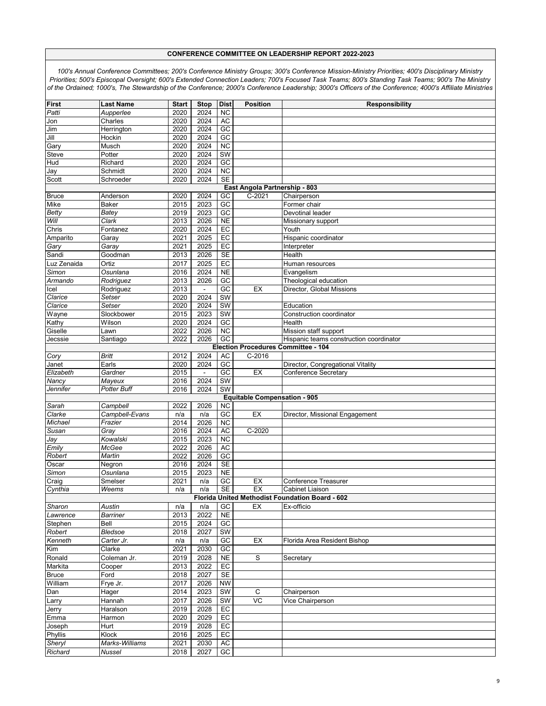| First                                           | <b>Last Name</b> | <b>Start</b> | <b>Stop</b>    | <b>Dist</b>            | <b>Position</b>                     | <b>Responsibility</b>                           |  |  |  |  |
|-------------------------------------------------|------------------|--------------|----------------|------------------------|-------------------------------------|-------------------------------------------------|--|--|--|--|
| Patti                                           | Aupperlee        | 2020         | 2024           | $\overline{NC}$        |                                     |                                                 |  |  |  |  |
| Jon                                             | Charles          | 2020         | 2024           | AC                     |                                     |                                                 |  |  |  |  |
| Jim                                             | Herrington       | 2020         | 2024           | $G$ C                  |                                     |                                                 |  |  |  |  |
| Jill                                            | Hockin           | 2020         | 2024           | $\overline{GC}$        |                                     |                                                 |  |  |  |  |
| Gary                                            | Musch            | 2020         | 2024           | $\overline{NC}$        |                                     |                                                 |  |  |  |  |
| Steve                                           | Potter           | 2020         | 2024           | <b>SW</b>              |                                     |                                                 |  |  |  |  |
| Hud                                             | Richard          | 2020         | 2024           | $\overline{GC}$        |                                     |                                                 |  |  |  |  |
| Jay                                             | Schmidt          | 2020         | 2024           | $\overline{NC}$        |                                     |                                                 |  |  |  |  |
| Scott                                           | Schroeder        | 2020         | 2024           | <b>SE</b>              |                                     |                                                 |  |  |  |  |
|                                                 |                  |              |                |                        | East Angola Partnership - 803       |                                                 |  |  |  |  |
| <b>Bruce</b>                                    | Anderson         | 2020         | 2024           | GC                     | $C-2021$                            | Chairperson                                     |  |  |  |  |
| Mike                                            | Baker            | 2015         | 2023           | GC                     |                                     | Former chair                                    |  |  |  |  |
| <b>Betty</b>                                    | Batey            | 2019         | 2023           | $\overline{GC}$        |                                     | Devotinal leader                                |  |  |  |  |
| Will                                            | Clark            | 2013         | 2026           | <b>NE</b>              |                                     | Missionary support                              |  |  |  |  |
|                                                 |                  |              | 2024           | EC                     |                                     |                                                 |  |  |  |  |
| Chris                                           | Fontanez         | 2020         |                |                        |                                     | Youth                                           |  |  |  |  |
| Amparito                                        | Garay            | 2021         | 2025           | EC                     |                                     | Hispanic coordinator                            |  |  |  |  |
| Gary                                            | Garay            | 2021         | 2025           | EC                     |                                     | Interpreter                                     |  |  |  |  |
| Sandi                                           | Goodman          | 2013         | 2026           | <b>SE</b>              |                                     | Health                                          |  |  |  |  |
| Luz Zenaida                                     | Ortiz            | 2017         | 2025           | EC                     |                                     | Human resources                                 |  |  |  |  |
| Simon                                           | Osunlana         | 2016         | 2024           | N <sub>E</sub>         |                                     | Evangelism                                      |  |  |  |  |
| Armando                                         | Rodriguez        | 2013         | 2026           | GC                     |                                     | Theological education                           |  |  |  |  |
| lcel                                            | Rodriguez        | 2013         | $\blacksquare$ | $\overline{GC}$        | EX                                  | Director, Global Missions                       |  |  |  |  |
| Clarice                                         | Setser           | 2020         | 2024           | <b>SW</b>              |                                     |                                                 |  |  |  |  |
| Clarice                                         | Setser           | 2020         | 2024           | <b>SW</b>              |                                     | Education                                       |  |  |  |  |
| Wayne                                           | Slockbower       | 2015         | 2023           | <b>SW</b>              |                                     | Construction coordinator                        |  |  |  |  |
| Kathy                                           | Wilson           | 2020         | 2024           | GC                     |                                     | Health                                          |  |  |  |  |
| Giselle                                         | Lawn             | 2022         | 2026           | $\overline{NC}$        |                                     | Mission staff support                           |  |  |  |  |
| Jecssie                                         |                  | 2022         | 2026           | $\overline{GC}$        |                                     | Hispanic teams construction coordinator         |  |  |  |  |
| Santiago<br>Election Procedures Committee - 104 |                  |              |                |                        |                                     |                                                 |  |  |  |  |
|                                                 |                  |              |                |                        |                                     |                                                 |  |  |  |  |
| Cory                                            | Britt            | 2012         | 2024           | <b>AC</b>              | $C-2016$                            |                                                 |  |  |  |  |
| Janet                                           | Earls            | 2020         | 2024           | GC                     |                                     | Director, Congregational Vitality               |  |  |  |  |
| Elizabeth                                       | Gardner          | 2015         | $\blacksquare$ | GC                     | EX                                  | Conference Secretary                            |  |  |  |  |
| Nancy                                           | Mayeux           | 2016         | 2024           | SW                     |                                     |                                                 |  |  |  |  |
| Jennifer                                        | Potter Buff      | 2016         | 2024           | SW                     |                                     |                                                 |  |  |  |  |
|                                                 |                  |              |                |                        | <b>Equitable Compensation - 905</b> |                                                 |  |  |  |  |
| Sarah                                           | Campbell         | 2022         | 2026           | <b>NC</b>              |                                     |                                                 |  |  |  |  |
| Clarke                                          | Campbell-Evans   | n/a          | n/a            | GC                     | EX                                  | Director, Missional Engagement                  |  |  |  |  |
| Michael                                         | Frazier          | 2014         | 2026           | <b>NC</b>              |                                     |                                                 |  |  |  |  |
| Susan                                           | Gray             | 2016         | 2024           | AC                     | $C-2020$                            |                                                 |  |  |  |  |
| Jay                                             | Kowalski         | 2015         | 2023           | <b>NC</b>              |                                     |                                                 |  |  |  |  |
| Emily                                           | McGee            | 2022         | 2026           | <b>AC</b>              |                                     |                                                 |  |  |  |  |
| Robert                                          | Martin           | 2022         | 2026           | $G$ C                  |                                     |                                                 |  |  |  |  |
| Oscar                                           | Negron           | 2016         | 2024           | <b>SE</b>              |                                     |                                                 |  |  |  |  |
| Simon                                           | Osunlana         | 2015         | 2023           | <b>NE</b>              |                                     |                                                 |  |  |  |  |
| Craig                                           | Smelser          | 2021         | n/a            | GC                     | EX                                  | Conference Treasurer                            |  |  |  |  |
| Cynthia                                         | Weems            | n/a          | n/a            | $\overline{\text{SE}}$ | EX                                  | Cabinet Liaison                                 |  |  |  |  |
|                                                 |                  |              |                |                        |                                     | Florida United Methodist Foundation Board - 602 |  |  |  |  |
| Sharon                                          | Austin           |              |                | GC                     | EX                                  | Ex-officio                                      |  |  |  |  |
|                                                 | Barriner         | n/a<br>2013  | n/a<br>2022    | $NE$                   |                                     |                                                 |  |  |  |  |
| Lawrence                                        |                  |              |                |                        |                                     |                                                 |  |  |  |  |
| Stephen                                         | Bell             | 2015         | 2024           | $\overline{GC}$        |                                     |                                                 |  |  |  |  |
| Robert                                          | Bledsoe          | 2018         | 2027           | SW                     |                                     |                                                 |  |  |  |  |
| Kenneth                                         | Carter Jr.       | n/a          | n/a            | $\overline{GC}$        | EX                                  | Florida Area Resident Bishop                    |  |  |  |  |
| Kim                                             | Clarke           | 2021         | 2030           | GC                     |                                     |                                                 |  |  |  |  |
| Ronald                                          | Coleman Jr.      | 2019         | 2028           | <b>NE</b>              | S                                   | Secretary                                       |  |  |  |  |
| Markita                                         | Cooper           | 2013         | 2022           | EC                     |                                     |                                                 |  |  |  |  |
| <b>Bruce</b>                                    | Ford             | 2018         | 2027           | <b>SE</b>              |                                     |                                                 |  |  |  |  |
| William                                         | Frye Jr.         | 2017         | 2026           | <b>NW</b>              |                                     |                                                 |  |  |  |  |
| Dan                                             | Hager            | 2014         | 2023           | SW                     | C                                   | Chairperson                                     |  |  |  |  |
| Larry                                           | Hannah           | 2017         | 2026           | SW                     | VC                                  | Vice Chairperson                                |  |  |  |  |
| Jerry                                           | Haralson         | 2019         | 2028           | EC                     |                                     |                                                 |  |  |  |  |
|                                                 |                  |              |                |                        |                                     |                                                 |  |  |  |  |
| Emma                                            | Harmon           | 2020         | 2029           | EC                     |                                     |                                                 |  |  |  |  |
| Joseph                                          | Hurt             | 2019         | 2028           | EC                     |                                     |                                                 |  |  |  |  |
| Phyllis                                         | Klock            | 2016         | 2025           | EC                     |                                     |                                                 |  |  |  |  |
| Sheryl                                          | Marks-Williams   | 2021         | 2030           | <b>AC</b>              |                                     |                                                 |  |  |  |  |
| Richard                                         | Nussel           | 2018         | 2027           | GC                     |                                     |                                                 |  |  |  |  |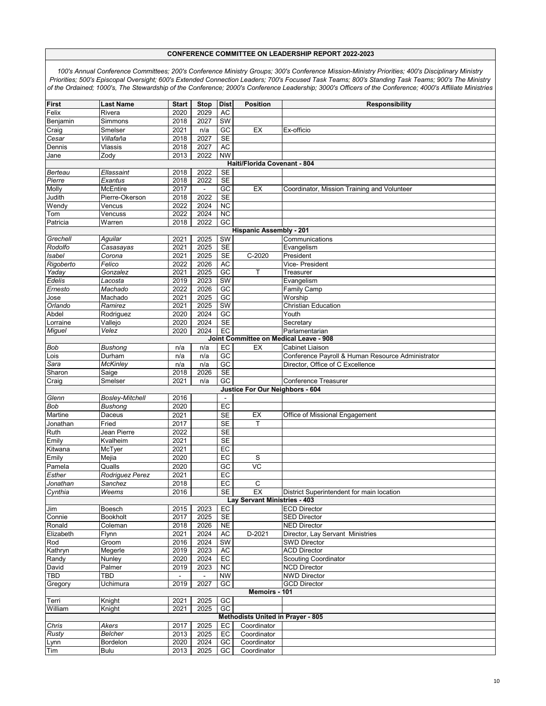| First                     | <b>Last Name</b>       | <b>Start</b> | <b>Stop</b>    | <b>Dist</b>            | <b>Position</b>                          | Responsibility                                    |
|---------------------------|------------------------|--------------|----------------|------------------------|------------------------------------------|---------------------------------------------------|
| Felix                     | Rivera                 | 2020         | 2029           | <b>AC</b>              |                                          |                                                   |
| Benjamin                  | Simmons                | 2018         | 2027           | SW                     |                                          |                                                   |
| Craig                     | Smelser                | 2021         | n/a            | GC                     | EX                                       | Ex-officio                                        |
| Cesar                     | Villafaña              | 2018         | 2027           | $\overline{\text{SE}}$ |                                          |                                                   |
| Dennis                    | Vlassis                | 2018         | 2027           | AC                     |                                          |                                                   |
| Jane                      | Zody                   | 2013         | 2022           | <b>NW</b>              |                                          |                                                   |
|                           |                        |              |                |                        | Haiti/Florida Covenant - 804             |                                                   |
| Berteau                   | Ellassaint             | 2018         | 2022           | SE                     |                                          |                                                   |
| Pierre                    | Exantus                | 2018         | 2022           | <b>SE</b>              |                                          |                                                   |
| Molly                     | <b>McEntire</b>        | 2017         | $\blacksquare$ | GC                     | EX                                       | Coordinator, Mission Training and Volunteer       |
| Judith                    | Pierre-Okerson         | 2018         | 2022           | <b>SE</b>              |                                          |                                                   |
| Wendy                     |                        |              | 2024           |                        |                                          |                                                   |
|                           | Vencus                 | 2022         |                | <b>NC</b><br><b>NC</b> |                                          |                                                   |
| Tom                       | Vencuss                | 2022         | 2024           |                        |                                          |                                                   |
| Patricia                  | Warren                 | 2018         | 2022           | GC                     |                                          |                                                   |
|                           |                        |              |                |                        | <b>Hispanic Assembly - 201</b>           |                                                   |
| Grechell                  | Aguilar                | 2021         | 2025           | $\overline{\text{SW}}$ |                                          | Communications                                    |
| Rodolfo                   | Casasayas              | 2021         | 2025           | <b>SE</b>              |                                          | Evangelism                                        |
| <b>Isabel</b>             | Corona                 | 2021         | 2025           | SE                     | $C-2020$                                 | President                                         |
| Rigoberto                 | Felico                 | 2022         | 2026           | <b>AC</b>              |                                          | Vice- President                                   |
| Yaday                     | Gonzalez               | 2021         | 2025           | $G$ C                  | T                                        | Treasurer                                         |
| Edelis                    | Lacosta                | 2019         | 2023           | SW                     |                                          | Evangelism                                        |
| Ernesto                   | Machado                | 2022         | 2026           | GC                     |                                          | <b>Family Camp</b>                                |
| Jose                      | Machado                | 2021         | 2025           | $\overline{GC}$        |                                          | Worship                                           |
| Orlando                   | Ramirez                | 2021         | 2025           | <b>SW</b>              |                                          | <b>Christian Education</b>                        |
| Abdel                     | Rodriguez              | 2020         | 2024           | $\overline{GC}$        |                                          | Youth                                             |
| Lorraine                  | Vallejo                | 2020         | 2024           | SE                     |                                          | Secretary                                         |
| Miguel                    | Velez                  | 2020         | 2024           | $E$ C                  |                                          | Parlamentarian                                    |
|                           |                        |              |                |                        |                                          | Joint Committee on Medical Leave - 908            |
| <b>Bob</b>                | <b>Bushong</b>         | n/a          | n/a            | EC                     | EX                                       | <b>Cabinet Liaison</b>                            |
| Lois                      | Durham                 | n/a          | n/a            | $\overline{GC}$        |                                          | Conference Payroll & Human Resource Administrator |
|                           |                        |              | n/a            | GC                     |                                          | Director, Office of C Excellence                  |
| Sara                      | McKinley               | n/a          |                | <b>SE</b>              |                                          |                                                   |
| Sharon                    | Saige                  | 2018         | 2026           |                        |                                          |                                                   |
| Craig                     | Smelser                | 2021         | n/a            | GC                     |                                          | <b>Conference Treasurer</b>                       |
|                           |                        |              |                |                        | Justice For Our Neighbors - 604          |                                                   |
| Glenn                     | <b>Bosley-Mitchell</b> | 2016         |                |                        |                                          |                                                   |
| Bob                       | <b>Bushong</b>         | 2020         |                | $E$ C                  |                                          |                                                   |
| Martine                   | Daceus                 | 2021         |                | <b>SE</b>              | EX                                       | Office of Missional Engagement                    |
| Jonathan                  | Fried                  | 2017         |                | <b>SE</b>              | т                                        |                                                   |
| Ruth                      | Jean Pierre            | 2022         |                | <b>SE</b>              |                                          |                                                   |
| Emily                     | Kvalheim               | 2021         |                | <b>SE</b>              |                                          |                                                   |
| Kitwana                   | McTyer                 |              |                |                        |                                          |                                                   |
| Emily                     |                        | 2021         |                | EC                     |                                          |                                                   |
| Pamela                    |                        | 2020         |                | EC                     | S                                        |                                                   |
|                           | Mejia                  |              |                |                        |                                          |                                                   |
|                           | Qualls                 | 2020         |                | $\overline{GC}$        | $\overline{VC}$                          |                                                   |
| Esther                    | Rodriguez Perez        | 2021         |                | EC                     |                                          |                                                   |
| Jonathan                  | Sanchez                | 2018         |                | EC                     | С                                        |                                                   |
|                           | Weems                  | 2016         |                | SE                     | EX                                       | District Superintendent for main location         |
| Cynthia                   |                        |              |                |                        | Lay Servant Ministries - 403             |                                                   |
| Jim                       | Boesch                 | 2015         | 2023           | EC                     |                                          | <b>ECD Director</b>                               |
| Connie                    | <b>Bookholt</b>        | 2017         | 2025           | <b>SE</b>              |                                          | <b>SED Director</b>                               |
| Ronald                    | Coleman                | 2018         | 2026           | <b>NE</b>              |                                          | <b>NED Director</b>                               |
| Elizabeth                 | Flynn                  | 2021         | 2024           | <b>AC</b>              | D-2021                                   | Director, Lay Servant Ministries                  |
| Rod                       | Groom                  | 2016         | 2024           | SW                     |                                          | <b>SWD Director</b>                               |
| Kathryn                   | Megerle                | 2019         | 2023           | <b>AC</b>              |                                          | <b>ACD Director</b>                               |
|                           | Nunley                 | 2020         | 2024           | EC                     |                                          | <b>Scouting Coordinator</b>                       |
| David                     | Palmer                 | 2019         | 2023           | <b>NC</b>              |                                          | <b>NCD Director</b>                               |
| <b>TBD</b>                | TBD                    |              | $\blacksquare$ | <b>NW</b>              |                                          | <b>NWD Director</b>                               |
| Gregory                   | Uchimura               | 2019         | 2027           | GC                     |                                          | <b>GCD Director</b>                               |
|                           |                        |              |                |                        | Memoirs - 101                            |                                                   |
|                           | Knight                 | 2021         | 2025           | GC                     |                                          |                                                   |
|                           | Knight                 | 2021         | 2025           | $\overline{GC}$        |                                          |                                                   |
| Randy<br>Terri<br>William |                        |              |                |                        | <b>Methodists United in Prayer - 805</b> |                                                   |
|                           | Akers                  | 2017         | 2025           | EC                     | Coordinator                              |                                                   |
| Chris                     | <b>Belcher</b>         | 2013         |                | EC                     | Coordinator                              |                                                   |
| <b>Rusty</b>              | Bordelon               | 2020         | 2025<br>2024   | GC                     | Coordinator                              |                                                   |
| Lynn<br>Tim               | Bulu                   | 2013         | 2025           | GC                     | Coordinator                              |                                                   |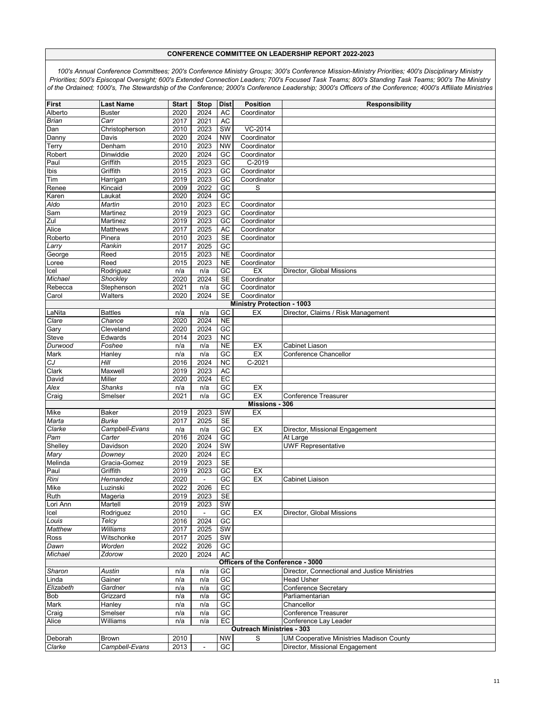| <b>First</b>   | <b>Last Name</b> | <b>Start</b> | <b>Stop</b>    | <b>Dist</b>     | <b>Position</b>                   | <b>Responsibility</b>                           |
|----------------|------------------|--------------|----------------|-----------------|-----------------------------------|-------------------------------------------------|
| Alberto        | Buster           | 2020         | 2024           | AC              | Coordinator                       |                                                 |
| Brian          | Carr             | 2017         | 2021           | <b>AC</b>       |                                   |                                                 |
| Dan            | Christopherson   | 2010         | 2023           | <b>SW</b>       | VC-2014                           |                                                 |
| Danny          | Davis            | 2020         | 2024           | <b>NW</b>       | Coordinator                       |                                                 |
| Terry          | Denham           | 2010         | 2023           | <b>NW</b>       | Coordinator                       |                                                 |
| Robert         | Dinwiddie        | 2020         | 2024           | GC              | Coordinator                       |                                                 |
| Paul           | Griffith         | 2015         | 2023           | $\overline{GC}$ | C-2019                            |                                                 |
| Ibis           | Griffith         | 2015         | 2023           | GC              | Coordinator                       |                                                 |
| Tim            | Harrigan         | 2019         | 2023           | $\overline{GC}$ | Coordinator                       |                                                 |
| Renee          | Kincaid          | 2009         | 2022           | GC              | S                                 |                                                 |
| Karen          | Laukat           | 2020         | 2024           | GC              |                                   |                                                 |
| Aldo           | Martin           | 2010         | 2023           | EC              | Coordinator                       |                                                 |
| Sam            | Martinez         | 2019         | 2023           | GC              | Coordinator                       |                                                 |
| Zul            | Martinez         | 2019         | 2023           | GC              | Coordinator                       |                                                 |
| Alice          | Matthews         | 2017         | 2025           | AC              | Coordinator                       |                                                 |
| Roberto        | Pinera           | 2010         | 2023           | <b>SE</b>       | Coordinator                       |                                                 |
| Larry          | Rankin           | 2017         | 2025           | GC              |                                   |                                                 |
| George         | Reed             | 2015         | 2023           | <b>NE</b>       | Coordinator                       |                                                 |
| Loree          | Reed             | 2015         | 2023           | <b>NE</b>       | Coordinator                       |                                                 |
| Icel           | Rodriguez        | n/a          | n/a            | $\overline{GC}$ | EX                                | Director, Global Missions                       |
| Michael        | Shockley         | 2020         | 2024           | SE              | Coordinator                       |                                                 |
| Rebecca        | Stephenson       | 2021         | n/a            | $\overline{GC}$ | Coordinator                       |                                                 |
| Carol          | Walters          | 2020         | 2024           | <b>SE</b>       | Coordinator                       |                                                 |
|                |                  |              |                |                 | <b>Ministry Protection - 1003</b> |                                                 |
| LaNita         | <b>Battles</b>   | n/a          | n/a            | $\overline{GC}$ | EX                                | Director, Claims / Risk Management              |
| Clare          | Chance           | 2020         | 2024           | N <sub>E</sub>  |                                   |                                                 |
| Gary           | Cleveland        | 2020         | 2024           | GC              |                                   |                                                 |
| Steve          | Edwards          | 2014         | 2023           | <b>NC</b>       |                                   |                                                 |
| Durwood        | Foshee           | n/a          | n/a            | <b>NE</b>       | EX                                | Cabinet Liason                                  |
| Mark           | Hanley<br>Hill   | n/a          | n/a<br>2024    | GC<br><b>NC</b> | EX<br>$C-2021$                    | Conference Chancellor                           |
| CJ             | Maxwell          | 2016<br>2019 | 2023           | AC              |                                   |                                                 |
| Clark<br>David | Miller           | 2020         | 2024           | EC              |                                   |                                                 |
| Alex           | <b>Shanks</b>    |              |                | GC              | EX                                |                                                 |
| Craig          | Smelser          | n/a<br>2021  | n/a<br>n/a     | GC              | EX                                | <b>Conference Treasurer</b>                     |
|                |                  |              |                |                 | Missions - 306                    |                                                 |
| Mike           | Baker            | 2019         | 2023           | SW              | EX                                |                                                 |
| Marta          | <b>Burke</b>     | 2017         | 2025           | <b>SE</b>       |                                   |                                                 |
| Clarke         | Campbell-Evans   | n/a          | n/a            | $\overline{GC}$ | EX                                | Director, Missional Engagement                  |
| Pam            | Carter           | 2016         | 2024           | $\overline{GC}$ |                                   | At Large                                        |
| Shelley        | Davidson         | 2020         | 2024           | <b>SW</b>       |                                   | <b>UWF Representative</b>                       |
| Mary           | Downey           | 2020         | 2024           | $E$ C           |                                   |                                                 |
| Melinda        | Gracia-Gomez     | 2019         | 2023           | SE              |                                   |                                                 |
| Paul           | Griffith         | 2019         | 2023           | GC              | EX                                |                                                 |
| Rini           | Hernandez        | 2020         | $\overline{a}$ | $G$ C           | EX                                | Cabinet Liaison                                 |
| Mike           | Luzinski         | 2022         | 2026           | EC              |                                   |                                                 |
| Ruth           | Mageria          | 2019         | 2023           | <b>SE</b>       |                                   |                                                 |
| Lori Ann       | Martell          | 2019         | 2023           | SW              |                                   |                                                 |
| Icel           | Rodriguez        | 2010         |                | $\overline{GC}$ | EX                                | Director, Global Missions                       |
| Louis          | Telcy            | 2016         | 2024           | $\overline{GC}$ |                                   |                                                 |
| <b>Matthew</b> | Williams         | 2017         | 2025           | SW              |                                   |                                                 |
| Ross           | Witschonke       | 2017         | 2025           | SW              |                                   |                                                 |
| Dawn           | Worden           | 2022         | 2026           | GC              |                                   |                                                 |
| Michael        | Zdorow           | 2020         | 2024           | AC              |                                   |                                                 |
|                |                  |              |                |                 | Officers of the Conference - 3000 |                                                 |
| Sharon         | Austin           | n/a          | n/a            | GC              |                                   | Director, Connectional and Justice Ministries   |
| Linda          | Gainer           | n/a          | n/a            | GC              |                                   | <b>Head Usher</b>                               |
| Elizabeth      | Gardner          | n/a          | n/a            | GC              |                                   | Conference Secretary                            |
| <b>Bob</b>     | Grizzard         | n/a          | n/a            | GC              |                                   | Parliamentarian                                 |
| Mark           | Hanley           | n/a          | n/a            | GC              |                                   | Chancellor                                      |
| Craig          | Smelser          | n/a          | n/a            | GC              |                                   | <b>Conference Treasurer</b>                     |
| Alice          | Williams         | n/a          | n/a            | EC              |                                   | Conference Lay Leader                           |
|                |                  |              |                |                 | <b>Outreach Ministries - 303</b>  |                                                 |
| Deborah        | Brown            | 2010         |                | NW              | S                                 | <b>UM Cooperative Ministries Madison County</b> |
| Clarke         | Campbell-Evans   | 2013         | $\blacksquare$ | GC              |                                   | Director, Missional Engagement                  |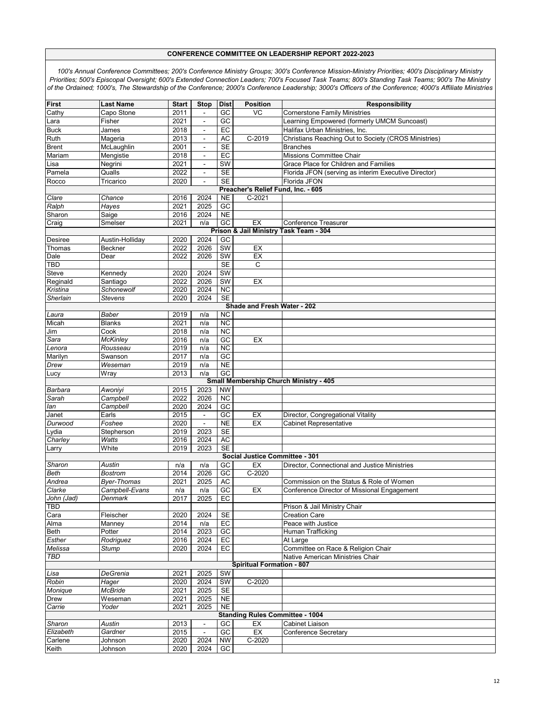| First                | <b>Last Name</b>      | <b>Start</b>      | <b>Stop</b>              | <b>Dist</b>                  | <b>Position</b>                        | <b>Responsibility</b>                                |
|----------------------|-----------------------|-------------------|--------------------------|------------------------------|----------------------------------------|------------------------------------------------------|
| Cathy                | Capo Stone            | 2011              |                          | GC                           | VC                                     | <b>Cornerstone Family Ministries</b>                 |
| Lara                 | Fisher                | 2021              | $\frac{1}{2}$            | GC                           |                                        | Learning Empowered (formerly UMCM Suncoast)          |
| <b>Buck</b>          | James                 | 2018              | $\blacksquare$           | EC                           |                                        | Halifax Urban Ministries, Inc.                       |
| Ruth                 | Mageria               | 2013              | $\blacksquare$           | AC                           | $C-2019$                               | Christians Reaching Out to Society (CROS Ministries) |
| <b>Brent</b>         | McLaughlin            | 2001              | $\blacksquare$           | <b>SE</b>                    |                                        | <b>Branches</b>                                      |
| Mariam               | Mengistie             | 2018              | $\overline{\phantom{a}}$ | EC                           |                                        | Missions Committee Chair                             |
| Lisa                 | Negrini               | 2021              | ÷,                       | SW                           |                                        | Grace Place for Children and Families                |
| Pamela               | Qualls                | 2022              | $\sim$                   | <b>SE</b>                    |                                        | Florida JFON (serving as interim Executive Director) |
| Rocco                | Tricarico             | 2020              | $\blacksquare$           | <b>SE</b>                    |                                        | Florida JFON                                         |
|                      |                       |                   |                          |                              | Preacher's Relief Fund, Inc. - 605     |                                                      |
| Clare                | Chance                | 2016              | 2024                     | <b>NE</b>                    | $C-2021$                               |                                                      |
| Ralph                | <b>Hayes</b>          | 2021              | 2025                     | GC                           |                                        |                                                      |
| Sharon               | Saige                 | 2016              | 2024                     | N <sub>E</sub>               |                                        |                                                      |
| Craig                | Smelser               | 2021              | n/a                      | $\overline{GC}$              | EX                                     | <b>Conference Treasurer</b>                          |
|                      |                       |                   |                          |                              |                                        | Prison & Jail Ministry Task Team - 304               |
| <b>Desiree</b>       | Austin-Holliday       | 2020              | 2024                     | GC                           |                                        |                                                      |
| Thomas               | <b>Beckner</b>        | 2022              | 2026                     | <b>SW</b>                    | EX                                     |                                                      |
| Dale                 | Dear                  | 2022              | 2026                     | SW                           | EX                                     |                                                      |
| <b>TBD</b>           |                       |                   |                          | SE                           | C                                      |                                                      |
| Steve                | Kennedv               | 2020              | 2024                     | <b>SW</b>                    |                                        |                                                      |
| Reginald             | Santiago              | 2022              | 2026                     | SW                           | EX                                     |                                                      |
| Kristina             | Schonewolf            | 2020              | 2024                     | $\overline{NC}$              |                                        |                                                      |
| Sherlain             | <b>Stevens</b>        | 2020              | 2024                     | <b>SE</b>                    | Shade and Fresh Water - 202            |                                                      |
| Laura                | Baber                 | 2019              | n/a                      | <b>NC</b>                    |                                        |                                                      |
| Micah                | <b>Blanks</b>         | 2021              | n/a                      | <b>NC</b>                    |                                        |                                                      |
| Jim                  | Cook                  | 2018              | n/a                      | <b>NC</b>                    |                                        |                                                      |
| Sara                 | <b>McKinlev</b>       | 2016              | n/a                      | GC                           | EX                                     |                                                      |
| Lenora               | Rousseau              | 2019              | n/a                      | <b>NC</b>                    |                                        |                                                      |
| Marilyn              | Swanson               | 2017              | n/a                      | GC                           |                                        |                                                      |
| Drew                 | Weseman               | 2019              | n/a                      | <b>NE</b>                    |                                        |                                                      |
| Lucy                 | Wray                  | 2013              | n/a                      | GC                           |                                        |                                                      |
|                      |                       |                   |                          |                              |                                        | <b>Small Membership Church Ministry - 405</b>        |
| Barbara              | Awoniyi               | 2015              | 2023                     | <b>NW</b>                    |                                        |                                                      |
| Sarah                | Campbell              | 2022              | 2026                     | <b>NC</b>                    |                                        |                                                      |
| lan                  | Campbell              | 2020              | 2024                     | GC                           |                                        |                                                      |
| Janet                | Earls                 | 2015              | $\blacksquare$           | GC                           | EX                                     | Director, Congregational Vitality                    |
| Durwood              | Foshee                | 2020              | ÷,                       | N <sub>E</sub>               | EX                                     | <b>Cabinet Representative</b>                        |
| Lydia                | Stepherson            | 2019              | 2023                     | <b>SE</b>                    |                                        |                                                      |
| Charley              | <b>Watts</b><br>White | 2016<br>2019      | 2024<br>2023             | <b>AC</b><br><b>SE</b>       |                                        |                                                      |
| Larry                |                       |                   |                          |                              | Social Justice Committee - 301         |                                                      |
| Sharon               | Austin                | n/a               | n/a                      | GC                           | EX                                     | Director, Connectional and Justice Ministries        |
| <b>Beth</b>          | <b>Bostrom</b>        | 2014              | 2026                     | GC                           | $C-2020$                               |                                                      |
| Andrea               | <b>Byer-Thomas</b>    | 2021              | 2025                     | <b>AC</b>                    |                                        | Commission on the Status & Role of Women             |
| Clarke               | Campbell-Evans        | n/a               | n/a                      | GC                           | EX                                     | Conference Director of Missional Engagement          |
| John (Jad)           | Denmark               | 2017              | 2025                     | EC                           |                                        |                                                      |
| <b>TBD</b>           |                       |                   |                          |                              |                                        | Prison & Jail Ministry Chair                         |
| Cara                 | Fleischer             | 2020              | 2024                     | <b>SE</b>                    |                                        | <b>Creation Care</b>                                 |
| Alma                 | Manney                | 2014              | n/a                      | EC                           |                                        | Peace with Justice                                   |
| Beth                 | Potter                | $\overline{20}14$ | 2023                     | GC                           |                                        | Human Trafficking                                    |
| Esther               | Rodriguez             | 2016              | 2024                     | EC                           |                                        | At Large                                             |
| Melissa              | Stump                 | 2020              | 2024                     | EC                           |                                        | Committee on Race & Religion Chair                   |
| <b>TBD</b>           |                       |                   |                          |                              |                                        | Native American Ministries Chair                     |
|                      |                       |                   |                          |                              | <b>Spiritual Formation - 807</b>       |                                                      |
| Lisa                 | DeGrenia              | 2021              | 2025                     | SW                           |                                        |                                                      |
| Robin                | Hager                 | 2020              | 2024                     | SW                           | C-2020                                 |                                                      |
| Monique              | <b>McBride</b>        | 2021              | 2025                     | <b>SE</b>                    |                                        |                                                      |
| <b>Drew</b>          | Weseman               | 2021              | 2025                     | <b>NE</b>                    |                                        |                                                      |
| Carrie               | Yoder                 | 2021              | 2025                     | NE                           |                                        |                                                      |
|                      |                       |                   |                          |                              | <b>Standing Rules Committee - 1004</b> |                                                      |
| Sharon               | Austin                | 2013              | $\frac{1}{2}$            | GC                           | EX<br>EX                               | <b>Cabinet Liaison</b>                               |
| Elizabeth<br>Carlene | Gardner               | 2015<br>2020      | ÷<br>2024                | $\overline{GC}$<br><b>NW</b> | $C-2020$                               | Conference Secretary                                 |
| Keith                | Johnson               | 2020              | 2024                     | GC                           |                                        |                                                      |
|                      | Johnson               |                   |                          |                              |                                        |                                                      |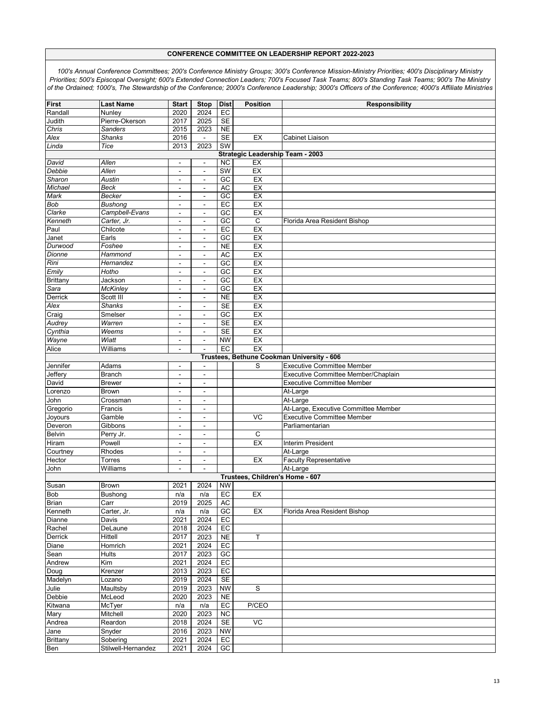| First                                      | <b>Last Name</b>   |                          | <b>Stop</b>              | <b>Dist</b>     | <b>Position</b>                         |                                      |  |  |  |  |
|--------------------------------------------|--------------------|--------------------------|--------------------------|-----------------|-----------------------------------------|--------------------------------------|--|--|--|--|
|                                            |                    | <b>Start</b>             |                          |                 |                                         | Responsibility                       |  |  |  |  |
| Randall                                    | Nunley             | 2020                     | 2024                     | EC              |                                         |                                      |  |  |  |  |
| Judith                                     | Pierre-Okerson     | 2017                     | 2025                     | SE              |                                         |                                      |  |  |  |  |
| Chris                                      | <b>Sanders</b>     | 2015                     | 2023                     | <b>NE</b>       |                                         |                                      |  |  |  |  |
| Alex                                       | <b>Shanks</b>      | 2016                     | $\blacksquare$           | <b>SE</b>       | EX                                      | <b>Cabinet Liaison</b>               |  |  |  |  |
| Linda                                      | Tice               | 2013                     | 2023                     | <b>SW</b>       |                                         |                                      |  |  |  |  |
|                                            |                    |                          |                          |                 | <b>Strategic Leadership Team - 2003</b> |                                      |  |  |  |  |
| David                                      | Allen              | $\blacksquare$           | $\overline{\phantom{a}}$ | <b>NC</b>       | EX                                      |                                      |  |  |  |  |
| Debbie                                     | Allen              | $\overline{\phantom{a}}$ | $\overline{\phantom{a}}$ | SW              | EX                                      |                                      |  |  |  |  |
| Sharon                                     | Austin             | $\blacksquare$           | $\blacksquare$           | $G$ C           | EX                                      |                                      |  |  |  |  |
|                                            |                    |                          |                          |                 |                                         |                                      |  |  |  |  |
| Michael                                    | Beck               | $\blacksquare$           | $\blacksquare$           | <b>AC</b>       | EX                                      |                                      |  |  |  |  |
| Mark                                       | Becker             | $\blacksquare$           | $\blacksquare$           | $\overline{GC}$ | EX                                      |                                      |  |  |  |  |
| <b>Bob</b>                                 | Bushong            | $\blacksquare$           | $\blacksquare$           | EC              | EX                                      |                                      |  |  |  |  |
| Clarke                                     | Campbell-Evans     | $\blacksquare$           | $\blacksquare$           | GC              | EX                                      |                                      |  |  |  |  |
| Kenneth                                    | Carter, Jr.        | $\blacksquare$           | $\blacksquare$           | GC              | $\mathsf C$                             | Florida Area Resident Bishop         |  |  |  |  |
| Paul                                       | Chilcote           | $\overline{a}$           | ÷                        | EC              | EX                                      |                                      |  |  |  |  |
| Janet                                      | Earls              | $\overline{a}$           | ÷                        | GC              | EX                                      |                                      |  |  |  |  |
| Durwood                                    | Foshee             | $\overline{\phantom{a}}$ | $\overline{a}$           | <b>NE</b>       | EX                                      |                                      |  |  |  |  |
| Dionne                                     | Hammond            | $\blacksquare$           | $\blacksquare$           | AC              | EX                                      |                                      |  |  |  |  |
| Rini                                       | Hernandez          |                          |                          | $G$ C           | EX                                      |                                      |  |  |  |  |
|                                            |                    | $\overline{a}$           | ÷                        |                 |                                         |                                      |  |  |  |  |
| Emily                                      | Hotho              | $\sim$                   | $\blacksquare$           | GC              | EX                                      |                                      |  |  |  |  |
| <b>Brittany</b>                            | Jackson            | $\overline{\phantom{a}}$ | ÷                        | GC              | EX                                      |                                      |  |  |  |  |
| Sara                                       | <b>McKinley</b>    | $\blacksquare$           | $\overline{a}$           | $\overline{GC}$ | EX                                      |                                      |  |  |  |  |
| Derrick                                    | Scott III          | $\blacksquare$           | $\blacksquare$           | <b>NE</b>       | EX                                      |                                      |  |  |  |  |
| Alex                                       | <b>Shanks</b>      | $\overline{a}$           | $\blacksquare$           | <b>SE</b>       | EX                                      |                                      |  |  |  |  |
| Craig                                      | Smelser            | $\overline{\phantom{a}}$ | $\blacksquare$           | GC              | EX                                      |                                      |  |  |  |  |
| Audrey                                     | Warren             |                          |                          | <b>SE</b>       | EX                                      |                                      |  |  |  |  |
|                                            |                    | $\blacksquare$           | $\blacksquare$           |                 |                                         |                                      |  |  |  |  |
| Cynthia                                    | Weems              | $\overline{\phantom{a}}$ | $\blacksquare$           | SE              | EX                                      |                                      |  |  |  |  |
| Wayne                                      | Wiatt              | $\blacksquare$           | $\blacksquare$           | <b>NW</b>       | EX                                      |                                      |  |  |  |  |
| Alice                                      | Williams           | $\overline{\phantom{a}}$ |                          | EC              | EX                                      |                                      |  |  |  |  |
| Trustees, Bethune Cookman University - 606 |                    |                          |                          |                 |                                         |                                      |  |  |  |  |
| Jennifer                                   | Adams              | $\blacksquare$           | $\blacksquare$           |                 | S                                       | <b>Executive Committee Member</b>    |  |  |  |  |
| Jeffery                                    | <b>Branch</b>      | $\overline{\phantom{a}}$ | ٠                        |                 |                                         | Executive Committee Member/Chaplain  |  |  |  |  |
| David                                      | <b>Brewer</b>      | $\blacksquare$           | $\blacksquare$           |                 |                                         | <b>Executive Committee Member</b>    |  |  |  |  |
| Lorenzo                                    | <b>Brown</b>       | $\overline{a}$           | ۰                        |                 |                                         | At-Large                             |  |  |  |  |
| John                                       | Crossman           | $\sim$                   | $\sim$                   |                 |                                         | At-Large                             |  |  |  |  |
|                                            |                    |                          |                          |                 |                                         |                                      |  |  |  |  |
| Gregorio                                   | Francis            | $\blacksquare$           | $\blacksquare$           |                 |                                         | At-Large, Executive Committee Member |  |  |  |  |
| Joyours                                    | Gamble             | $\blacksquare$           | ٠                        |                 | VC                                      | <b>Executive Committee Member</b>    |  |  |  |  |
| Deveron                                    | Gibbons            | $\blacksquare$           | $\blacksquare$           |                 |                                         | Parliamentarian                      |  |  |  |  |
| <b>Belvin</b>                              | Perry Jr.          | $\overline{a}$           | $\blacksquare$           |                 | C                                       |                                      |  |  |  |  |
| Hiram                                      | Powell             | $\blacksquare$           | $\blacksquare$           |                 | EX                                      | <b>Interim President</b>             |  |  |  |  |
| Courtney                                   | Rhodes             | $\overline{a}$           | $\blacksquare$           |                 |                                         | At-Large                             |  |  |  |  |
| Hector                                     | <b>Torres</b>      | $\blacksquare$           | ۰                        |                 | EX                                      | <b>Faculty Representative</b>        |  |  |  |  |
| John                                       | Williams           | $\sim$                   | $\blacksquare$           |                 |                                         | At-Large                             |  |  |  |  |
|                                            |                    |                          |                          |                 | Trustees. Children's Home - 607         |                                      |  |  |  |  |
| Susan                                      | <b>Brown</b>       | 2021                     | 2024                     | <b>NW</b>       |                                         |                                      |  |  |  |  |
|                                            |                    |                          |                          |                 |                                         |                                      |  |  |  |  |
| <b>Bob</b>                                 | Bushong            | n/a                      | n/a                      | EC              | EX                                      |                                      |  |  |  |  |
| <b>Brian</b>                               | Carr               | 2019                     | 2025                     | AC              |                                         |                                      |  |  |  |  |
| Kenneth                                    | Carter, Jr.        | n/a                      | n/a                      | GC              | EX                                      | Florida Area Resident Bishop         |  |  |  |  |
| Dianne                                     | Davis              | 2021                     | 2024                     | EC              |                                         |                                      |  |  |  |  |
| Rachel                                     | DeLaune            | 2018                     | 2024                     | EC              |                                         |                                      |  |  |  |  |
| Derrick                                    | Hittell            | 2017                     | 2023                     | <b>NE</b>       | Τ                                       |                                      |  |  |  |  |
| Diane                                      | Homrich            | 2021                     | 2024                     | EC              |                                         |                                      |  |  |  |  |
| Sean                                       | <b>Hults</b>       | 2017                     | 2023                     | GC              |                                         |                                      |  |  |  |  |
|                                            |                    |                          |                          |                 |                                         |                                      |  |  |  |  |
| Andrew                                     | Kim                | 2021                     | 2024                     | EC              |                                         |                                      |  |  |  |  |
| Doug                                       | Krenzer            | 2013                     | 2023                     | EC              |                                         |                                      |  |  |  |  |
| Madelyn                                    | Lozano             | 2019                     | 2024                     | <b>SE</b>       |                                         |                                      |  |  |  |  |
| Julie                                      | Maultsby           | 2019                     | 2023                     | <b>NW</b>       | S                                       |                                      |  |  |  |  |
| Debbie                                     | McLeod             | 2020                     | 2023                     | NE              |                                         |                                      |  |  |  |  |
| Kitwana                                    | McTyer             | n/a                      | n/a                      | EC              | P/CEO                                   |                                      |  |  |  |  |
| Mary                                       | Mitchell           | 2020                     | 2023                     | <b>NC</b>       |                                         |                                      |  |  |  |  |
|                                            | Reardon            | 2018                     | 2024                     | <b>SE</b>       | VC                                      |                                      |  |  |  |  |
| Andrea                                     |                    |                          |                          |                 |                                         |                                      |  |  |  |  |
| Jane                                       | Snyder             | 2016                     | 2023                     | <b>NW</b>       |                                         |                                      |  |  |  |  |
| <b>Brittany</b>                            | Sobering           | 2021                     | 2024                     | EC              |                                         |                                      |  |  |  |  |
| Ben                                        | Stilwell-Hernandez | 2021                     | 2024                     | GC              |                                         |                                      |  |  |  |  |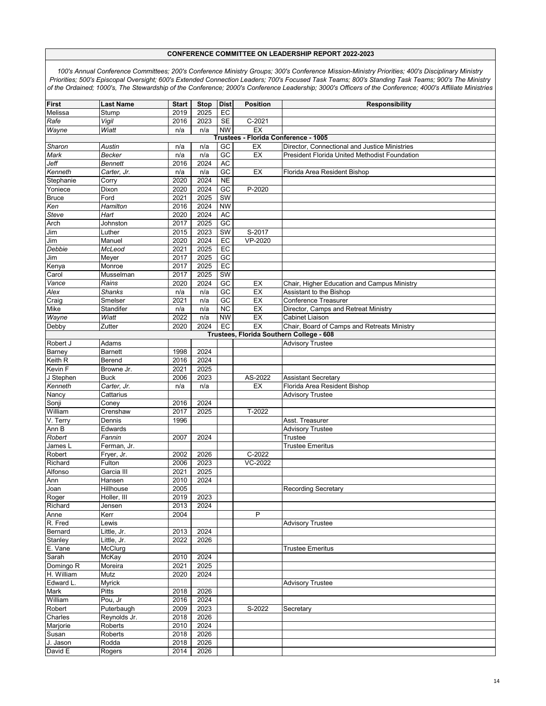| First                                    | <b>Last Name</b> | <b>Start</b> | Stop | <b>Dist</b>     | Position                             | Responsibility                                |  |  |  |  |
|------------------------------------------|------------------|--------------|------|-----------------|--------------------------------------|-----------------------------------------------|--|--|--|--|
| Melissa                                  | Stump            | 2019         | 2025 | EC              |                                      |                                               |  |  |  |  |
| Rafe                                     | Vigil            | 2016         | 2023 | <b>SE</b>       | $C-2021$                             |                                               |  |  |  |  |
| Wayne                                    | Wiatt            | n/a          | n/a  | <b>NW</b>       | EX                                   |                                               |  |  |  |  |
|                                          |                  |              |      |                 | Trustees - Florida Conference - 1005 |                                               |  |  |  |  |
| Sharon                                   | Austin           | n/a          | n/a  | GC              | EX                                   | Director, Connectional and Justice Ministries |  |  |  |  |
| Mark                                     | Becker           | n/a          | n/a  | GC              | EX                                   | President Florida United Methodist Foundation |  |  |  |  |
| Jeff                                     | Bennett          | 2016         | 2024 | AC              |                                      |                                               |  |  |  |  |
| Kenneth                                  | Carter, Jr.      | n/a          | n/a  | $\overline{GC}$ | EX                                   | Florida Area Resident Bishop                  |  |  |  |  |
| Stephanie                                | Corry            | 2020         | 2024 | <b>NE</b>       |                                      |                                               |  |  |  |  |
| Yoniece                                  | Dixon            | 2020         | 2024 | $G$ C           | $P-2020$                             |                                               |  |  |  |  |
| <b>Bruce</b>                             | Ford             | 2021         | 2025 | SW              |                                      |                                               |  |  |  |  |
| Ken                                      | Hamilton         | 2016         | 2024 | <b>NW</b>       |                                      |                                               |  |  |  |  |
| Steve                                    | Hart             | 2020         | 2024 | <b>AC</b>       |                                      |                                               |  |  |  |  |
|                                          | Johnston         | 2017         | 2025 | GC              |                                      |                                               |  |  |  |  |
| Arch<br>Jim                              | Luther           | 2015         | 2023 | SW              | S-2017                               |                                               |  |  |  |  |
|                                          |                  | 2020         | 2024 |                 | VP-2020                              |                                               |  |  |  |  |
| Jim                                      | Manuel           |              |      | EC              |                                      |                                               |  |  |  |  |
| Debbie                                   | McLeod           | 2021         | 2025 | EC              |                                      |                                               |  |  |  |  |
| Jim                                      | Meyer            | 2017         | 2025 | $\overline{GC}$ |                                      |                                               |  |  |  |  |
| Kenya                                    | Monroe           | 2017         | 2025 | EC              |                                      |                                               |  |  |  |  |
| Carol                                    | Musselman        | 2017         | 2025 | SW              |                                      |                                               |  |  |  |  |
| Vance                                    | Rains            | 2020         | 2024 | GC              | EX                                   | Chair, Higher Education and Campus Ministry   |  |  |  |  |
| Alex                                     | <b>Shanks</b>    | n/a          | n/a  | $G$ C           | EX                                   | Assistant to the Bishop                       |  |  |  |  |
| Craig                                    | Smelser          | 2021         | n/a  | $\overline{GC}$ | EX                                   | <b>Conference Treasurer</b>                   |  |  |  |  |
| Mike                                     | Standifer        | n/a          | n/a  | <b>NC</b>       | EX                                   | Director, Camps and Retreat Ministry          |  |  |  |  |
| Wayne                                    | Wiatt            | 2022         | n/a  | <b>NW</b>       | EX                                   | Cabinet Liaison                               |  |  |  |  |
| Debby                                    | Zutter           | 2020         | 2024 | EC              | EX                                   | Chair, Board of Camps and Retreats Ministry   |  |  |  |  |
| Trustees, Florida Southern College - 608 |                  |              |      |                 |                                      |                                               |  |  |  |  |
| Robert J                                 | Adams            |              |      |                 |                                      | <b>Advisory Trustee</b>                       |  |  |  |  |
| Barney                                   | <b>Barnett</b>   | 1998         | 2024 |                 |                                      |                                               |  |  |  |  |
| Keith R                                  | Berend           | 2016         | 2024 |                 |                                      |                                               |  |  |  |  |
| Kevin F                                  | Browne Jr.       | 2021         | 2025 |                 |                                      |                                               |  |  |  |  |
| J Stephen                                | <b>Buck</b>      | 2006         | 2023 |                 | AS-2022                              | <b>Assistant Secretary</b>                    |  |  |  |  |
| Kenneth                                  | Carter, Jr.      | n/a          | n/a  |                 | EX                                   | Florida Area Resident Bishop                  |  |  |  |  |
| Nancy                                    | Cattarius        |              |      |                 |                                      | <b>Advisory Trustee</b>                       |  |  |  |  |
| Sonji                                    | Coney            | 2016         | 2024 |                 |                                      |                                               |  |  |  |  |
| William                                  | Crenshaw         | 2017         | 2025 |                 | T-2022                               |                                               |  |  |  |  |
| V. Terry                                 | Dennis           | 1996         |      |                 |                                      | Asst. Treasurer                               |  |  |  |  |
| Ann B                                    | Edwards          |              |      |                 |                                      | <b>Advisory Trustee</b>                       |  |  |  |  |
| Robert                                   | Fannin           | 2007         | 2024 |                 |                                      | <b>Trustee</b>                                |  |  |  |  |
| James L                                  | Ferman, Jr.      |              |      |                 |                                      | <b>Trustee Emeritus</b>                       |  |  |  |  |
| Robert                                   | Fryer, Jr.       | 2002         | 2026 |                 | $\overline{C-2022}$                  |                                               |  |  |  |  |
| Richard                                  | Fulton           | 2006         | 2023 |                 | VC-2022                              |                                               |  |  |  |  |
| Alfonso                                  | Garcia III       | 2021         | 2025 |                 |                                      |                                               |  |  |  |  |
| Ann                                      | Hansen           | 2010         | 2024 |                 |                                      |                                               |  |  |  |  |
| Joan                                     | Hillhouse        | 2005         |      |                 |                                      | <b>Recording Secretary</b>                    |  |  |  |  |
| Roger                                    | Holler, III      | 2019         | 2023 |                 |                                      |                                               |  |  |  |  |
| Richard                                  | Jensen           | 2013         | 2024 |                 |                                      |                                               |  |  |  |  |
| Anne                                     | Kerr             | 2004         |      |                 | P                                    |                                               |  |  |  |  |
|                                          |                  |              |      |                 |                                      | <b>Advisory Trustee</b>                       |  |  |  |  |
| R. Fred                                  | Lewis            |              |      |                 |                                      |                                               |  |  |  |  |
| Bernard                                  | Little, Jr.      | 2013         | 2024 |                 |                                      |                                               |  |  |  |  |
| Stanley                                  | Little, Jr.      | 2022         | 2026 |                 |                                      |                                               |  |  |  |  |
| E. Vane                                  | McClurg          |              |      |                 |                                      | <b>Trustee Emeritus</b>                       |  |  |  |  |
| Sarah                                    | McKay            | 2010         | 2024 |                 |                                      |                                               |  |  |  |  |
| Domingo <sub>R</sub>                     | Moreira          | 2021         | 2025 |                 |                                      |                                               |  |  |  |  |
| H. William                               | Mutz             | 2020         | 2024 |                 |                                      |                                               |  |  |  |  |
| Edward L.                                | Myrick           |              |      |                 |                                      | <b>Advisory Trustee</b>                       |  |  |  |  |
| Mark                                     | Pitts            | 2018         | 2026 |                 |                                      |                                               |  |  |  |  |
| William                                  | Pou, Jr          | 2016         | 2024 |                 |                                      |                                               |  |  |  |  |
| Robert                                   | Puterbaugh       | 2009         | 2023 |                 | S-2022                               | Secretary                                     |  |  |  |  |
| Charles                                  | Reynolds Jr.     | 2018         | 2026 |                 |                                      |                                               |  |  |  |  |
| Marjorie                                 | Roberts          | 2010         | 2024 |                 |                                      |                                               |  |  |  |  |
| Susan                                    | Roberts          | 2018         | 2026 |                 |                                      |                                               |  |  |  |  |
| J. Jason                                 | Rodda            | 2018         | 2026 |                 |                                      |                                               |  |  |  |  |
| David E                                  | Rogers           | 2014         | 2026 |                 |                                      |                                               |  |  |  |  |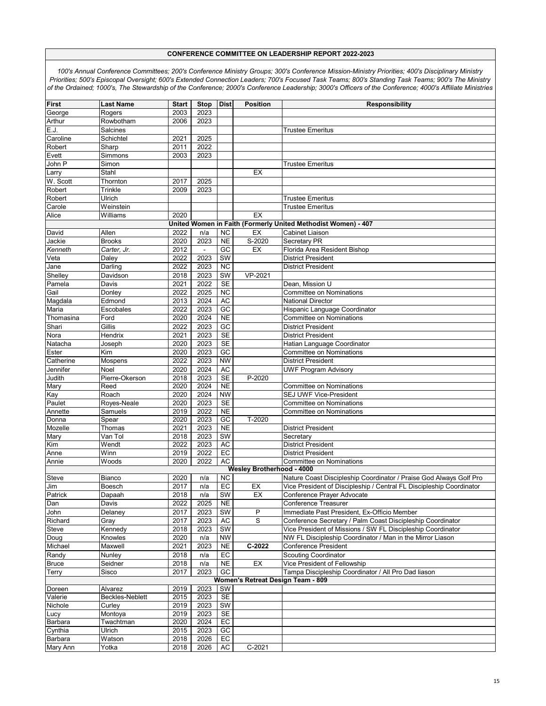| First        | <b>Last Name</b> | <b>Start</b> | <b>Stop</b>              | <b>Dist</b>            | <b>Position</b>                  | <b>Responsibility</b>                                                |
|--------------|------------------|--------------|--------------------------|------------------------|----------------------------------|----------------------------------------------------------------------|
| George       | Rogers           | 2003         | 2023                     |                        |                                  |                                                                      |
| Arthur       | Rowbotham        | 2006         | 2023                     |                        |                                  |                                                                      |
| E.J.         | Salcines         |              |                          |                        |                                  | <b>Trustee Emeritus</b>                                              |
| Caroline     | Schichtel        | 2021         | 2025                     |                        |                                  |                                                                      |
| Robert       | Sharp            | 2011         | 2022                     |                        |                                  |                                                                      |
| Evett        | Simmons          | 2003         | 2023                     |                        |                                  |                                                                      |
| John P       | Simon            |              |                          |                        |                                  | <b>Trustee Emeritus</b>                                              |
| Larry        | Stahl            |              |                          |                        | EX                               |                                                                      |
| W. Scott     | Thornton         | 2017         | 2025                     |                        |                                  |                                                                      |
| Robert       | Trinkle          | 2009         | 2023                     |                        |                                  |                                                                      |
| Robert       | Ulrich           |              |                          |                        |                                  | <b>Trustee Emeritus</b>                                              |
|              |                  |              |                          |                        |                                  | <b>Trustee Emeritus</b>                                              |
| Carole       | Weinstein        |              |                          |                        |                                  |                                                                      |
| Alice        | Williams         | 2020         |                          |                        | EX                               |                                                                      |
|              |                  |              |                          |                        |                                  | United Women in Faith (Formerly United Methodist Women) - 407        |
| David        | Allen            | 2022         | n/a                      | <b>NC</b>              | EX                               | Cabinet Liaison                                                      |
| Jackie       | <b>Brooks</b>    | 2020         | 2023                     | N <sub>E</sub>         | S-2020                           | Secretary PR                                                         |
| Kenneth      | Carter, Jr.      | 2012         | $\overline{\phantom{a}}$ | GC                     | EX                               | Florida Area Resident Bishop                                         |
| Veta         | Daley            | 2022         | 2023                     | SW                     |                                  | <b>District President</b>                                            |
| Jane         | Darling          | 2022         | 2023                     | $\overline{NC}$        |                                  | <b>District President</b>                                            |
| Shelley      | Davidson         | 2018         | 2023                     | SW                     | VP-2021                          |                                                                      |
| Pamela       | Davis            | 2021         | 2022                     | SE                     |                                  | Dean, Mission U                                                      |
| Gail         | Donlev           | 2022         | 2025                     | <b>NC</b>              |                                  | <b>Committee on Nominations</b>                                      |
|              | Edmond           | 2013         | 2024                     | <b>AC</b>              |                                  | <b>National Director</b>                                             |
| Magdala      |                  |              |                          | $\overline{GC}$        |                                  |                                                                      |
| Maria        | Escobales        | 2022         | 2023                     |                        |                                  | Hispanic Language Coordinator                                        |
| Thomasina    | Ford             | 2020         | 2024                     | <b>NE</b>              |                                  | <b>Committee on Nominations</b>                                      |
| Shari        | Gillis           | 2022         | 2023                     | $\overline{GC}$        |                                  | <b>District President</b>                                            |
| Nora         | Hendrix          | 2021         | 2023                     | SE                     |                                  | <b>District President</b>                                            |
| Natacha      | Joseph           | 2020         | 2023                     | <b>SE</b>              |                                  | Hatian Language Coordinator                                          |
| Ester        | Kim              | 2020         | 2023                     | $\overline{GC}$        |                                  | <b>Committee on Nominations</b>                                      |
| Catherine    | Mospens          | 2022         | 2023                     | <b>NW</b>              |                                  | <b>District President</b>                                            |
| Jennifer     | Noel             | 2020         | 2024                     | <b>AC</b>              |                                  | <b>UWF Program Advisory</b>                                          |
| Judith       | Pierre-Okerson   | 2018         | 2023                     | <b>SE</b>              | P-2020                           |                                                                      |
| Mary         | Reed             | 2020         | 2024                     | <b>NE</b>              |                                  | Committee on Nominations                                             |
| Kay          | Roach            | 2020         | 2024                     | <b>NW</b>              |                                  | SEJ UWF Vice-President                                               |
| Paulet       | Royes-Neale      | 2020         | 2023                     | <b>SE</b>              |                                  | <b>Committee on Nominations</b>                                      |
| Annette      | Samuels          | 2019         | 2022                     | <b>NE</b>              |                                  | Committee on Nominations                                             |
| Donna        | Spear            | 2020         | 2023                     | GC                     | T-2020                           |                                                                      |
| Mozelle      | Thomas           | 2021         | 2023                     | <b>NE</b>              |                                  | <b>District President</b>                                            |
| Mary         | Van Tol          | 2018         | 2023                     | SW                     |                                  | Secretary                                                            |
|              |                  | 2022         | 2023                     | <b>AC</b>              |                                  | <b>District President</b>                                            |
| Kim          | Wendt            |              |                          |                        |                                  |                                                                      |
| Anne         | Winn             | 2019         | 2022                     | EC                     |                                  | <b>District President</b>                                            |
| Annie        | Woods            | 2020         | 2022                     | AC                     |                                  | <b>Committee on Nominations</b>                                      |
|              |                  |              |                          |                        | <b>Wesley Brotherhood - 4000</b> |                                                                      |
| Steve        | Bianco           | 2020         | n/a                      | <b>NC</b>              |                                  | Nature Coast Discipleship Coordinator / Praise God Always Golf Pro   |
| Jim          | Boesch           | 2017         | n/a                      | EC                     | EX                               | Vice President of Discipleship / Central FL Discipleship Coordinator |
| Patrick      | Dapaah           | 2018         | n/a                      | $\overline{\text{SW}}$ | EX                               | Conference Prayer Advocate                                           |
| Dan          | Davis            | 2022         | 2025                     | <b>NE</b>              |                                  | Conference Treasurer                                                 |
| John         | Delaney          | 2017         | 2023                     | SW                     | P                                | Immediate Past President, Ex-Officio Member                          |
| Richard      | Gray             | 2017         | 2023                     | <b>AC</b>              | S                                | Conference Secretary / Palm Coast Discipleship Coordinator           |
| <b>Steve</b> | Kennedy          | 2018         | 2023                     | <b>SW</b>              |                                  | Vice President of Missions / SW FL Discipleship Coordinator          |
| Doug         | Knowles          | 2020         | n/a                      | <b>NW</b>              |                                  | NW FL Discipleship Coordinator / Man in the Mirror Liason            |
| Michael      | Maxwell          | 2021         | 2023                     | <b>NE</b>              | $C-2022$                         | Conference President                                                 |
| Randy        | Nunley           | 2018         | n/a                      | EC                     |                                  | <b>Scouting Coordinator</b>                                          |
| <b>Bruce</b> | Seidner          | 2018         | n/a                      | <b>NE</b>              | EX                               | Vice President of Fellowship                                         |
|              |                  |              |                          |                        |                                  |                                                                      |
| Terry        | Sisco            | 2017         | 2023                     | GC                     |                                  | Tampa Discipleship Coordinator / All Pro Dad liason                  |
|              |                  |              |                          |                        |                                  | Women's Retreat Design Team - 809                                    |
| Doreen       | Alvarez          | 2019         | 2023                     | SW                     |                                  |                                                                      |
| Valerie      | Beckles-Neblett  | 2015         | 2023                     | <b>SE</b>              |                                  |                                                                      |
| Nichole      | Curley           | 2019         | 2023                     | SW                     |                                  |                                                                      |
| Lucy         | Montoya          | 2019         | 2023                     | <b>SE</b>              |                                  |                                                                      |
| Barbara      | Twachtman        | 2020         | 2024                     | EC                     |                                  |                                                                      |
| Cynthia      | Ulrich           | 2015         | 2023                     | GC                     |                                  |                                                                      |
| Barbara      | Watson           | 2018         | 2026                     | EC                     |                                  |                                                                      |
|              |                  |              | 2026                     | AC                     | C-2021                           |                                                                      |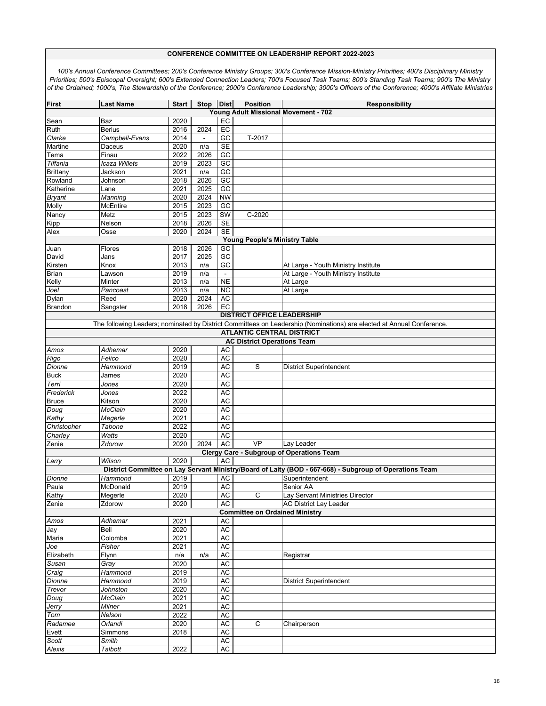| First                                                                                                                                                      | <b>Last Name</b>     | <b>Start</b> | Stop Dist      |                 | <b>Position</b>                       | <b>Responsibility</b>                                                                                   |  |  |  |  |
|------------------------------------------------------------------------------------------------------------------------------------------------------------|----------------------|--------------|----------------|-----------------|---------------------------------------|---------------------------------------------------------------------------------------------------------|--|--|--|--|
| Young Adult Missional Movement - 702                                                                                                                       |                      |              |                |                 |                                       |                                                                                                         |  |  |  |  |
| Sean                                                                                                                                                       | Baz                  | 2020         |                | EC              |                                       |                                                                                                         |  |  |  |  |
| Ruth                                                                                                                                                       | <b>Berlus</b>        | 2016         | 2024           | $E$ C           |                                       |                                                                                                         |  |  |  |  |
| Clarke                                                                                                                                                     | Campbell-Evans       | 2014         | $\blacksquare$ | GC              | T-2017                                |                                                                                                         |  |  |  |  |
| Martine                                                                                                                                                    | Daceus               | 2020         | n/a            | <b>SE</b>       |                                       |                                                                                                         |  |  |  |  |
| Tema                                                                                                                                                       | Finau                | 2022         | 2026           | $\overline{GC}$ |                                       |                                                                                                         |  |  |  |  |
| Tiffania                                                                                                                                                   | Icaza Willets        | 2019         | 2023           | GC              |                                       |                                                                                                         |  |  |  |  |
| <b>Brittany</b>                                                                                                                                            | Jackson              | 2021         | n/a            | GC              |                                       |                                                                                                         |  |  |  |  |
| Rowland                                                                                                                                                    | Johnson              | 2018         | 2026           | GC              |                                       |                                                                                                         |  |  |  |  |
| Katherine                                                                                                                                                  | Lane                 | 2021         | 2025           | $\overline{GC}$ |                                       |                                                                                                         |  |  |  |  |
| <b>Bryant</b>                                                                                                                                              | Manning              | 2020         | 2024           | <b>NW</b>       |                                       |                                                                                                         |  |  |  |  |
| Molly                                                                                                                                                      | McEntire             | 2015         | 2023           | GC              |                                       |                                                                                                         |  |  |  |  |
| Nancy                                                                                                                                                      | Metz                 | 2015         | 2023           | SW              | $C-2020$                              |                                                                                                         |  |  |  |  |
| Kipp                                                                                                                                                       | Nelson               | 2018         | 2026           | <b>SE</b>       |                                       |                                                                                                         |  |  |  |  |
| Alex                                                                                                                                                       | Osse                 | 2020         | 2024           | <b>SE</b>       |                                       |                                                                                                         |  |  |  |  |
| <b>Young People's Ministry Table</b>                                                                                                                       |                      |              |                |                 |                                       |                                                                                                         |  |  |  |  |
| Juan                                                                                                                                                       | Flores               | 2018         | 2026           | GC              |                                       |                                                                                                         |  |  |  |  |
| David                                                                                                                                                      | Jans                 | 2017         | 2025           | GC              |                                       |                                                                                                         |  |  |  |  |
| Kirsten                                                                                                                                                    | Knox                 | 2013<br>2019 | n/a            | GC              |                                       | At Large - Youth Ministry Institute<br>At Large - Youth Ministry Institute                              |  |  |  |  |
| Brian                                                                                                                                                      | Lawson<br>Minter     | 2013         | n/a            | <b>NE</b>       |                                       | At Large                                                                                                |  |  |  |  |
| Kelly<br>Joel                                                                                                                                              | Pancoast             | 2013         | n/a<br>n/a     | <b>NC</b>       |                                       | At Large                                                                                                |  |  |  |  |
| Dylan                                                                                                                                                      | Reed                 | 2020         | 2024           | AC              |                                       |                                                                                                         |  |  |  |  |
| <b>Brandon</b>                                                                                                                                             | Sangster             | 2018         | 2026           | EC              |                                       |                                                                                                         |  |  |  |  |
|                                                                                                                                                            |                      |              |                |                 |                                       |                                                                                                         |  |  |  |  |
| <b>DISTRICT OFFICE LEADERSHIP</b><br>The following Leaders; nominated by District Committees on Leadership (Nominations) are elected at Annual Conference. |                      |              |                |                 |                                       |                                                                                                         |  |  |  |  |
| <b>ATLANTIC CENTRAL DISTRICT</b>                                                                                                                           |                      |              |                |                 |                                       |                                                                                                         |  |  |  |  |
|                                                                                                                                                            |                      |              |                |                 | <b>AC District Operations Team</b>    |                                                                                                         |  |  |  |  |
| Amos                                                                                                                                                       | Adhemar              | 2020         |                | <b>AC</b>       |                                       |                                                                                                         |  |  |  |  |
| Rigo                                                                                                                                                       | Felico               | 2020         |                | <b>AC</b>       |                                       |                                                                                                         |  |  |  |  |
| Dionne                                                                                                                                                     | Hammond              | 2019         |                | <b>AC</b>       | S                                     | District Superintendent                                                                                 |  |  |  |  |
| <b>Buck</b>                                                                                                                                                | James                | 2020         |                | <b>AC</b>       |                                       |                                                                                                         |  |  |  |  |
| Terri                                                                                                                                                      | Jones                | 2020         |                | <b>AC</b>       |                                       |                                                                                                         |  |  |  |  |
| Frederick                                                                                                                                                  | Jones                | 2022         |                | <b>AC</b>       |                                       |                                                                                                         |  |  |  |  |
| <b>Bruce</b>                                                                                                                                               | Kitson               | 2020         |                | <b>AC</b>       |                                       |                                                                                                         |  |  |  |  |
| Doug                                                                                                                                                       | <b>McClain</b>       | 2020         |                | AC              |                                       |                                                                                                         |  |  |  |  |
| Kathy                                                                                                                                                      | Megerle              | 2021         |                | <b>AC</b>       |                                       |                                                                                                         |  |  |  |  |
| Christopher                                                                                                                                                | Tabone               | 2022         |                | <b>AC</b>       |                                       |                                                                                                         |  |  |  |  |
| Charley                                                                                                                                                    | Watts                | 2020         |                | AC              |                                       |                                                                                                         |  |  |  |  |
| Zenie                                                                                                                                                      | Zdorow               | 2020         | 2024           | <b>AC</b>       | VP                                    | Lay Leader                                                                                              |  |  |  |  |
|                                                                                                                                                            |                      |              |                |                 |                                       | <b>Clergy Care - Subgroup of Operations Team</b>                                                        |  |  |  |  |
| Larry                                                                                                                                                      | Wilson               | 2020         |                | AC              |                                       |                                                                                                         |  |  |  |  |
|                                                                                                                                                            |                      |              |                |                 |                                       | District Committee on Lay Servant Ministry/Board of Laity (BOD - 667-668) - Subgroup of Operations Team |  |  |  |  |
| Dionne<br>Paula                                                                                                                                            | Hammond<br>McDonald  | 2019<br>2019 |                | AC<br><b>AC</b> |                                       | Superintendent<br>Senior AA                                                                             |  |  |  |  |
| Kathy                                                                                                                                                      |                      | 2020         |                | AC              |                                       |                                                                                                         |  |  |  |  |
| Zenie                                                                                                                                                      | Megerle<br>Zdorow    | 2020         |                | <b>AC</b>       | C                                     | Lay Servant Ministries Director<br><b>AC District Lay Leader</b>                                        |  |  |  |  |
|                                                                                                                                                            |                      |              |                |                 | <b>Committee on Ordained Ministry</b> |                                                                                                         |  |  |  |  |
| Amos                                                                                                                                                       | Adhemar              | 2021         |                | AC              |                                       |                                                                                                         |  |  |  |  |
| Jay                                                                                                                                                        | Bell                 | 2020         |                | <b>AC</b>       |                                       |                                                                                                         |  |  |  |  |
| Maria                                                                                                                                                      | Colomba              | 2021         |                | AC              |                                       |                                                                                                         |  |  |  |  |
| Joe                                                                                                                                                        | Fisher               | 2021         |                | <b>AC</b>       |                                       |                                                                                                         |  |  |  |  |
| Elizabeth                                                                                                                                                  | Flynn                | n/a          | n/a            | AC              |                                       | Registrar                                                                                               |  |  |  |  |
| Susan                                                                                                                                                      | Gray                 | 2020         |                | <b>AC</b>       |                                       |                                                                                                         |  |  |  |  |
| Craig                                                                                                                                                      | Hammond              | 2019         |                | <b>AC</b>       |                                       |                                                                                                         |  |  |  |  |
| Dionne                                                                                                                                                     | Hammond              | 2019         |                | <b>AC</b>       |                                       | <b>District Superintendent</b>                                                                          |  |  |  |  |
| Trevor                                                                                                                                                     | Johnston             | 2020         |                | <b>AC</b>       |                                       |                                                                                                         |  |  |  |  |
| Doug                                                                                                                                                       | $\overline{McClaim}$ | 2021         |                | <b>AC</b>       |                                       |                                                                                                         |  |  |  |  |
| Jerry                                                                                                                                                      | Milner               | 2021         |                | <b>AC</b>       |                                       |                                                                                                         |  |  |  |  |
| Tom                                                                                                                                                        | Nelson               | 2022         |                | <b>AC</b>       |                                       |                                                                                                         |  |  |  |  |
| Radamee                                                                                                                                                    | Orlandi              | 2020         |                | AC              | C                                     | Chairperson                                                                                             |  |  |  |  |
| Evett                                                                                                                                                      | Simmons              | 2018         |                | AC              |                                       |                                                                                                         |  |  |  |  |
| Scott                                                                                                                                                      | Smith                |              |                | <b>AC</b>       |                                       |                                                                                                         |  |  |  |  |
| Alexis                                                                                                                                                     | Talbott              | 2022         |                | $\mathsf{AC}$   |                                       |                                                                                                         |  |  |  |  |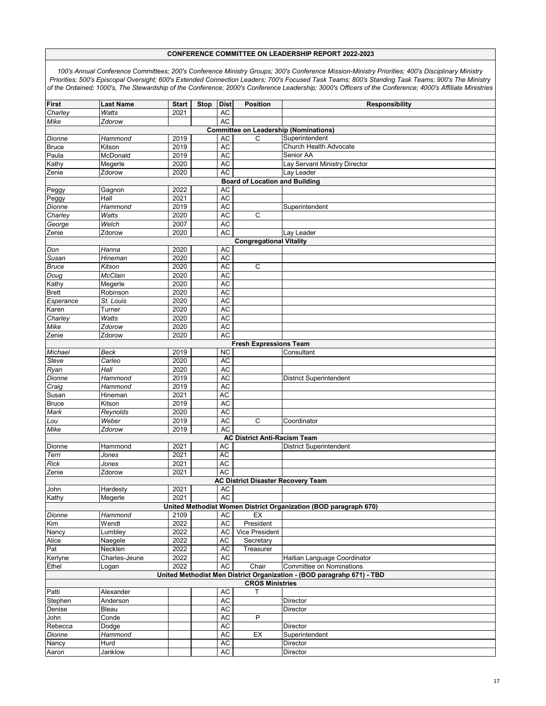| <b>First</b>                   | <b>Last Name</b>                             | <b>Start</b> | <b>Stop</b> | <b>Dist</b>     | <b>Position</b>                           | <b>Responsibility</b>                                                  |  |  |  |  |  |
|--------------------------------|----------------------------------------------|--------------|-------------|-----------------|-------------------------------------------|------------------------------------------------------------------------|--|--|--|--|--|
| Charley                        | Watts                                        | 2021         |             | <b>AC</b>       |                                           |                                                                        |  |  |  |  |  |
| Mike                           | Zdorow                                       |              |             | <b>AC</b>       |                                           |                                                                        |  |  |  |  |  |
|                                | <b>Committee on Leadership (Nominations)</b> |              |             |                 |                                           |                                                                        |  |  |  |  |  |
| Dionne                         | Hammond                                      | 2019         |             | AC              | C                                         | Superintendent                                                         |  |  |  |  |  |
| <b>Bruce</b>                   | Kitson                                       | 2019         |             | AC              |                                           | Church Health Advocate                                                 |  |  |  |  |  |
| Paula                          | McDonald                                     | 2019         |             | <b>AC</b>       |                                           | Senior AA                                                              |  |  |  |  |  |
| Kathy                          | Megerle                                      | 2020         |             | AC              |                                           | Lay Servant Ministry Director                                          |  |  |  |  |  |
| Zenie                          | Zdorow                                       | 2020         |             | <b>AC</b>       |                                           | Lay Leader                                                             |  |  |  |  |  |
|                                |                                              |              |             |                 | <b>Board of Location and Building</b>     |                                                                        |  |  |  |  |  |
| Peggy                          | Gagnon                                       | 2022         |             | AC              |                                           |                                                                        |  |  |  |  |  |
| Peggy                          | Hall                                         | 2021         |             | <b>AC</b>       |                                           |                                                                        |  |  |  |  |  |
| Dionne                         | Hammond                                      | 2019         |             | AC              |                                           | Superintendent                                                         |  |  |  |  |  |
| Charley                        | Watts                                        | 2020         |             | <b>AC</b>       | C                                         |                                                                        |  |  |  |  |  |
| George                         | Welch                                        | 2007         |             | <b>AC</b>       |                                           |                                                                        |  |  |  |  |  |
| Zenie                          | Zdorow                                       | 2020         |             | AC              |                                           | Lay Leader                                                             |  |  |  |  |  |
| <b>Congregational Vitality</b> |                                              |              |             |                 |                                           |                                                                        |  |  |  |  |  |
| Don                            | Hanna                                        | 2020         |             | AC              |                                           |                                                                        |  |  |  |  |  |
| Susan                          | Hineman                                      | 2020         |             | <b>AC</b>       |                                           |                                                                        |  |  |  |  |  |
| <b>Bruce</b>                   | Kitson                                       | 2020         |             | <b>AC</b>       | C                                         |                                                                        |  |  |  |  |  |
| Doug                           | McClain                                      | 2020         |             | AC              |                                           |                                                                        |  |  |  |  |  |
| Kathy                          | Megerle                                      | 2020         |             | <b>AC</b>       |                                           |                                                                        |  |  |  |  |  |
| <b>Brett</b>                   | Robinson                                     | 2020         |             | AC              |                                           |                                                                        |  |  |  |  |  |
| Esperance                      | St. Louis                                    | 2020         |             | AC              |                                           |                                                                        |  |  |  |  |  |
| Karen                          | Turner                                       | 2020         |             | <b>AC</b>       |                                           |                                                                        |  |  |  |  |  |
| Charley                        | Watts                                        | 2020         |             | AC              |                                           |                                                                        |  |  |  |  |  |
| Mike                           | Zdorow                                       | 2020         |             | <b>AC</b>       |                                           |                                                                        |  |  |  |  |  |
| Zenie                          | Zdorow                                       | 2020         |             | <b>AC</b>       |                                           |                                                                        |  |  |  |  |  |
| <b>Fresh Expressions Team</b>  |                                              |              |             |                 |                                           |                                                                        |  |  |  |  |  |
| Michael                        | Beck                                         | 2019         |             | <b>NC</b>       |                                           | Consultant                                                             |  |  |  |  |  |
| Steve                          | Carleo                                       | 2020         |             | AC<br><b>AC</b> |                                           |                                                                        |  |  |  |  |  |
| Ryan                           | Hall<br>Hammond                              | 2020         |             |                 |                                           |                                                                        |  |  |  |  |  |
| Dionne                         | Hammond                                      | 2019         |             | AC<br>AC        |                                           | District Superintendent                                                |  |  |  |  |  |
| Craig<br>Susan                 | Hineman                                      | 2019<br>2021 |             | AC              |                                           |                                                                        |  |  |  |  |  |
| <b>Bruce</b>                   | Kitson                                       | 2019         |             | AC              |                                           |                                                                        |  |  |  |  |  |
| Mark                           | Reynolds                                     | 2020         |             | <b>AC</b>       |                                           |                                                                        |  |  |  |  |  |
| Lou                            | Weber                                        | 2019         |             | AC              | $\mathsf C$                               | Coordinator                                                            |  |  |  |  |  |
| Mike                           | Zdorow                                       | 2019         |             | <b>AC</b>       |                                           |                                                                        |  |  |  |  |  |
|                                |                                              |              |             |                 | <b>AC District Anti-Racism Team</b>       |                                                                        |  |  |  |  |  |
| Dionne                         | Hammond                                      | 2021         |             | AC              |                                           | <b>District Superintendent</b>                                         |  |  |  |  |  |
| Terri                          | Jones                                        | 2021         |             | <b>AC</b>       |                                           |                                                                        |  |  |  |  |  |
| <b>Rick</b>                    | Jones                                        | 2021         |             | AC              |                                           |                                                                        |  |  |  |  |  |
| Zenie                          | Zdorow                                       | 2021         |             | AC              |                                           |                                                                        |  |  |  |  |  |
|                                |                                              |              |             |                 | <b>AC District Disaster Recovery Team</b> |                                                                        |  |  |  |  |  |
| John                           | Hardesty                                     | 2021         |             | AC              |                                           |                                                                        |  |  |  |  |  |
| Kathy                          | Megerle                                      | 2021         |             | AC              |                                           |                                                                        |  |  |  |  |  |
|                                |                                              |              |             |                 |                                           | United Methodist Women District Organization (BOD paragraph 670)       |  |  |  |  |  |
| Dionne                         | Hammond                                      | 2109         |             | AC              | EX                                        |                                                                        |  |  |  |  |  |
| Kim                            | Wendt                                        | 2022         |             | <b>AC</b>       | President                                 |                                                                        |  |  |  |  |  |
| Nancy                          | Lumbley                                      | 2022         |             | AC              | <b>Vice President</b>                     |                                                                        |  |  |  |  |  |
| Alice                          | Naegele                                      | 2022         |             | AC              | Secretary                                 |                                                                        |  |  |  |  |  |
| Pat                            | Necklen                                      | 2022         |             | <b>AC</b>       | Treasurer                                 |                                                                        |  |  |  |  |  |
| Kerlyne                        | Charles-Jeune                                | 2022         |             | AC              |                                           | Haitian Language Coordinator                                           |  |  |  |  |  |
| Ethel                          | Logan                                        | 2022         |             | <b>AC</b>       | Chair                                     | <b>Committee on Nominations</b>                                        |  |  |  |  |  |
|                                |                                              |              |             |                 |                                           | United Methodist Men District Organization - (BOD paragrahp 671) - TBD |  |  |  |  |  |
|                                |                                              |              |             |                 | <b>CROS Ministries</b>                    |                                                                        |  |  |  |  |  |
| Patti                          | Alexander                                    |              |             | AC              | т                                         |                                                                        |  |  |  |  |  |
| Stephen                        | Anderson                                     |              |             | AC              |                                           | Director                                                               |  |  |  |  |  |
| Denise                         | Bleau                                        |              |             | <b>AC</b>       |                                           | Director                                                               |  |  |  |  |  |
| John                           | Conde                                        |              |             | AC              | P                                         |                                                                        |  |  |  |  |  |
| Rebecca                        | Dodge                                        |              |             | <b>AC</b>       |                                           | Director                                                               |  |  |  |  |  |
| Dionne                         | Hammond                                      |              |             | <b>AC</b>       | ЕX                                        | Superintendent                                                         |  |  |  |  |  |
| Nancy                          | Hurd                                         |              |             | AC              |                                           | Director                                                               |  |  |  |  |  |
| Aaron                          | Janklow                                      |              |             | AC              |                                           | Director                                                               |  |  |  |  |  |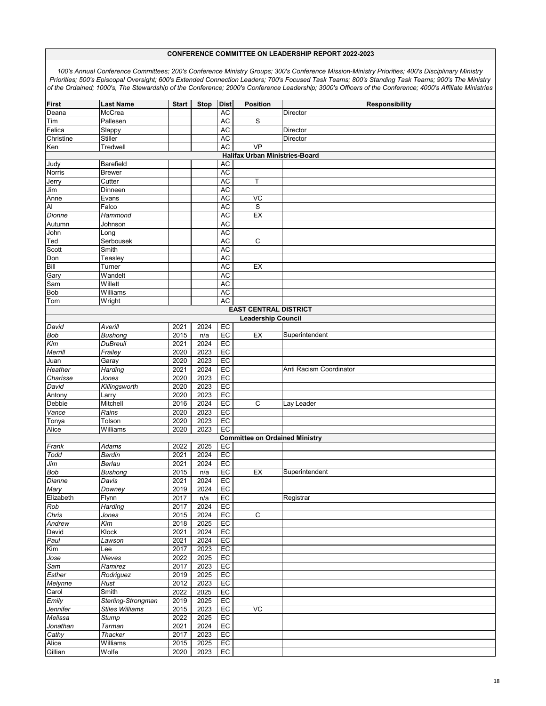| <b>First</b>              | <b>Last Name</b>       | <b>Start</b> | <b>Stop</b> | <b>Dist</b> | <b>Position</b>                       | <b>Responsibility</b>   |  |  |  |  |  |
|---------------------------|------------------------|--------------|-------------|-------------|---------------------------------------|-------------------------|--|--|--|--|--|
| Deana                     | McCrea                 |              |             | <b>AC</b>   |                                       | Director                |  |  |  |  |  |
|                           |                        |              |             |             | S                                     |                         |  |  |  |  |  |
| Tim                       | Pallesen               |              |             | AC          |                                       |                         |  |  |  |  |  |
| Felica                    | Slappy                 |              |             | AC          |                                       | Director                |  |  |  |  |  |
| Christine                 | Stiller                |              |             | <b>AC</b>   |                                       | Director                |  |  |  |  |  |
| Ken                       | Tredwell               |              |             | <b>AC</b>   | <b>VP</b>                             |                         |  |  |  |  |  |
|                           |                        |              |             |             | <b>Halifax Urban Ministries-Board</b> |                         |  |  |  |  |  |
| Judy                      | Barefield              |              |             | <b>AC</b>   |                                       |                         |  |  |  |  |  |
| Norris                    | <b>Brewer</b>          |              |             | AC          |                                       |                         |  |  |  |  |  |
| Jerry                     | Cutter                 |              |             | <b>AC</b>   | Τ                                     |                         |  |  |  |  |  |
| Jim                       | Dinneen                |              |             | AC          |                                       |                         |  |  |  |  |  |
| Anne                      | Evans                  |              |             | <b>AC</b>   | VC                                    |                         |  |  |  |  |  |
| Al                        | Falco                  |              |             | AC          | S                                     |                         |  |  |  |  |  |
| Dionne                    | Hammond                |              |             | AC          | EX                                    |                         |  |  |  |  |  |
| Autumn                    | Johnson                |              |             | <b>AC</b>   |                                       |                         |  |  |  |  |  |
| John                      | Long                   |              |             | AC          |                                       |                         |  |  |  |  |  |
| Ted                       | Serbousek              |              |             | <b>AC</b>   | C                                     |                         |  |  |  |  |  |
| Scott                     | Smith                  |              |             | AC          |                                       |                         |  |  |  |  |  |
|                           |                        |              |             |             |                                       |                         |  |  |  |  |  |
| Don                       | Teasley                |              |             | AC          |                                       |                         |  |  |  |  |  |
| Bill                      | Turner                 |              |             | <b>AC</b>   | EX                                    |                         |  |  |  |  |  |
| Gary                      | Wandelt                |              |             | AC          |                                       |                         |  |  |  |  |  |
| Sam                       | Willett                |              |             | <b>AC</b>   |                                       |                         |  |  |  |  |  |
| Bob                       | Williams               |              |             | AC          |                                       |                         |  |  |  |  |  |
| Tom                       | Wright                 |              |             | <b>AC</b>   |                                       |                         |  |  |  |  |  |
|                           |                        |              |             |             | <b>EAST CENTRAL DISTRICT</b>          |                         |  |  |  |  |  |
| <b>Leadership Council</b> |                        |              |             |             |                                       |                         |  |  |  |  |  |
| David                     | Averill                | 2021         | 2024        | EC          |                                       |                         |  |  |  |  |  |
| <b>Bob</b>                | <b>Bushong</b>         | 2015         | n/a         | EC          | EX                                    | Superintendent          |  |  |  |  |  |
| Kim                       | <b>DuBreuil</b>        | 2021         | 2024        | EC          |                                       |                         |  |  |  |  |  |
| Merrill                   | Frailey                | 2020         | 2023        | EC          |                                       |                         |  |  |  |  |  |
| Juan                      | Garay                  | 2020         | 2023        | EC          |                                       |                         |  |  |  |  |  |
| Heather                   | Harding                | 2021         | 2024        | EC          |                                       | Anti Racism Coordinator |  |  |  |  |  |
|                           |                        |              |             |             |                                       |                         |  |  |  |  |  |
| Charisse                  | Jones                  | 2020         | 2023        | EC          |                                       |                         |  |  |  |  |  |
| David                     | Killingsworth          | 2020         | 2023        | EC          |                                       |                         |  |  |  |  |  |
| Antony                    | Larry                  | 2020         | 2023        | EC          |                                       |                         |  |  |  |  |  |
| Debbie                    | Mitchell               | 2016         | 2024        | EC          | C                                     | Lay Leader              |  |  |  |  |  |
| Vance                     | Rains                  | 2020         | 2023        | EC          |                                       |                         |  |  |  |  |  |
| Tonya                     | Tolson                 | 2020         | 2023        | EC          |                                       |                         |  |  |  |  |  |
| Alice                     | Williams               | 2020         | 2023        | EC          |                                       |                         |  |  |  |  |  |
|                           |                        |              |             |             | <b>Committee on Ordained Ministry</b> |                         |  |  |  |  |  |
| Frank                     | Adams                  | 2022         | 2025        | EC          |                                       |                         |  |  |  |  |  |
| Todd                      | <b>Bardin</b>          | 2021         | 2024        | EC          |                                       |                         |  |  |  |  |  |
| Jim                       | Berlau                 | 2021         | 2024        | EC          |                                       |                         |  |  |  |  |  |
| Bob                       | <b>Bushong</b>         | 2015         | n/a         | EC          | EX                                    | Superintendent          |  |  |  |  |  |
| Dianne                    | Davis                  | 2021         | 2024        | EC          |                                       |                         |  |  |  |  |  |
|                           | Downey                 | 2019         | 2024        | EC          |                                       |                         |  |  |  |  |  |
| Mary<br>Elizabeth         | Flynn                  | 2017         | n/a         | EC          |                                       | Registrar               |  |  |  |  |  |
| Rob                       | Harding                | 2017         | 2024        | EC          |                                       |                         |  |  |  |  |  |
|                           |                        |              |             |             | $\mathsf C$                           |                         |  |  |  |  |  |
| Chris                     | Jones                  | 2015         | 2024        | EC          |                                       |                         |  |  |  |  |  |
| Andrew                    | Kim                    | 2018         | 2025        | EC          |                                       |                         |  |  |  |  |  |
| David                     | Klock                  | 2021         | 2024        | EC          |                                       |                         |  |  |  |  |  |
| Paul                      | Lawson                 | 2021         | 2024        | EC          |                                       |                         |  |  |  |  |  |
| $\overline{Kim}$          | Lee                    | 2017         | 2023        | EC          |                                       |                         |  |  |  |  |  |
| Jose                      | Nieves                 | 2022         | 2025        | EC          |                                       |                         |  |  |  |  |  |
| Sam                       | Ramirez                | 2017         | 2023        | EC          |                                       |                         |  |  |  |  |  |
| Esther                    | Rodriguez              | 2019         | 2025        | EC          |                                       |                         |  |  |  |  |  |
| <b>Melynne</b>            | Rust                   | 2012         | 2023        | EC          |                                       |                         |  |  |  |  |  |
| Carol                     | Smith                  | 2022         | 2025        | EC          |                                       |                         |  |  |  |  |  |
| Emily                     | Sterling-Strongman     | 2019         | 2025        | EC          |                                       |                         |  |  |  |  |  |
| Jennifer                  | <b>Stiles Williams</b> | 2015         | 2023        | EC          | VC                                    |                         |  |  |  |  |  |
| Melissa                   | <b>Stump</b>           | 2022         | 2025        | EC          |                                       |                         |  |  |  |  |  |
| Jonathan                  | Tarman                 | 2021         | 2024        | EC          |                                       |                         |  |  |  |  |  |
| Cathy                     | Thacker                | 2017         | 2023        | EC          |                                       |                         |  |  |  |  |  |
|                           |                        |              |             |             |                                       |                         |  |  |  |  |  |
| Alice                     | Williams               | 2015         | 2025        | EC          |                                       |                         |  |  |  |  |  |
| Gillian                   | Wolfe                  | 2020         | 2023        | EC          |                                       |                         |  |  |  |  |  |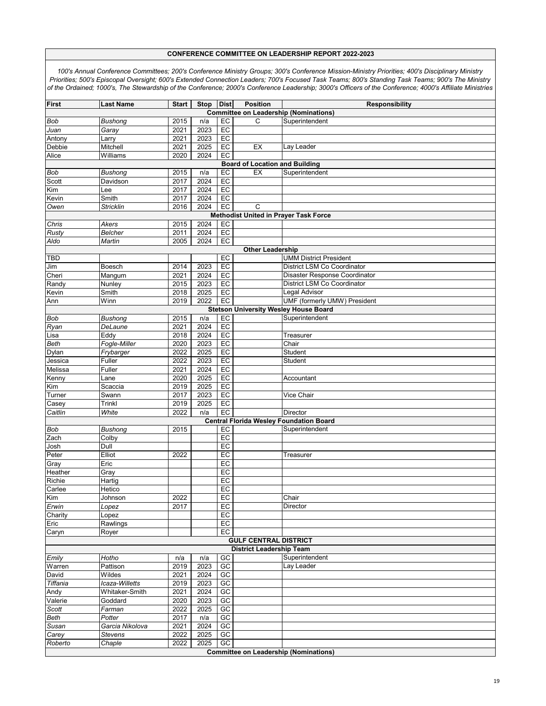| <b>First</b>                                                   | <b>Last Name</b>                             | <b>Start</b> | <b>Stop</b>       | <b>Dist</b>     | <b>Position</b>                       | Responsibility                                 |  |  |  |  |  |
|----------------------------------------------------------------|----------------------------------------------|--------------|-------------------|-----------------|---------------------------------------|------------------------------------------------|--|--|--|--|--|
|                                                                |                                              |              |                   |                 |                                       | <b>Committee on Leadership (Nominations)</b>   |  |  |  |  |  |
| <b>Bob</b>                                                     | <b>Bushong</b>                               | 2015         | n/a               | EC              | C                                     | Superintendent                                 |  |  |  |  |  |
| Juan                                                           | Garay                                        | 2021         | 2023              | EC              |                                       |                                                |  |  |  |  |  |
| Antony                                                         | Larry                                        | 2021         | 2023              | EC              |                                       |                                                |  |  |  |  |  |
| Debbie                                                         | Mitchell                                     | 2021         | 2025              | EC              | EX                                    | Lay Leader                                     |  |  |  |  |  |
| Alice                                                          | Williams                                     | 2020         | 2024              | EC              |                                       |                                                |  |  |  |  |  |
|                                                                |                                              |              |                   |                 | <b>Board of Location and Building</b> |                                                |  |  |  |  |  |
| <b>Bob</b>                                                     | Bushong                                      | 2015         | n/a               | EC              | EX                                    | Superintendent                                 |  |  |  |  |  |
| Scott                                                          | Davidson                                     | 2017         | 2024              | EC              |                                       |                                                |  |  |  |  |  |
| Kim                                                            | Lee                                          | 2017         | 2024              | EC              |                                       |                                                |  |  |  |  |  |
| Kevin                                                          | Smith                                        | 2017         | 2024              | EC              |                                       |                                                |  |  |  |  |  |
| Owen                                                           | <b>Stricklin</b>                             | 2016         | $20\overline{24}$ | EC              | $\mathsf{C}$                          |                                                |  |  |  |  |  |
|                                                                | <b>Methodist United in Prayer Task Force</b> |              |                   |                 |                                       |                                                |  |  |  |  |  |
| Chris                                                          | Akers                                        | 2015         | 2024              | EC              |                                       |                                                |  |  |  |  |  |
| Rusty                                                          | <b>Belcher</b>                               | 2011         | 2024              | EC              |                                       |                                                |  |  |  |  |  |
| Aldo                                                           | Martin                                       | 2005         | 2024              | EC              |                                       |                                                |  |  |  |  |  |
| <b>Other Leadership</b>                                        |                                              |              |                   |                 |                                       |                                                |  |  |  |  |  |
| <b>TBD</b>                                                     |                                              |              |                   | EC              |                                       | <b>UMM District President</b>                  |  |  |  |  |  |
| Jim                                                            | Boesch                                       | 2014         | 2023              | EC              |                                       | District LSM Co Coordinator                    |  |  |  |  |  |
| Cheri                                                          | Mangum                                       | 2021         | 2024              | EC              |                                       | Disaster Response Coordinator                  |  |  |  |  |  |
| Randy                                                          | Nunley                                       | 2015         | 2023              | EC              |                                       | District LSM Co Coordinator                    |  |  |  |  |  |
| Kevin                                                          | Smith                                        | 2018         | 2025              | EC              |                                       | Legal Advisor                                  |  |  |  |  |  |
| Ann                                                            | Winn                                         | 2019         | 2022              | EC              |                                       | UMF (formerly UMW) President                   |  |  |  |  |  |
| <b>Stetson University Wesley House Board</b><br>Superintendent |                                              |              |                   |                 |                                       |                                                |  |  |  |  |  |
| Bob                                                            | Bushong<br>DeLaune                           | 2015<br>2021 | n/a<br>2024       | EC<br>EC        |                                       |                                                |  |  |  |  |  |
| Ryan<br>Lisa                                                   | Eddy                                         | 2018         | 2024              | EC              |                                       | Treasurer                                      |  |  |  |  |  |
| Beth                                                           | Fogle-Miller                                 | 2020         | 2023              | EC              |                                       | Chair                                          |  |  |  |  |  |
| Dylan                                                          | Frybarger                                    | 2022         | 2025              | EC              |                                       | Student                                        |  |  |  |  |  |
| Jessica                                                        | Fuller                                       | 2022         | 2023              | EC              |                                       | Student                                        |  |  |  |  |  |
| Melissa                                                        | Fuller                                       | 2021         | 2024              | EC              |                                       |                                                |  |  |  |  |  |
| Kenny                                                          | Lane                                         | 2020         | 2025              | EC              |                                       | Accountant                                     |  |  |  |  |  |
| Kim                                                            | Scaccia                                      | 2019         | 2025              | EC              |                                       |                                                |  |  |  |  |  |
| Turner                                                         | Swann                                        | 2017         | 2023              | EC              |                                       | Vice Chair                                     |  |  |  |  |  |
| Casey                                                          | Trinkl                                       | 2019         | 2025              | EC              |                                       |                                                |  |  |  |  |  |
| Caitlin                                                        | White                                        | 2022         | n/a               | EC              |                                       | Director                                       |  |  |  |  |  |
|                                                                |                                              |              |                   |                 |                                       | <b>Central Florida Wesley Foundation Board</b> |  |  |  |  |  |
| <b>Bob</b>                                                     | Bushong                                      | 2015         |                   | EC              |                                       | Superintendent                                 |  |  |  |  |  |
| Zach                                                           | Colby                                        |              |                   | EC              |                                       |                                                |  |  |  |  |  |
| Josh                                                           | Dull                                         |              |                   | EC              |                                       |                                                |  |  |  |  |  |
| Peter                                                          | Elliot                                       | 2022         |                   | EC              |                                       | Treasurer                                      |  |  |  |  |  |
| Gray                                                           | Eric                                         |              |                   | EC              |                                       |                                                |  |  |  |  |  |
| Heather                                                        | Gray                                         |              |                   | EC              |                                       |                                                |  |  |  |  |  |
| Richie                                                         | Hartig                                       |              |                   | EC              |                                       |                                                |  |  |  |  |  |
| Carlee                                                         | Hetico                                       |              |                   | EC              |                                       |                                                |  |  |  |  |  |
| Kim                                                            | Johnson                                      | 2022         |                   | EC              |                                       | Chair                                          |  |  |  |  |  |
| Erwin                                                          | Lopez                                        | 2017         |                   | EC              |                                       | Director                                       |  |  |  |  |  |
| Charity                                                        | Lopez                                        |              |                   | EC              |                                       |                                                |  |  |  |  |  |
| Eric                                                           | Rawlings                                     |              |                   | EC              |                                       |                                                |  |  |  |  |  |
| Caryn                                                          | Royer                                        |              |                   | EC              |                                       |                                                |  |  |  |  |  |
|                                                                |                                              |              |                   |                 | <b>GULF CENTRAL DISTRICT</b>          |                                                |  |  |  |  |  |
|                                                                |                                              |              |                   |                 | <b>District Leadership Team</b>       |                                                |  |  |  |  |  |
| Emily                                                          | Hotho                                        | n/a          | n/a               | GC              |                                       | Superintendent                                 |  |  |  |  |  |
| Warren                                                         | Pattison                                     | 2019         | 2023              | $\overline{GC}$ |                                       | Lay Leader                                     |  |  |  |  |  |
| David                                                          | Wildes                                       | 2021         | 2024              | GC              |                                       |                                                |  |  |  |  |  |
| Tiffania                                                       | Icaza-Willetts                               | 2019         | 2023              | GC              |                                       |                                                |  |  |  |  |  |
| Andy                                                           | Whitaker-Smith                               | 2021         | 2024              | GC              |                                       |                                                |  |  |  |  |  |
| Valerie                                                        | Goddard                                      | 2020         | 2023              | GC              |                                       |                                                |  |  |  |  |  |
| Scott                                                          | Farman                                       | 2022         | 2025              | $\overline{GC}$ |                                       |                                                |  |  |  |  |  |
| Beth                                                           | Potter                                       | 2017         | n/a               | GC              |                                       |                                                |  |  |  |  |  |
| Susan                                                          | Garcia Nikolova                              | 2021         | 2024              | GC              |                                       |                                                |  |  |  |  |  |
| Carey                                                          | <b>Stevens</b>                               | 2022         | 2025              | GC              |                                       |                                                |  |  |  |  |  |
| Roberto                                                        | $\overline{Chaple}$                          | 2022         | 2025              | GC              |                                       | <b>Committee on Leadership (Nominations)</b>   |  |  |  |  |  |
|                                                                |                                              |              |                   |                 |                                       |                                                |  |  |  |  |  |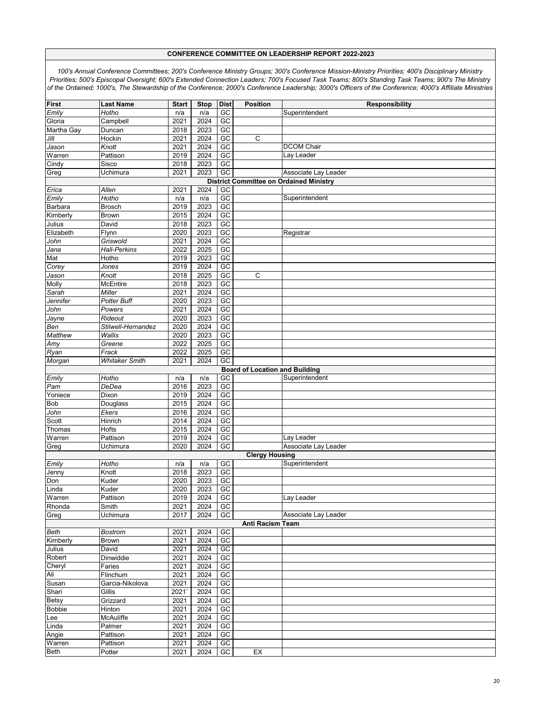| First          | <b>Last Name</b>      | <b>Start</b> | <b>Stop</b> | <b>Dist</b> | <b>Position</b>                       | <b>Responsibility</b>                          |
|----------------|-----------------------|--------------|-------------|-------------|---------------------------------------|------------------------------------------------|
| Emily          | Hotho                 | n/a          | n/a         | GC          |                                       | Superintendent                                 |
| Gloria         | Campbell              | 2021         | 2024        | GC          |                                       |                                                |
| Martha Gay     | Duncan                | 2018         | 2023        | GC          |                                       |                                                |
| Jill           | Hockin                | 2021         | 2024        | $G$ C       | C                                     |                                                |
| Jason          | Knott                 | 2021         | 2024        | GC          |                                       | <b>DCOM Chair</b>                              |
| Warren         | Pattison              | 2019         | 2024        | GC          |                                       | Lay Leader                                     |
| Cindy          | Sisco                 | 2018         | 2023        | GC          |                                       |                                                |
|                |                       |              |             | GC          |                                       |                                                |
| Greg           | Uchimura              | 2021         | 2023        |             |                                       | Associate Lay Leader                           |
|                |                       |              |             |             |                                       | <b>District Committee on Ordained Ministry</b> |
| Erica          | Allen                 | 2021         | 2024        | GC          |                                       |                                                |
| Emily          | <b>Hotho</b>          | n/a          | n/a         | GC          |                                       | Superintendent                                 |
| Barbara        | <b>Brosch</b>         | 2019         | 2023        | GC          |                                       |                                                |
| Kimberly       | <b>Brown</b>          | 2015         | 2024        | GC          |                                       |                                                |
| Julius         | David                 | 2018         | 2023        | $G$ C       |                                       |                                                |
| Elizabeth      | Flynn                 | 2020         | 2023        | GC          |                                       | Registrar                                      |
| John           | Griswold              | 2021         | 2024        | GC          |                                       |                                                |
| Jana           | <b>Hall-Perkins</b>   | 2022         | 2025        | GC          |                                       |                                                |
| Mat            | Hotho                 | 2019         | 2023        | GC          |                                       |                                                |
| Corey          | Jones                 | 2019         | 2024        | $G$ C       |                                       |                                                |
|                | Knott                 | 2018         | 2025        | GC          | $\mathsf C$                           |                                                |
| Jason          |                       |              |             |             |                                       |                                                |
| Molly          | McEntire              | 2018         | 2023        | GC          |                                       |                                                |
| Sarah          | Miller                | 2021         | 2024        | GC          |                                       |                                                |
| Jennifer       | Potter Buff           | 2020         | 2023        | GC          |                                       |                                                |
| John           | Powers                | 2021         | 2024        | $G$ C       |                                       |                                                |
| Jayne          | $\overline{R}$ ideout | 2020         | 2023        | GC          |                                       |                                                |
| Ben            | Stilwell-Hernandez    | 2020         | 2024        | GC          |                                       |                                                |
| <b>Matthew</b> | Wallis                | 2020         | 2023        | GC          |                                       |                                                |
| Amy            | Greene                | 2022         | 2025        | GC          |                                       |                                                |
| Ryan           | Frack                 | 2022         | 2025        | $G$ C       |                                       |                                                |
| Morgan         | <b>Whitaker Smith</b> | 2021         | 2024        | GC          |                                       |                                                |
|                |                       |              |             |             |                                       |                                                |
|                |                       |              |             |             | <b>Board of Location and Building</b> |                                                |
| Emily          | Hotho                 | n/a          | n/a         | GC          |                                       | Superintendent                                 |
| Pam            | DeDea                 | 2016         | 2023        | GC          |                                       |                                                |
| Yoniece        | Dixon                 | 2019         | 2024        | $G$ C       |                                       |                                                |
| Bob            | Douglass              | 2015         | 2024        | GC          |                                       |                                                |
| John           | Ekers                 | 2016         | 2024        | GC          |                                       |                                                |
| Scott          | Hinrich               | 2014         | 2024        | GC          |                                       |                                                |
| Thomas         | Hofts                 | 2015         | 2024        | GC          |                                       |                                                |
| Warren         | Pattison              | 2019         | 2024        | $G$ C       |                                       | Lay Leader                                     |
| Greg           | Uchimura              | 2020         | 2024        | GC          |                                       | Associate Lay Leader                           |
|                |                       |              |             |             | <b>Clergy Housing</b>                 |                                                |
| Emily          | Hotho                 | n/a          | n/a         | GC          |                                       | Superintendent                                 |
| Jenny          | Knott                 | 2018         | 2023        | GC          |                                       |                                                |
|                | Kuder                 | 2020         | 2023        | $G$ C       |                                       |                                                |
| Don            |                       |              |             |             |                                       |                                                |
| Linda          | Kuder                 | 2020         | 2023        | GC          |                                       |                                                |
| Warren         | Pattison              | 2019         | 2024        | GC          |                                       | Lay Leader                                     |
| Rhonda         | Smith                 | 2021         | 2024        | GC          |                                       |                                                |
| Greg           | Uchimura              | 2017         | 2024        | GC          |                                       | Associate Lay Leader                           |
|                |                       |              |             |             | Anti Racism Team                      |                                                |
| Beth           | <b>Bostrom</b>        | 2021         | 2024        | GC          |                                       |                                                |
| Kimberly       | <b>Brown</b>          | 2021         | 2024        | GC          |                                       |                                                |
| Julius         | David                 | 2021         | 2024        | GC          |                                       |                                                |
| Robert         | Dinwiddie             | 2021         | 2024        | GC          |                                       |                                                |
| Cheryl         | Faries                | 2021         | 2024        | $G$ C       |                                       |                                                |
| Ali            | Flinchum              | 2021         | 2024        | GC          |                                       |                                                |
| Susan          | Garcia-Nikolova       | 2021         | 2024        | GC          |                                       |                                                |
|                |                       |              |             |             |                                       |                                                |
| Shari          | Gillis                | 2021         | 2024        | GC          |                                       |                                                |
| <b>Betsy</b>   | Grizzard              | 2021         | 2024        | GC          |                                       |                                                |
| <b>Bobbie</b>  | Hinton                | 2021         | 2024        | $G$ C       |                                       |                                                |
| Lee            | McAuliffe             | 2021         | 2024        | GC          |                                       |                                                |
| Linda          | Palmer                | 2021         | 2024        | GC          |                                       |                                                |
| Angie          | Pattison              | 2021         | 2024        | GC          |                                       |                                                |
| Warren         | Pattison              | 2021         | 2024        | GC          |                                       |                                                |
| Beth           | Potter                | 2021         | 2024        | GC          | EX                                    |                                                |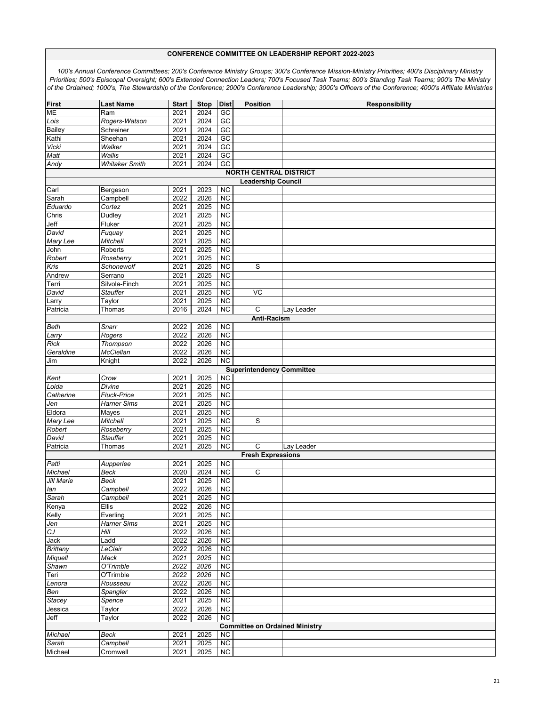| <b>First</b>                  | <b>Last Name</b>      | <b>Start</b> | <b>Stop</b> | <b>Dist</b>     | <b>Position</b>                       | Responsibility |  |  |  |  |
|-------------------------------|-----------------------|--------------|-------------|-----------------|---------------------------------------|----------------|--|--|--|--|
| ME                            | Ram                   | 2021         | 2024        | GC              |                                       |                |  |  |  |  |
| Lois                          | Rogers-Watson         | 2021         | 2024        | GC              |                                       |                |  |  |  |  |
| <b>Bailey</b>                 | Schreiner             | 2021         | 2024        | GC              |                                       |                |  |  |  |  |
| Kathi                         | Sheehan               | 2021         | 2024        | $\overline{GC}$ |                                       |                |  |  |  |  |
| Vicki                         | Walker                | 2021         | 2024        | GC              |                                       |                |  |  |  |  |
|                               | <b>Wallis</b>         |              | 2024        | GC              |                                       |                |  |  |  |  |
| Matt                          |                       | 2021         |             |                 |                                       |                |  |  |  |  |
| Andy                          | <b>Whitaker Smith</b> | 2021         | 2024        | GC              |                                       |                |  |  |  |  |
| <b>NORTH CENTRAL DISTRICT</b> |                       |              |             |                 |                                       |                |  |  |  |  |
|                               |                       |              |             |                 | <b>Leadership Council</b>             |                |  |  |  |  |
| Carl                          | Bergeson              | 2021         | 2023        | <b>NC</b>       |                                       |                |  |  |  |  |
| Sarah                         | Campbell              | 2022         | 2026        | <b>NC</b>       |                                       |                |  |  |  |  |
| Eduardo                       | Cortez                | 2021         | 2025        | <b>NC</b>       |                                       |                |  |  |  |  |
| Chris                         | Dudley                | 2021         | 2025        | <b>NC</b>       |                                       |                |  |  |  |  |
|                               | Fluker                |              | 2025        | $\overline{NC}$ |                                       |                |  |  |  |  |
| Jeff                          |                       | 2021         |             |                 |                                       |                |  |  |  |  |
| David                         | Fuquay                | 2021         | 2025        | <b>NC</b>       |                                       |                |  |  |  |  |
| Mary Lee                      | Mitchell              | 2021         | 2025        | $\overline{NC}$ |                                       |                |  |  |  |  |
| John                          | Roberts               | 2021         | 2025        | <b>NC</b>       |                                       |                |  |  |  |  |
| Robert                        | Roseberry             | 2021         | 2025        | <b>NC</b>       |                                       |                |  |  |  |  |
| Kris                          | Schonewolf            | 2021         | 2025        | $\overline{NC}$ | S                                     |                |  |  |  |  |
| Andrew                        | Serrano               | 2021         | 2025        | <b>NC</b>       |                                       |                |  |  |  |  |
| Terri                         | Silvola-Finch         | 2021         | 2025        | $\overline{NC}$ |                                       |                |  |  |  |  |
| David                         | <b>Stauffer</b>       | 2021         | 2025        | <b>NC</b>       | VC                                    |                |  |  |  |  |
|                               |                       |              |             |                 |                                       |                |  |  |  |  |
| Larry                         | Taylor                | 2021         | 2025        | <b>NC</b>       |                                       |                |  |  |  |  |
| Patricia                      | Thomas                | 2016         | 2024        | $\overline{NC}$ | C                                     | Lay Leader     |  |  |  |  |
|                               |                       |              |             |                 | Anti-Racism                           |                |  |  |  |  |
| Beth                          | Snarr                 | 2022         | 2026        | <b>NC</b>       |                                       |                |  |  |  |  |
| Larry                         | Rogers                | 2022         | 2026        | <b>NC</b>       |                                       |                |  |  |  |  |
| Rick                          | Thompson              | 2022         | 2026        | <b>NC</b>       |                                       |                |  |  |  |  |
| Geraldine                     | McClellan             | 2022         | 2026        | $\overline{NC}$ |                                       |                |  |  |  |  |
| Jim                           | Knight                | 2022         | 2026        | <b>NC</b>       |                                       |                |  |  |  |  |
|                               |                       |              |             |                 | <b>Superintendency Committee</b>      |                |  |  |  |  |
|                               | Crow                  | 2021         | 2025        | <b>NC</b>       |                                       |                |  |  |  |  |
| Kent                          |                       |              |             |                 |                                       |                |  |  |  |  |
| Loida                         | Divine                | 2021         | 2025        | <b>NC</b>       |                                       |                |  |  |  |  |
| Catherine                     | <b>Fluck-Price</b>    | 2021         | 2025        | $\overline{NC}$ |                                       |                |  |  |  |  |
| Jen                           | <b>Harner Sims</b>    | 2021         | 2025        | <b>NC</b>       |                                       |                |  |  |  |  |
| Eldora                        | Mayes                 | 2021         | 2025        | <b>NC</b>       |                                       |                |  |  |  |  |
| Mary Lee                      | <b>Mitchell</b>       | 2021         | 2025        | <b>NC</b>       | S                                     |                |  |  |  |  |
| Robert                        | Roseberry             | 2021         | 2025        | <b>NC</b>       |                                       |                |  |  |  |  |
| David                         | <b>Stauffer</b>       | 2021         | 2025        | $\overline{NC}$ |                                       |                |  |  |  |  |
| Patricia                      | Thomas                | 2021         | 2025        | <b>NC</b>       | C                                     | Lay Leader     |  |  |  |  |
|                               |                       |              |             |                 |                                       |                |  |  |  |  |
|                               |                       |              |             |                 | <b>Fresh Expressions</b>              |                |  |  |  |  |
| Patti                         | Aupperlee             | 2021         | 2025        | <b>NC</b>       |                                       |                |  |  |  |  |
| Michael                       | Beck                  | 2020         | 2024        | <b>NC</b>       | C                                     |                |  |  |  |  |
| Jill Marie                    | Beck                  | 2021         | 2025        | $\overline{NC}$ |                                       |                |  |  |  |  |
| lan                           | Campbell              | 2022         | 2026        | <b>NC</b>       |                                       |                |  |  |  |  |
| Sarah                         | Campbell              | 2021         | 2025        | NC              |                                       |                |  |  |  |  |
| Kenya                         | Ellis                 | 2022         | 2026        | <b>NC</b>       |                                       |                |  |  |  |  |
| Kelly                         | Everling              | 2021         | 2025        | <b>NC</b>       |                                       |                |  |  |  |  |
| Jen                           | <b>Harner Sims</b>    | 2021         | 2025        | $\overline{NC}$ |                                       |                |  |  |  |  |
|                               |                       |              |             |                 |                                       |                |  |  |  |  |
| ${\cal C}{\cal J}$            | Hill                  | 2022         | 2026        | NC              |                                       |                |  |  |  |  |
| Jack                          | Ladd                  | 2022         | 2026        | <b>NC</b>       |                                       |                |  |  |  |  |
| <b>Brittany</b>               | LeClair               | 2022         | 2026        | <b>NC</b>       |                                       |                |  |  |  |  |
| Miquell                       | Mack                  | 2021         | 2025        | <b>NC</b>       |                                       |                |  |  |  |  |
| Shawn                         | O'Trimble             | 2022         | 2026        | $\overline{NC}$ |                                       |                |  |  |  |  |
| Teri                          | O'Trimble             | 2022         | 2026        | <b>NC</b>       |                                       |                |  |  |  |  |
| Lenora                        | Rousseau              | 2022         | 2026        | $\overline{NC}$ |                                       |                |  |  |  |  |
| Ben                           | Spangler              | 2022         | 2026        | <b>NC</b>       |                                       |                |  |  |  |  |
|                               | Spence                | 2021         | 2025        | <b>NC</b>       |                                       |                |  |  |  |  |
| Stacey                        |                       |              |             |                 |                                       |                |  |  |  |  |
| Jessica                       | Taylor                | 2022         | 2026        | $\overline{NC}$ |                                       |                |  |  |  |  |
| Jeff                          | Taylor                | 2022         | 2026        | NC              |                                       |                |  |  |  |  |
|                               |                       |              |             |                 | <b>Committee on Ordained Ministry</b> |                |  |  |  |  |
| Michael                       | Beck                  | 2021         | 2025        | <b>NC</b>       |                                       |                |  |  |  |  |
| Sarah                         | Campbell              | 2021         | 2025        | NC              |                                       |                |  |  |  |  |
| Michael                       | Cromwell              | 2021         | 2025        | $\overline{NC}$ |                                       |                |  |  |  |  |
|                               |                       |              |             |                 |                                       |                |  |  |  |  |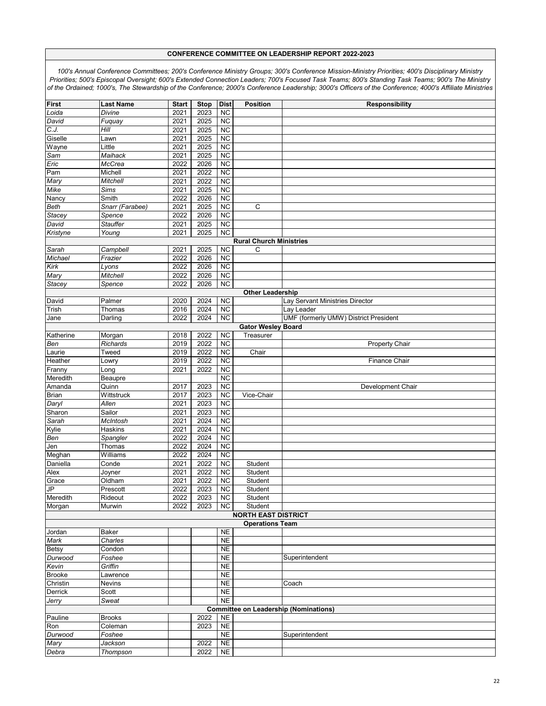| <b>First</b>  | <b>Last Name</b> | <b>Start</b> | <b>Stop</b> | <b>Dist</b>     | <b>Position</b>                | Responsibility                               |
|---------------|------------------|--------------|-------------|-----------------|--------------------------------|----------------------------------------------|
| Loida         | Divine           | 2021         | 2023        | <b>NC</b>       |                                |                                              |
| David         | Fuquay           | 2021         | 2025        | <b>NC</b>       |                                |                                              |
| C.J.          | Hill             | 2021         | 2025        | <b>NC</b>       |                                |                                              |
| Giselle       | ∟awn             | 2021         | 2025        | $\overline{NC}$ |                                |                                              |
|               | Little           | 2021         | 2025        | <b>NC</b>       |                                |                                              |
| Wayne         |                  |              |             |                 |                                |                                              |
| Sam           | Maihack          | 2021         | 2025        | <b>NC</b>       |                                |                                              |
| Eric          | McCrea           | 2022         | 2026        | $\overline{NC}$ |                                |                                              |
| Pam           | Michell          | 2021         | 2022        | <b>NC</b>       |                                |                                              |
| Mary          | Mitchell         | 2021         | 2022        | $\overline{NC}$ |                                |                                              |
| Mike          | <b>Sims</b>      | 2021         | 2025        | <b>NC</b>       |                                |                                              |
| Nancy         | Smith            | 2022         | 2026        | <b>NC</b>       |                                |                                              |
| Beth          | Snarr (Farabee)  | 2021         | 2025        | <b>NC</b>       | C                              |                                              |
| Stacey        | Spence           | 2022         | 2026        | $\overline{NC}$ |                                |                                              |
|               | <b>Stauffer</b>  | 2021         | 2025        | $\overline{NC}$ |                                |                                              |
| David         |                  |              |             |                 |                                |                                              |
| Kristyne      | Young            | 2021         | 2025        | <b>NC</b>       |                                |                                              |
|               |                  |              |             |                 | <b>Rural Church Ministries</b> |                                              |
| Sarah         | Campbell         | 2021         | 2025        | <b>NC</b>       | C                              |                                              |
| Michael       | Frazier          | 2022         | 2026        | <b>NC</b>       |                                |                                              |
| Kirk          | Lyons            | 2022         | 2026        | $\overline{NC}$ |                                |                                              |
| Mary          | <b>Mitchell</b>  | 2022         | 2026        | <b>NC</b>       |                                |                                              |
| Stacey        | Spence           | 2022         | 2026        | <b>NC</b>       |                                |                                              |
|               |                  |              |             |                 | <b>Other Leadership</b>        |                                              |
|               | Palmer           | 2020         | 2024        | <b>NC</b>       |                                | Lay Servant Ministries Director              |
| David         |                  |              | 2024        | $\overline{NC}$ |                                |                                              |
| Trish         | Thomas           | 2016         |             |                 |                                | Lay Leader                                   |
| Jane          | Darling          | 2022         | 2024        | <b>NC</b>       |                                | UMF (formerly UMW) District President        |
|               |                  |              |             |                 | <b>Gator Wesley Board</b>      |                                              |
| Katherine     | Morgan           | 2018         | 2022        | <b>NC</b>       | Treasurer                      |                                              |
| Ben           | Richards         | 2019         | 2022        | <b>NC</b>       |                                | <b>Property Chair</b>                        |
| aurie.        | Tweed            | 2019         | 2022        | $\overline{NC}$ | Chair                          |                                              |
| Heather       | Lowry            | 2019         | 2022        | <b>NC</b>       |                                | <b>Finance Chair</b>                         |
| Franny        | Long             | 2021         | 2022        | <b>NC</b>       |                                |                                              |
| Meredith      | Beaupre          |              |             | <b>NC</b>       |                                |                                              |
| Amanda        | Quinn            | 2017         | 2023        | <b>NC</b>       |                                | Development Chair                            |
| Brian         | Wittstruck       | 2017         | 2023        | $\overline{NC}$ | Vice-Chair                     |                                              |
|               | Allen            | 2021         | 2023        | <b>NC</b>       |                                |                                              |
| Daryl         | Sailor           |              |             |                 |                                |                                              |
| Sharon        |                  | 2021         | 2023        | $\overline{NC}$ |                                |                                              |
| Sarah         | McIntosh         | 2021         | 2024        | $\overline{NC}$ |                                |                                              |
| Kylie         | Haskins          | 2021         | 2024        | <b>NC</b>       |                                |                                              |
| Ben           | Spangler         | 2022         | 2024        | $\overline{NC}$ |                                |                                              |
| Jen           | Thomas           | 2022         | 2024        | <b>NC</b>       |                                |                                              |
| Meghan        | Williams         | 2022         | 2024        | $\overline{NC}$ |                                |                                              |
| Daniella      | Conde            | 2021         | 2022        | <b>NC</b>       | Student                        |                                              |
| Alex          | Joyner           | 2021         | 2022        | <b>NC</b>       | Student                        |                                              |
| Grace         | Oldham           | 2021         | 2022        | $\overline{NC}$ | Student                        |                                              |
| ٩             | Prescott         | 2022         | 2023        | <b>NC</b>       | Student                        |                                              |
| Meredith      |                  |              |             |                 |                                |                                              |
|               | Rideout          | 2022         | 2023        | NC.             | Student                        |                                              |
| Morgan        | Murwin           | 2022         | 2023        | <b>NC</b>       | Student                        |                                              |
|               |                  |              |             |                 | <b>NORTH EAST DISTRICT</b>     |                                              |
|               |                  |              |             |                 | <b>Operations Team</b>         |                                              |
| Jordan        | Baker            |              |             | <b>NE</b>       |                                |                                              |
| Mark          | Charles          |              |             | N <sub>E</sub>  |                                |                                              |
| <b>Betsy</b>  | Condon           |              |             | <b>NE</b>       |                                |                                              |
| Durwood       | Foshee           |              |             | <b>NE</b>       |                                | Superintendent                               |
| Kevin         | Griffin          |              |             | N <sub>E</sub>  |                                |                                              |
| <b>Brooke</b> | Lawrence         |              |             | <b>NE</b>       |                                |                                              |
| Christin      | Nevins           |              |             | <b>NE</b>       |                                | Coach                                        |
|               |                  |              |             | <b>NE</b>       |                                |                                              |
| Derrick       | Scott            |              |             |                 |                                |                                              |
| Jerry         | Sweat            |              |             | <b>NE</b>       |                                |                                              |
|               |                  |              |             |                 |                                | <b>Committee on Leadership (Nominations)</b> |
| Pauline       | <b>Brooks</b>    |              | 2022        | <b>NE</b>       |                                |                                              |
| Ron           | Coleman          |              | 2023        | <b>NE</b>       |                                |                                              |
| Durwood       | Foshee           |              |             | <b>NE</b>       |                                | Superintendent                               |
| Mary          | Jackson          |              | 2022        | <b>NE</b>       |                                |                                              |
| Debra         | Thompson         |              | 2022        | <b>NE</b>       |                                |                                              |
|               |                  |              |             |                 |                                |                                              |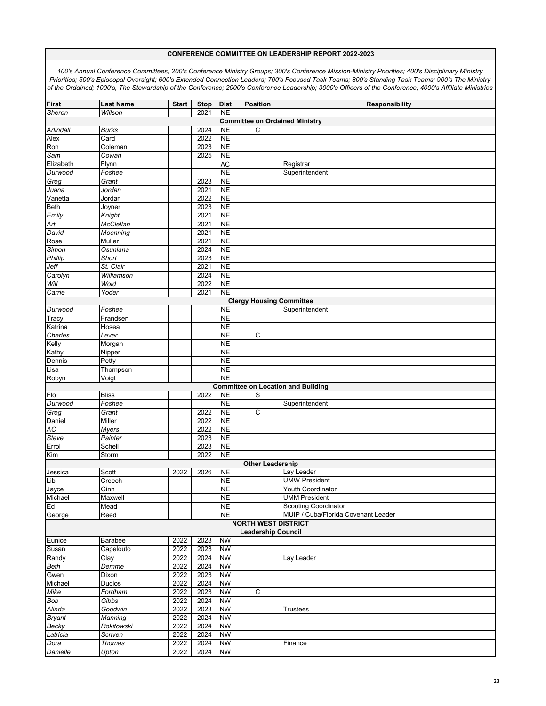| <b>First</b>                    | <b>Last Name</b> | <b>Start</b> | <b>Stop</b>  | <b>Dist</b>    | <b>Position</b>                           | <b>Responsibility</b>               |  |  |  |  |
|---------------------------------|------------------|--------------|--------------|----------------|-------------------------------------------|-------------------------------------|--|--|--|--|
| Sheron                          | Willson          |              | 2021         | N <sub>E</sub> |                                           |                                     |  |  |  |  |
|                                 |                  |              |              |                | <b>Committee on Ordained Ministry</b>     |                                     |  |  |  |  |
| Arlindall                       | Burks            |              | 2024         | <b>NE</b>      | С                                         |                                     |  |  |  |  |
| Alex                            | Card             |              | 2022         | N <sub>E</sub> |                                           |                                     |  |  |  |  |
| Ron                             | Coleman          |              | 2023         | <b>NE</b>      |                                           |                                     |  |  |  |  |
| Sam                             | Cowan            |              | 2025         | <b>NE</b>      |                                           |                                     |  |  |  |  |
| Elizabeth                       | Flynn            |              |              | AC             |                                           | Registrar                           |  |  |  |  |
| Durwood                         | Foshee           |              |              | N <sub>E</sub> |                                           | Superintendent                      |  |  |  |  |
| Greg                            | Grant            |              | 2023         | N <sub>E</sub> |                                           |                                     |  |  |  |  |
| Juana                           | Jordan           |              | 2021         | <b>NE</b>      |                                           |                                     |  |  |  |  |
| Vanetta                         | Jordan           |              | 2022         | <b>NE</b>      |                                           |                                     |  |  |  |  |
| Beth                            | Joyner           |              | 2023         | <b>NE</b>      |                                           |                                     |  |  |  |  |
| Emily                           | Knight           |              | 2021         | <b>NE</b>      |                                           |                                     |  |  |  |  |
| Art                             | McClellan        |              | 2021         | N <sub>E</sub> |                                           |                                     |  |  |  |  |
| David                           | Moenning         |              | 2021         | <b>NE</b>      |                                           |                                     |  |  |  |  |
| Rose                            | <b>Muller</b>    |              | 2021         | N <sub>E</sub> |                                           |                                     |  |  |  |  |
| Simon                           | Osunlana         |              | 2024         | <b>NE</b>      |                                           |                                     |  |  |  |  |
| Phillip                         | Short            |              | 2023         | <b>NE</b>      |                                           |                                     |  |  |  |  |
| Jeff                            | St. Clair        |              | 2021         | N <sub>E</sub> |                                           |                                     |  |  |  |  |
|                                 | Williamson       |              |              | <b>NE</b>      |                                           |                                     |  |  |  |  |
| Carolyn<br>Will                 | Wold             |              | 2024<br>2022 | N <sub>E</sub> |                                           |                                     |  |  |  |  |
|                                 |                  |              |              |                |                                           |                                     |  |  |  |  |
| Carrie                          | Yoder            |              | 2021         | <b>NE</b>      |                                           |                                     |  |  |  |  |
| <b>Clergy Housing Committee</b> |                  |              |              |                |                                           |                                     |  |  |  |  |
| Durwood                         | Foshee           |              |              | N <sub>E</sub> |                                           | Superintendent                      |  |  |  |  |
| Tracy                           | Frandsen         |              |              | <b>NE</b>      |                                           |                                     |  |  |  |  |
| Katrina                         | Hosea            |              |              | <b>NE</b>      |                                           |                                     |  |  |  |  |
| Charles                         | Lever            |              |              | <b>NE</b>      | C                                         |                                     |  |  |  |  |
| Kelly                           | Morgan           |              |              | <b>NE</b>      |                                           |                                     |  |  |  |  |
| Kathy                           | Nipper           |              |              | N <sub>E</sub> |                                           |                                     |  |  |  |  |
| Dennis                          | Petty            |              |              | <b>NE</b>      |                                           |                                     |  |  |  |  |
| Lisa                            | Thompson         |              |              | <b>NE</b>      |                                           |                                     |  |  |  |  |
| Robyn                           | Voigt            |              |              | N <sub>E</sub> |                                           |                                     |  |  |  |  |
|                                 |                  |              |              |                | <b>Committee on Location and Building</b> |                                     |  |  |  |  |
| Flo                             | <b>Bliss</b>     |              | 2022         | N <sub>E</sub> | S                                         |                                     |  |  |  |  |
| Durwood                         | Foshee           |              |              | <b>NE</b>      |                                           | Superintendent                      |  |  |  |  |
| Greg                            | Grant            |              | 2022         | <b>NE</b>      | $\overline{C}$                            |                                     |  |  |  |  |
| Daniel                          | Miller           |              | 2022         | <b>NE</b>      |                                           |                                     |  |  |  |  |
| AC                              | <b>Myers</b>     |              | 2022         | <b>NE</b>      |                                           |                                     |  |  |  |  |
| Steve                           | Painter          |              | 2023         | N <sub>E</sub> |                                           |                                     |  |  |  |  |
| Errol                           | Schell           |              | 2023         | <b>NE</b>      |                                           |                                     |  |  |  |  |
| Kim                             | Storm            |              | 2022         | <b>NE</b>      |                                           |                                     |  |  |  |  |
|                                 |                  |              |              |                | <b>Other Leadership</b>                   |                                     |  |  |  |  |
| Jessica                         | Scott            | 2022         | 2026         | <b>NE</b>      |                                           | Lay Leader                          |  |  |  |  |
| Lib                             | Creech           |              |              | N <sub>E</sub> |                                           | <b>UMW President</b>                |  |  |  |  |
| Jayce                           | Ginn             |              |              | <b>NE</b>      |                                           | Youth Coordinator                   |  |  |  |  |
| Michael                         | Maxwell          |              |              | <b>NE</b>      |                                           | <b>UMM President</b>                |  |  |  |  |
| Ed                              | Mead             |              |              | <b>NE</b>      |                                           | <b>Scouting Coordinator</b>         |  |  |  |  |
| George                          | Reed             |              |              | NE.            |                                           | MUIP / Cuba/Florida Covenant Leader |  |  |  |  |
|                                 |                  |              |              |                | <b>NORTH WEST DISTRICT</b>                |                                     |  |  |  |  |
|                                 |                  |              |              |                | <b>Leadership Council</b>                 |                                     |  |  |  |  |
| Eunice                          | Barabee          | 2022         | 2023         | <b>NW</b>      |                                           |                                     |  |  |  |  |
| Susan                           | Capelouto        | 2022         | 2023         | <b>NW</b>      |                                           |                                     |  |  |  |  |
| Randy                           | Clay             | 2022         | 2024         | <b>NW</b>      |                                           | Lay Leader                          |  |  |  |  |
| Beth                            | Demme            | 2022         | 2024         | <b>NW</b>      |                                           |                                     |  |  |  |  |
| Gwen                            | Dixon            | 2022         | 2023         | <b>NW</b>      |                                           |                                     |  |  |  |  |
| Michael                         | <b>Duclos</b>    | 2022         | 2024         | <b>NW</b>      |                                           |                                     |  |  |  |  |
| Mike                            | Fordham          | 2022         | 2023         | <b>NW</b>      | С                                         |                                     |  |  |  |  |
| Bob                             | Gibbs            | 2022         | 2024         | <b>NW</b>      |                                           |                                     |  |  |  |  |
| Alinda                          | Goodwin          | 2022         | 2023         | <b>NW</b>      |                                           | <b>Trustees</b>                     |  |  |  |  |
| <b>Bryant</b>                   | Manning          | 2022         | 2024         | <b>NW</b>      |                                           |                                     |  |  |  |  |
| Becky                           | Rokitowski       | 2022         | 2024         | <b>NW</b>      |                                           |                                     |  |  |  |  |
| Latricia                        | Scriven          | 2022         | 2024         | <b>NW</b>      |                                           |                                     |  |  |  |  |
| Dora                            | <b>Thomas</b>    | 2022         | 2024         | <b>NW</b>      |                                           | Finance                             |  |  |  |  |
| Danielle                        | Upton            | 2022         | 2024         | <b>NW</b>      |                                           |                                     |  |  |  |  |
|                                 |                  |              |              |                |                                           |                                     |  |  |  |  |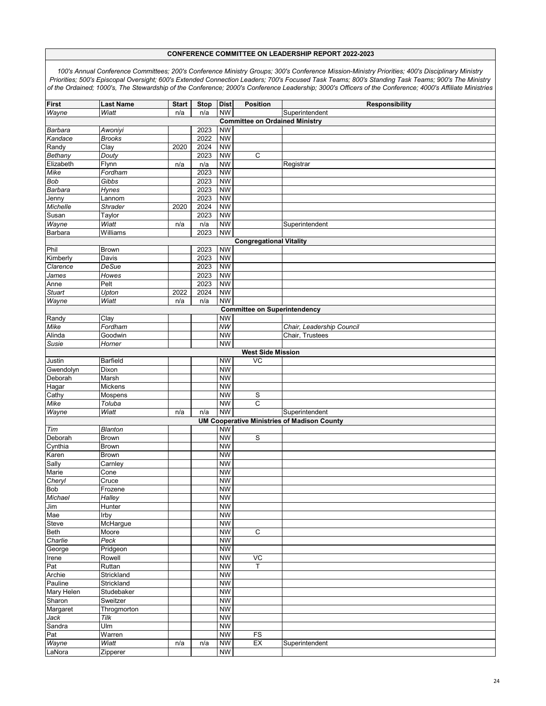| <b>First</b>                                             | <b>Last Name</b>                    | <b>Start</b> | <b>Stop</b> | <b>Dist</b>            | <b>Position</b>                       | <b>Responsibility</b>                              |  |  |  |  |  |
|----------------------------------------------------------|-------------------------------------|--------------|-------------|------------------------|---------------------------------------|----------------------------------------------------|--|--|--|--|--|
| Wayne                                                    | Wiatt                               | n/a          | n/a         | <b>NW</b>              |                                       | Superintendent                                     |  |  |  |  |  |
|                                                          |                                     |              |             |                        | <b>Committee on Ordained Ministry</b> |                                                    |  |  |  |  |  |
| Barbara                                                  | Awoniyi                             |              | 2023        | <b>NW</b>              |                                       |                                                    |  |  |  |  |  |
| Kandace                                                  | <b>Brooks</b>                       |              | 2022        | <b>NW</b>              |                                       |                                                    |  |  |  |  |  |
| Randy                                                    | Clay                                | 2020         | 2024        | <b>NW</b>              |                                       |                                                    |  |  |  |  |  |
| Bethany                                                  | Douty                               |              | 2023        | <b>NW</b>              | $\mathsf C$                           |                                                    |  |  |  |  |  |
| Elizabeth                                                | Flynn                               | n/a          | n/a         | <b>NW</b>              |                                       | Registrar                                          |  |  |  |  |  |
| Mike                                                     | Fordham                             |              | 2023        | <b>NW</b>              |                                       |                                                    |  |  |  |  |  |
| <b>Bob</b>                                               | Gibbs                               |              | 2023        | <b>NW</b>              |                                       |                                                    |  |  |  |  |  |
| Barbara                                                  | <b>Hynes</b>                        |              | 2023        | <b>NW</b>              |                                       |                                                    |  |  |  |  |  |
| Jenny                                                    | Lannom                              |              | 2023        | <b>NW</b>              |                                       |                                                    |  |  |  |  |  |
| Michelle                                                 | Shrader                             | 2020         | 2024        | <b>NW</b>              |                                       |                                                    |  |  |  |  |  |
| Susan                                                    | Taylor                              |              | 2023        | <b>NW</b>              |                                       |                                                    |  |  |  |  |  |
| Wayne                                                    | Wiatt                               | n/a          | n/a         | <b>NW</b>              |                                       | Superintendent                                     |  |  |  |  |  |
| Barbara                                                  | Williams                            |              | 2023        | <b>NW</b>              |                                       |                                                    |  |  |  |  |  |
| <b>Congregational Vitality</b>                           |                                     |              |             |                        |                                       |                                                    |  |  |  |  |  |
| Phil                                                     | Brown                               |              | 2023        | <b>NW</b>              |                                       |                                                    |  |  |  |  |  |
| Kimberly                                                 | Davis                               |              | 2023        | <b>NW</b>              |                                       |                                                    |  |  |  |  |  |
| Clarence                                                 | <b>DeSue</b>                        |              | 2023        | <b>NW</b>              |                                       |                                                    |  |  |  |  |  |
| James                                                    | <b>Howes</b>                        |              | 2023        | <b>NW</b>              |                                       |                                                    |  |  |  |  |  |
| Anne                                                     | Pelt                                |              | 2023        | <b>NW</b>              |                                       |                                                    |  |  |  |  |  |
| <b>Stuart</b>                                            | Upton                               | 2022         | 2024        | <b>NW</b>              |                                       |                                                    |  |  |  |  |  |
| Wayne                                                    | Wiatt                               | n/a          | n/a         | <b>NW</b>              |                                       |                                                    |  |  |  |  |  |
|                                                          | <b>Committee on Superintendency</b> |              |             |                        |                                       |                                                    |  |  |  |  |  |
| Randy                                                    | Clay<br>Fordham                     |              |             | <b>NW</b><br><b>NW</b> |                                       |                                                    |  |  |  |  |  |
| Mike<br>Alinda                                           | Goodwin                             |              |             | <b>NW</b>              |                                       | Chair, Leadership Council<br>Chair, Trustees       |  |  |  |  |  |
|                                                          |                                     |              |             |                        |                                       |                                                    |  |  |  |  |  |
| Susie<br><b>NW</b><br>Horner<br><b>West Side Mission</b> |                                     |              |             |                        |                                       |                                                    |  |  |  |  |  |
| Justin                                                   | <b>Barfield</b>                     |              |             | <b>NW</b>              | VC                                    |                                                    |  |  |  |  |  |
| Gwendolyn                                                | Dixon                               |              |             | <b>NW</b>              |                                       |                                                    |  |  |  |  |  |
| Deborah                                                  | Marsh                               |              |             | <b>NW</b>              |                                       |                                                    |  |  |  |  |  |
| Hagar                                                    | Mickens                             |              |             | <b>NW</b>              |                                       |                                                    |  |  |  |  |  |
| Cathy                                                    | Mospens                             |              |             | <b>NW</b>              | S                                     |                                                    |  |  |  |  |  |
| Mike                                                     | Toluba                              |              |             | <b>NW</b>              | C                                     |                                                    |  |  |  |  |  |
| Wayne                                                    | Wiatt                               | n/a          | n/a         | <b>NW</b>              |                                       | Superintendent                                     |  |  |  |  |  |
|                                                          |                                     |              |             |                        |                                       | <b>UM Cooperative Ministries of Madison County</b> |  |  |  |  |  |
| Tim                                                      | Blanton                             |              |             | <b>NW</b>              |                                       |                                                    |  |  |  |  |  |
| Deborah                                                  | <b>Brown</b>                        |              |             | <b>NW</b>              | S                                     |                                                    |  |  |  |  |  |
| Cynthia                                                  | <b>Brown</b>                        |              |             | <b>NW</b>              |                                       |                                                    |  |  |  |  |  |
| Karen                                                    | <b>Brown</b>                        |              |             | <b>NW</b>              |                                       |                                                    |  |  |  |  |  |
| Sally                                                    | Carnley                             |              |             | <b>NW</b>              |                                       |                                                    |  |  |  |  |  |
| Marie                                                    | Cone                                |              |             | <b>NW</b>              |                                       |                                                    |  |  |  |  |  |
| Cheryl                                                   | Cruce                               |              |             | <b>NW</b>              |                                       |                                                    |  |  |  |  |  |
| <b>Bob</b>                                               | Frozene                             |              |             | <b>NW</b>              |                                       |                                                    |  |  |  |  |  |
| Michael                                                  | Halley                              |              |             | <b>NW</b>              |                                       |                                                    |  |  |  |  |  |
| Jim                                                      | Hunter                              |              |             | <b>NW</b>              |                                       |                                                    |  |  |  |  |  |
| Mae                                                      | Irby                                |              |             | <b>NW</b>              |                                       |                                                    |  |  |  |  |  |
| Steve                                                    | McHargue                            |              |             | <b>NW</b>              |                                       |                                                    |  |  |  |  |  |
| <b>Beth</b>                                              | Moore                               |              |             | <b>NW</b>              | $\mathsf C$                           |                                                    |  |  |  |  |  |
| Charlie                                                  | Peck                                |              |             | <b>NW</b>              |                                       |                                                    |  |  |  |  |  |
| George                                                   | Pridgeon                            |              |             | <b>NW</b>              |                                       |                                                    |  |  |  |  |  |
| Irene                                                    | Rowell                              |              |             | <b>NW</b>              | VC                                    |                                                    |  |  |  |  |  |
| Pat                                                      | Ruttan                              |              |             | <b>NW</b>              | T.                                    |                                                    |  |  |  |  |  |
| Archie                                                   | Strickland                          |              |             | <b>NW</b>              |                                       |                                                    |  |  |  |  |  |
| Pauline                                                  | Strickland                          |              |             | <b>NW</b>              |                                       |                                                    |  |  |  |  |  |
| Mary Helen                                               | Studebaker                          |              |             | <b>NW</b>              |                                       |                                                    |  |  |  |  |  |
| Sharon                                                   | Sweitzer                            |              |             | <b>NW</b>              |                                       |                                                    |  |  |  |  |  |
| Margaret                                                 | Throgmorton                         |              |             | <b>NW</b>              |                                       |                                                    |  |  |  |  |  |
| Jack                                                     | Tilk                                |              |             | <b>NW</b>              |                                       |                                                    |  |  |  |  |  |
| Sandra                                                   | Ulm                                 |              |             | <b>NW</b>              |                                       |                                                    |  |  |  |  |  |
| Pat                                                      | Warren                              |              |             | <b>NW</b>              | FS                                    |                                                    |  |  |  |  |  |
| Wayne                                                    | Wiatt                               | n/a          | n/a         | <b>NW</b>              | EX                                    | Superintendent                                     |  |  |  |  |  |
| LaNora                                                   | Zipperer                            |              |             | <b>NW</b>              |                                       |                                                    |  |  |  |  |  |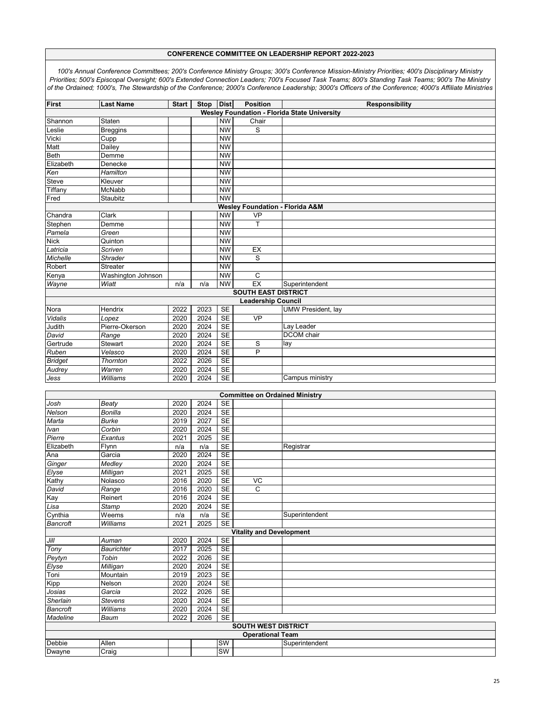| <b>First</b>                                        | <b>Last Name</b>   | <b>Start</b> | Stop | <b>Dist</b> | <b>Position</b>                       | <b>Responsibility</b>     |  |  |  |
|-----------------------------------------------------|--------------------|--------------|------|-------------|---------------------------------------|---------------------------|--|--|--|
| <b>Wesley Foundation - Florida State University</b> |                    |              |      |             |                                       |                           |  |  |  |
| Shannon                                             | Staten             |              |      | <b>NW</b>   | Chair                                 |                           |  |  |  |
| Leslie                                              | <b>Breggins</b>    |              |      | <b>NW</b>   | S                                     |                           |  |  |  |
| Vicki                                               | Cupp               |              |      | <b>NW</b>   |                                       |                           |  |  |  |
| Matt                                                | Dailey             |              |      | <b>NW</b>   |                                       |                           |  |  |  |
| Beth                                                | Demme              |              |      | <b>NW</b>   |                                       |                           |  |  |  |
| Elizabeth                                           | Denecke            |              |      | <b>NW</b>   |                                       |                           |  |  |  |
| Ken                                                 | Hamilton           |              |      | <b>NW</b>   |                                       |                           |  |  |  |
| <b>Steve</b>                                        | Kleuver            |              |      | <b>NW</b>   |                                       |                           |  |  |  |
| Tiffany                                             | McNabb             |              |      | <b>NW</b>   |                                       |                           |  |  |  |
| Fred                                                | Staubitz           |              |      | <b>NW</b>   |                                       |                           |  |  |  |
| <b>Wesley Foundation - Florida A&amp;M</b>          |                    |              |      |             |                                       |                           |  |  |  |
| Chandra                                             | Clark              |              |      | <b>NW</b>   | <b>VP</b>                             |                           |  |  |  |
| Stephen                                             | Demme              |              |      | <b>NW</b>   | Т                                     |                           |  |  |  |
| Pamela                                              | Green              |              |      | <b>NW</b>   |                                       |                           |  |  |  |
| <b>Nick</b>                                         | Quinton            |              |      | <b>NW</b>   |                                       |                           |  |  |  |
| Latricia                                            | Scriven            |              |      | <b>NW</b>   | EX                                    |                           |  |  |  |
| Michelle                                            | Shrader            |              |      | <b>NW</b>   | S                                     |                           |  |  |  |
| Robert                                              | Streater           |              |      | <b>NW</b>   |                                       |                           |  |  |  |
| Kenya                                               | Washington Johnson |              |      | <b>NW</b>   | C                                     |                           |  |  |  |
| Wayne                                               | Wiatt              | n/a          | n/a  | <b>NW</b>   | EX                                    | Superintendent            |  |  |  |
|                                                     |                    |              |      |             | <b>SOUTH EAST DISTRICT</b>            |                           |  |  |  |
|                                                     |                    |              |      |             | <b>Leadership Council</b>             |                           |  |  |  |
| Nora                                                | Hendrix            | 2022         | 2023 | <b>SE</b>   |                                       | <b>UMW President, lay</b> |  |  |  |
| Vidalis                                             | Lopez              | 2020         | 2024 | <b>SE</b>   | <b>VP</b>                             |                           |  |  |  |
| Judith                                              | Pierre-Okerson     | 2020         | 2024 | <b>SE</b>   |                                       | Lay Leader                |  |  |  |
| David                                               | $\overline{Range}$ | 2020         | 2024 | <b>SE</b>   |                                       | <b>DCOM</b> chair         |  |  |  |
| Gertrude                                            | Stewart            | 2020         | 2024 | <b>SE</b>   | S                                     | lay                       |  |  |  |
| Ruben                                               | Velasco            | 2020         | 2024 | <b>SE</b>   | $\overline{P}$                        |                           |  |  |  |
| <b>Bridget</b>                                      | Thornton           | 2022         | 2026 | <b>SE</b>   |                                       |                           |  |  |  |
| Audrey                                              | Warren             | 2020         | 2024 | <b>SE</b>   |                                       |                           |  |  |  |
| Jess                                                | Williams           | 2020         | 2024 | <b>SE</b>   |                                       | Campus ministry           |  |  |  |
|                                                     |                    |              |      |             |                                       |                           |  |  |  |
|                                                     |                    |              |      |             | <b>Committee on Ordained Ministry</b> |                           |  |  |  |
| Josh                                                | <b>Beaty</b>       | 2020         | 2024 | <b>SE</b>   |                                       |                           |  |  |  |
| Nelson                                              | <b>Bonilla</b>     | 2020         | 2024 | <b>SE</b>   |                                       |                           |  |  |  |
| Marta                                               | <b>Burke</b>       | 2019         | 2027 | <b>SE</b>   |                                       |                           |  |  |  |
| Ivan                                                | Corbin             | 2020         | 2024 | <b>SE</b>   |                                       |                           |  |  |  |
| Pierre                                              | Exantus            | 2021         | 2025 | <b>SE</b>   |                                       |                           |  |  |  |
| Elizabeth                                           | Flynn              | n/a          | n/a  | <b>SE</b>   |                                       | Registrar                 |  |  |  |
| Ana                                                 | Garcia             | 2020         | 2024 | <b>SE</b>   |                                       |                           |  |  |  |
| Ginger                                              | Medley             | 2020         | 2024 | <b>SE</b>   |                                       |                           |  |  |  |
| Elyse                                               | Milligan           | 2021         | 2025 | <b>SE</b>   |                                       |                           |  |  |  |
| Kathy                                               | Nolasco            | 2016         | 2020 | <b>SE</b>   | VC                                    |                           |  |  |  |
| David                                               | $\overline{Range}$ | 2016         | 2020 | <b>SE</b>   | $\mathsf C$                           |                           |  |  |  |
| Kay                                                 | Reinert            | 2016         | 2024 | SE          |                                       |                           |  |  |  |
| Lisa                                                | Stamp              | 2020         | 2024 | <b>SE</b>   |                                       |                           |  |  |  |
| Cynthia                                             | Weems              | n/a          | n/a  | <b>SE</b>   |                                       | Superintendent            |  |  |  |
| Bancroft                                            | Williams           | 2021         | 2025 | SE          |                                       |                           |  |  |  |
| <b>Vitality and Development</b>                     |                    |              |      |             |                                       |                           |  |  |  |
| Jill                                                | Auman              | 2020         | 2024 | <b>SE</b>   |                                       |                           |  |  |  |
| Tony                                                | <b>Baurichter</b>  | 2017         | 2025 | <b>SE</b>   |                                       |                           |  |  |  |
| Peytyn                                              | Tobin              | 2022         | 2026 | <b>SE</b>   |                                       |                           |  |  |  |
| Elyse                                               | Milligan           | 2020         | 2024 | <b>SE</b>   |                                       |                           |  |  |  |
| Toni                                                | Mountain           | 2019         | 2023 | <b>SE</b>   |                                       |                           |  |  |  |
| Kipp                                                | Nelson             | 2020         | 2024 | <b>SE</b>   |                                       |                           |  |  |  |
| Josias                                              | Garcia             | 2022         | 2026 | <b>SE</b>   |                                       |                           |  |  |  |
| Sherlain                                            | <b>Stevens</b>     | 2020         | 2024 | <b>SE</b>   |                                       |                           |  |  |  |
| Bancroft                                            | Williams           | 2020         | 2024 | <b>SE</b>   |                                       |                           |  |  |  |
| <b>Madeline</b>                                     | Baum               | 2022         | 2026 | <b>SE</b>   |                                       |                           |  |  |  |
|                                                     |                    |              |      |             | <b>SOUTH WEST DISTRICT</b>            |                           |  |  |  |
| <b>Operational Team</b>                             |                    |              |      |             |                                       |                           |  |  |  |
| Debbie                                              | Allen              |              |      | SW          |                                       | Superintendent            |  |  |  |
| Dwayne                                              | Craig              |              |      | SW          |                                       |                           |  |  |  |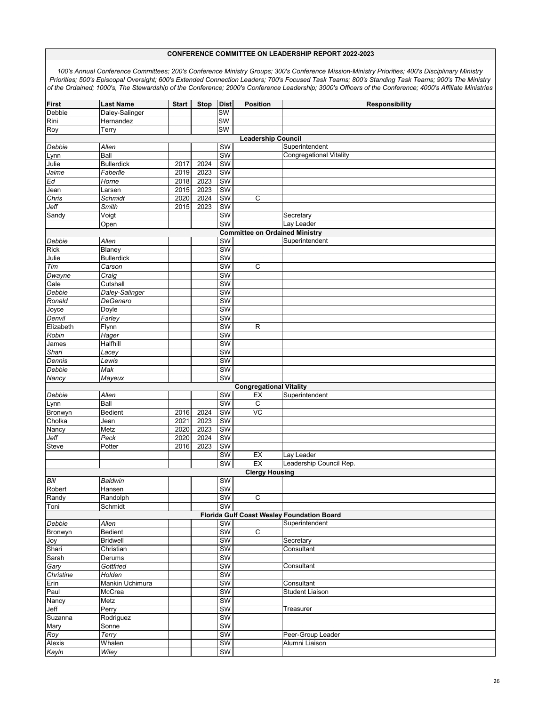|                                                                                       | <b>Last Name</b>    |              |             |             |                                |                                            |  |  |  |
|---------------------------------------------------------------------------------------|---------------------|--------------|-------------|-------------|--------------------------------|--------------------------------------------|--|--|--|
| <b>First</b>                                                                          |                     | <b>Start</b> | <b>Stop</b> | <b>Dist</b> | Position                       | <b>Responsibility</b>                      |  |  |  |
| Debbie                                                                                | Daley-Salinger      |              |             | <b>SW</b>   |                                |                                            |  |  |  |
| Rini                                                                                  | Hernandez           |              |             | <b>SW</b>   |                                |                                            |  |  |  |
| Roy                                                                                   | Terry               |              |             | <b>SW</b>   |                                |                                            |  |  |  |
| <b>Leadership Council</b>                                                             |                     |              |             |             |                                |                                            |  |  |  |
| Debbie                                                                                | Allen               |              |             | SW          |                                | Superintendent                             |  |  |  |
| Lynn                                                                                  | Ball                |              |             | <b>SW</b>   |                                | Congregational Vitality                    |  |  |  |
| Julie                                                                                 | <b>Bullerdick</b>   | 2017         | 2024        | SW          |                                |                                            |  |  |  |
| Jaime                                                                                 | Faberlle            | 2019         | 2023        | SW          |                                |                                            |  |  |  |
| Ed                                                                                    | Horne               | 2018         | 2023        | <b>SW</b>   |                                |                                            |  |  |  |
| Jean                                                                                  | Larsen              | 2015         | 2023        | SW          |                                |                                            |  |  |  |
| Chris                                                                                 | Schmidt             | 2020         | 2024        | <b>SW</b>   | $\overline{C}$                 |                                            |  |  |  |
| Jeff                                                                                  | Smith               | 2015         | 2023        | SW          |                                |                                            |  |  |  |
| Sandy                                                                                 | Voigt               |              |             | SW          |                                | Secretary                                  |  |  |  |
|                                                                                       |                     |              |             |             |                                |                                            |  |  |  |
| $\overline{\text{SW}}$<br>Lay Leader<br>Open<br><b>Committee on Ordained Ministry</b> |                     |              |             |             |                                |                                            |  |  |  |
|                                                                                       |                     |              |             |             |                                |                                            |  |  |  |
| Debbie                                                                                | Allen               |              |             | SW          |                                | Superintendent                             |  |  |  |
| <b>Rick</b>                                                                           | Blaney              |              |             | SW          |                                |                                            |  |  |  |
| Julie                                                                                 | <b>Bullerdick</b>   |              |             | SW          |                                |                                            |  |  |  |
| Tim                                                                                   | Carson              |              |             | SW          | $\overline{c}$                 |                                            |  |  |  |
| Dwayne                                                                                | $\overline{C}$ raig |              |             | SW          |                                |                                            |  |  |  |
| Gale                                                                                  | Cutshall            |              |             | <b>SW</b>   |                                |                                            |  |  |  |
| Debbie                                                                                | Daley-Salinger      |              |             | SW          |                                |                                            |  |  |  |
| Ronald                                                                                | DeGenaro            |              |             | SW          |                                |                                            |  |  |  |
| Joyce                                                                                 | Doyle               |              |             | SW          |                                |                                            |  |  |  |
| Denvil                                                                                | Farley              |              |             | SW          |                                |                                            |  |  |  |
| Elizabeth                                                                             | Flynn               |              |             | <b>SW</b>   | $\overline{R}$                 |                                            |  |  |  |
| Robin                                                                                 | Hager               |              |             | <b>SW</b>   |                                |                                            |  |  |  |
| James                                                                                 | Halfhill            |              |             | SW          |                                |                                            |  |  |  |
| Shari                                                                                 | Lacey               |              |             | SW          |                                |                                            |  |  |  |
| Dennis                                                                                | Lewis               |              |             | SW          |                                |                                            |  |  |  |
| Debbie                                                                                | Mak                 |              |             | <b>SW</b>   |                                |                                            |  |  |  |
| Nancy                                                                                 | Mayeux              |              |             | <b>SW</b>   |                                |                                            |  |  |  |
|                                                                                       |                     |              |             |             |                                |                                            |  |  |  |
|                                                                                       |                     |              |             |             | <b>Congregational Vitality</b> | Superintendent                             |  |  |  |
| Debbie                                                                                | Allen               |              |             | <b>SW</b>   | EX                             |                                            |  |  |  |
| Lynn                                                                                  | Ball                |              |             | SW          | $\mathsf C$                    |                                            |  |  |  |
| Bronwyn                                                                               | Bedient             | 2016         | 2024        | <b>SW</b>   | $\overline{C}$                 |                                            |  |  |  |
| Cholka                                                                                | Jean                | 2021         | 2023        | SW          |                                |                                            |  |  |  |
| Nancy                                                                                 | Metz                | 2020         | 2023        | SW          |                                |                                            |  |  |  |
| Jeff                                                                                  | Peck                | 2020         | 2024        | <b>SW</b>   |                                |                                            |  |  |  |
| Steve                                                                                 | Potter              | 2016         | 2023        | SW          |                                |                                            |  |  |  |
|                                                                                       |                     |              |             | SW          | EX                             | Lay Leader                                 |  |  |  |
|                                                                                       |                     |              |             | SW          | EX                             | Leadership Council Rep.                    |  |  |  |
|                                                                                       |                     |              |             |             | <b>Clergy Housing</b>          |                                            |  |  |  |
| Bill                                                                                  | Baldwin             |              |             | <b>SW</b>   |                                |                                            |  |  |  |
| Robert                                                                                | Hansen              |              |             | SW          |                                |                                            |  |  |  |
| Randy                                                                                 | Randolph            |              |             | SW          | $\overline{C}$                 |                                            |  |  |  |
| Toni                                                                                  | Schmidt             |              |             | SW          |                                |                                            |  |  |  |
|                                                                                       |                     |              |             |             |                                | Florida Gulf Coast Wesley Foundation Board |  |  |  |
| Debbie                                                                                | Allen               |              |             | <b>SW</b>   |                                | Superintendent                             |  |  |  |
| Bronwyn                                                                               | Bedient             |              |             | SW          | $\overline{C}$                 |                                            |  |  |  |
| Joy                                                                                   | <b>Bridwell</b>     |              |             | <b>SW</b>   |                                | Secretary                                  |  |  |  |
| Shari                                                                                 | Christian           |              |             | SW          |                                | Consultant                                 |  |  |  |
| Sarah                                                                                 | Derums              |              |             | SW          |                                |                                            |  |  |  |
| Gary                                                                                  | Gottfried           |              |             | SW          |                                | Consultant                                 |  |  |  |
| Christine                                                                             | Holden              |              |             | SW          |                                |                                            |  |  |  |
| Erin                                                                                  | Mankin Uchimura     |              |             | <b>SW</b>   |                                | Consultant                                 |  |  |  |
|                                                                                       |                     |              |             |             |                                | <b>Student Liaison</b>                     |  |  |  |
| Paul                                                                                  | McCrea              |              |             | SW          |                                |                                            |  |  |  |
| Nancy                                                                                 | Metz                |              |             | SW          |                                |                                            |  |  |  |
| Jeff                                                                                  | Perry               |              |             | <b>SW</b>   |                                | Treasurer                                  |  |  |  |
| Suzanna                                                                               | Rodriguez           |              |             | SW          |                                |                                            |  |  |  |
| Mary                                                                                  | Sonne               |              |             | SW          |                                |                                            |  |  |  |
| Roy                                                                                   | $\overline{T}$ erry |              |             | SW          |                                | Peer-Group Leader                          |  |  |  |
| Alexis                                                                                | Whalen              |              |             | SW          |                                | Alumni Liaison                             |  |  |  |
| Kayln                                                                                 | <b>Wiley</b>        |              |             | <b>SW</b>   |                                |                                            |  |  |  |